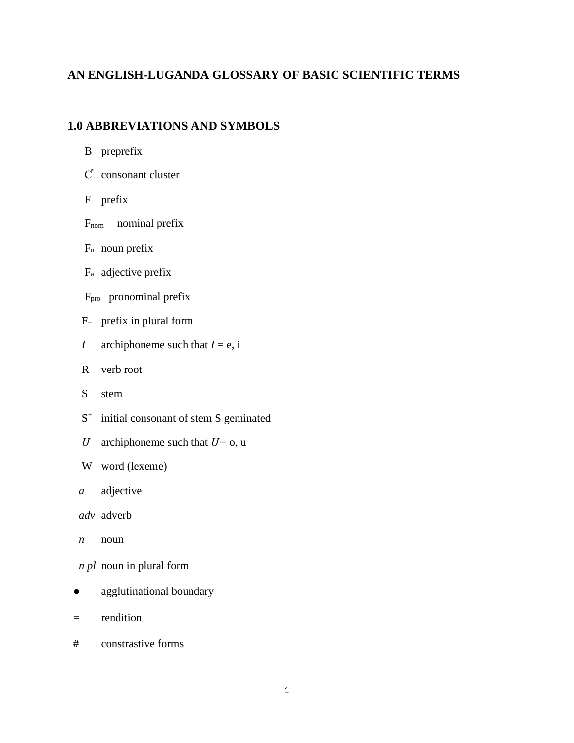### **AN ENGLISH-LUGANDA GLOSSARY OF BASIC SCIENTIFIC TERMS**

## **1.0 ABBREVIATIONS AND SYMBOLS**

|  | preprefix |
|--|-----------|
|--|-----------|

- Ƈ consonant cluster
- F prefix
- F<sub>nom</sub> nominal prefix
- $F_n$  noun prefix
- F<sup>a</sup> adjective prefix
- Fpro pronominal prefix
- $F_{+}$  prefix in plural form
- *I* archiphoneme such that  $I = e$ , i
- R verb root
- S stem
- S<sup>+</sup> initial consonant of stem S geminated
	- *Ս* archiphoneme such that *Ս=* o, u
	- W word (lexeme)
	- *a* adjective
	- *adv* adverb
	- $n$  noun
	- *n pl* noun in plural form
- agglutinational boundary
- = rendition
- # constrastive forms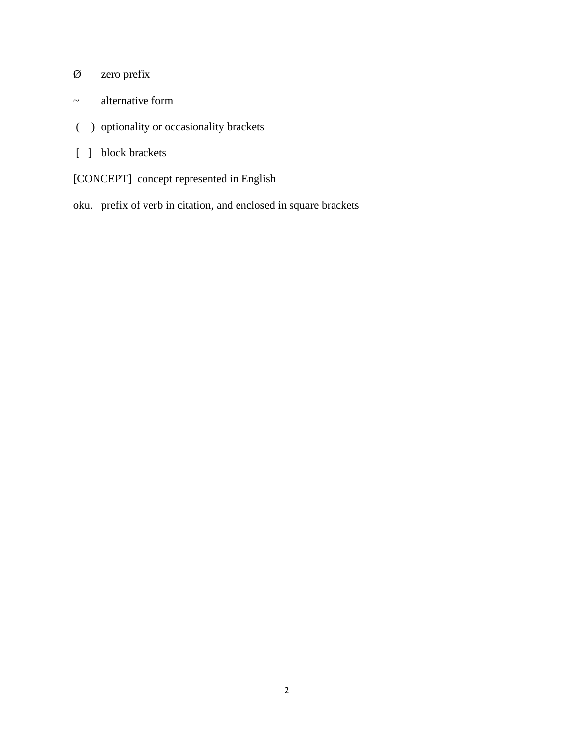# Ø zero prefix

- ~ alternative form
- ( ) optionality or occasionality brackets
- [ ] block brackets
- [CONCEPT] concept represented in English
- oku. prefix of verb in citation, and enclosed in square brackets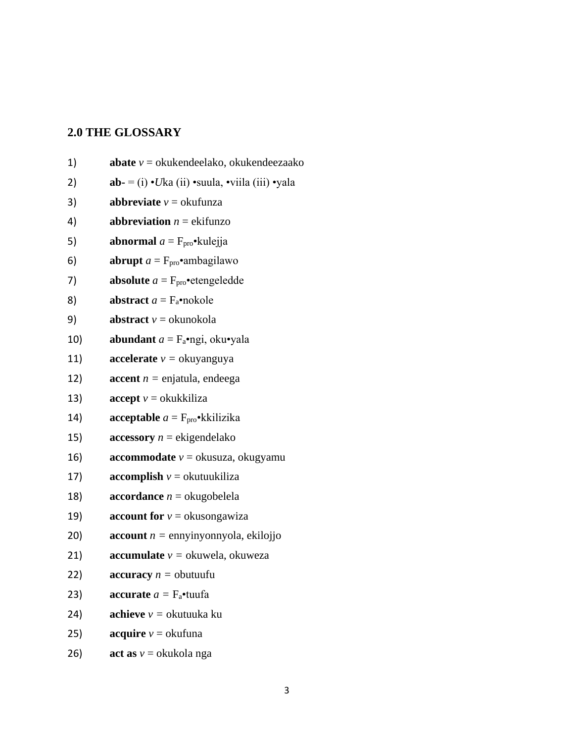## 2.0 THE GLOSSARY

| 1)  | <b>abate</b> $v =$ okukendeelako, okukendeezaako          |
|-----|-----------------------------------------------------------|
| 2)  | $ab = (i) \cdot U$ ka (ii) •suula, •viila (iii) •yala     |
| 3)  | <b>abbreviate</b> $v =$ okufunza                          |
| 4)  | <b>abbreviation</b> $n =$ ekifunzo                        |
| 5)  | <b>abnormal</b> $a = F_{\text{pro}} \cdot \text{kulejja}$ |
| 6)  | <b>abrupt</b> $a = F_{\text{pro}} \cdot$ ambagilawo       |
| 7)  | <b>absolute</b> $a = F_{\text{pro}}$ etengeledde          |
| 8)  | abstract $a = F_a$ •nokole                                |
| 9)  | <b>abstract</b> $v =$ okunokola                           |
| 10) | <b>abundant</b> $a = F_a \cdot ngi$ , oku vala            |
| 11) | <b>accelerate</b> $v =$ okuyanguya                        |
| 12) | <b>accent</b> $n =$ enjatula, endeega                     |
| 13) | $\textbf{accept}$ $v = \text{okukkiliza}$                 |
| 14) | <b>acceptable</b> $a = F_{\text{pro}} \cdot k$ kilizika   |
| 15) | <b>accessory</b> $n =$ ekigendelako                       |
| 16) | <b>accommodate</b> $v =$ okusuza, okugyamu                |
| 17) | <b>accomplish</b> $v =$ okutuukiliza                      |
| 18) | <b>accordance</b> $n =$ okugobelela                       |
| 19) | <b>account for</b> $v =$ okusongawiza                     |
| 20) | <b>account</b> $n =$ ennyinyonnyola, ekilojjo             |
| 21) | <b>accumulate</b> $v =$ okuwela, okuweza                  |
| 22) | <b>accuracy</b> $n =$ obutuufu                            |
| 23) | <b>accurate</b> $a = F_a$ •tuufa                          |
| 24) | <b>achieve</b> $v =$ okutuuka ku                          |
| 25) | <b>acquire</b> $v =$ okufuna                              |
| 26) | <b>act as</b> $v =$ okukola nga                           |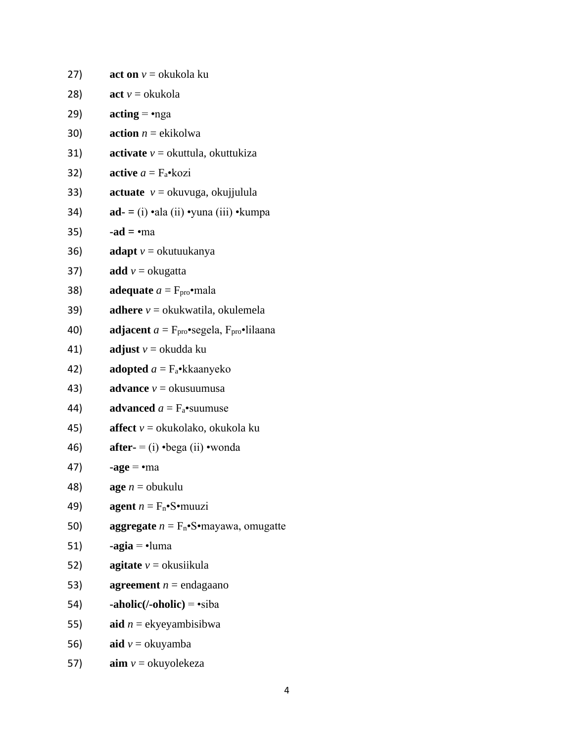| (27) | <b>act on</b> $v =$ okukola ku                               |
|------|--------------------------------------------------------------|
| 28)  | $\textbf{act } v = \text{okukola}$                           |
| 29)  | $\text{acting} = \text{mga}$                                 |
| 30)  | <b>action</b> $n =$ ekikolwa                                 |
| 31)  | <b>activate</b> $v =$ okuttula, okuttukiza                   |
| 32)  | <b>active</b> $a = F_a \cdot kozi$                           |
| 33)  | <b>actuate</b> $v =$ okuvuga, okujjulula                     |
| 34)  | $ad = (i)$ •ala (ii) •yuna (iii) •kumpa                      |
| 35)  | $-ad = \cdot ma$                                             |
| 36)  | <b>adapt</b> $v =$ okutuukanya                               |
| 37)  | <b>add</b> $v =$ okugatta                                    |
| 38)  | <b>adequate</b> $a = F_{\text{pro}} \cdot \text{mala}$       |
| 39)  | <b>adhere</b> $v =$ okukwatila, okulemela                    |
| 40)  | adjacent $a = Fpro$ •segela, $Fpro$ •lilaana                 |
| 41)  | <b>adjust</b> $v =$ okudda ku                                |
| 42)  | <b>adopted</b> $a = F_a$ •kkaanyeko                          |
| 43)  | <b>advance</b> $v =$ okusuumusa                              |
| 44)  | advanced $a = F_a$ •suumuse                                  |
| 45)  | <b>affect</b> $v =$ okukolako, okukola ku                    |
| 46)  | <b>after-</b> = (i) $\cdot$ bega (ii) $\cdot$ wonda          |
| 47)  | $\text{-age} = \text{-ma}$                                   |
| 48)  | <b>age</b> $n =$ obukulu                                     |
| 49)  | <b>agent</b> $n = F_n \cdot S \cdot \text{muuzi}$            |
| 50)  | <b>aggregate</b> $n = F_n \cdot S \cdot$ mayawa, omugatte    |
| 51)  | $-aqia = \cdot$ luma                                         |
| 52)  | <b>agitate</b> $v =$ okusiikula                              |
| 53)  | <b>agreement</b> $n =$ endagaano                             |
| 54)  | $\text{-} \text{abolic}$ (/-oholic) = $\text{-} \text{siba}$ |
| 55)  | aid $n =$ ekyeyambisibwa                                     |
| 56)  | <b>aid</b> $v =$ okuyamba                                    |
| 57)  | $\text{aim } v =$ okuyolekeza                                |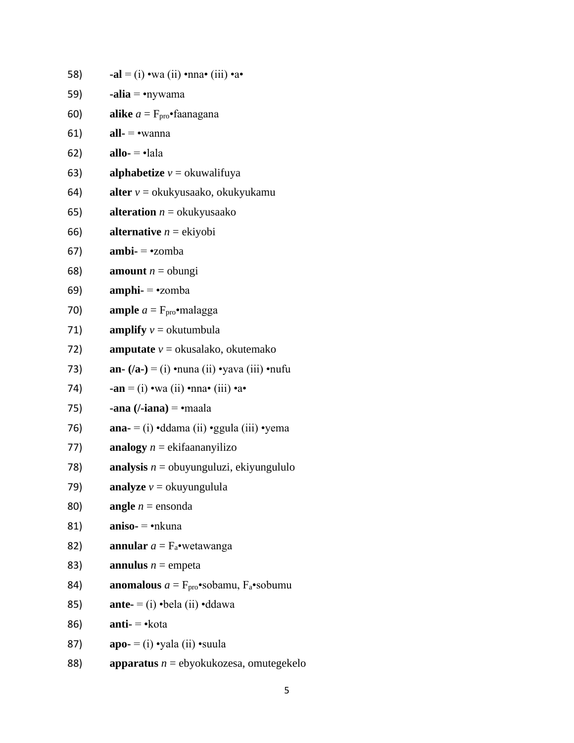| 58) | -al = (i) •wa (ii) •nna• (iii) •a•                                    |
|-----|-----------------------------------------------------------------------|
| 59) | <b>-alia</b> = $\bullet$ nywama                                       |
| 60) | <b>alike</b> $a = F_{\text{pro}} \cdot$ faanagana                     |
| 61) | $all$ - $\bullet$ wanna                                               |
| 62) | allo- $= \cdot$ lala                                                  |
| 63) | <b>alphabetize</b> $v =$ okuwalifuya                                  |
| 64) | <b>alter</b> $v =$ okukyusaako, okukyukamu                            |
| 65) | <b>alteration</b> $n =$ okukyusaako                                   |
| 66) | <b>alternative</b> $n =$ ekiyobi                                      |
| 67) | $ambi = -zomba$                                                       |
| 68) | <b>amount</b> $n =$ obungi                                            |
| 69) | $amphi = -zomba$                                                      |
| 70) | <b>ample</b> $a = F_{\text{pro}} \cdot$ malagga                       |
| 71) | amplify $v =$ okutumbula                                              |
| 72) | <b>amputate</b> $v =$ okusalako, okutemako                            |
| 73) | an- $(/a$ - $) = (i) \cdot$ nuna (ii) $\cdot$ yava (iii) $\cdot$ nufu |
| 74) | $-an = (i)$ • wa (ii) • nna • (iii) • a •                             |
| 75) | <b>-ana</b> ( $\prime$ <b>-iana</b> ) = $\bullet$ maala               |
| 76) | <b>ana-</b> = (i) $\cdot$ ddama (ii) $\cdot$ ggula (iii) $\cdot$ yema |
| 77) | analogy $n = ekifaananyilizo$                                         |
| 78) | <b>analysis</b> $n =$ obuyunguluzi, ekiyungululo                      |
| 79) | analyze $v =$ okuyungulula                                            |
| 80) | <b>angle</b> $n =$ ensonda                                            |
| 81) | $aniso = \cdot n$ kuna                                                |
| 82) | <b>annular</b> $a = F_a$ •wetawanga                                   |
| 83) | <b>annulus</b> $n =$ empeta                                           |
| 84) | <b>anomalous</b> $a = F_{\text{pro}}$ sobamu, $F_a$ sobumu            |
| 85) | <b>ante-</b> = (i) $\cdot$ bela (ii) $\cdot$ ddawa                    |
| 86) | $anti-$ • kota                                                        |
| 87) | $apo = (i) \cdot yala$ (ii) $\cdot$ suula                             |
| 88) | <b>apparatus</b> $n =$ ebyokukozesa, omutegekelo                      |

5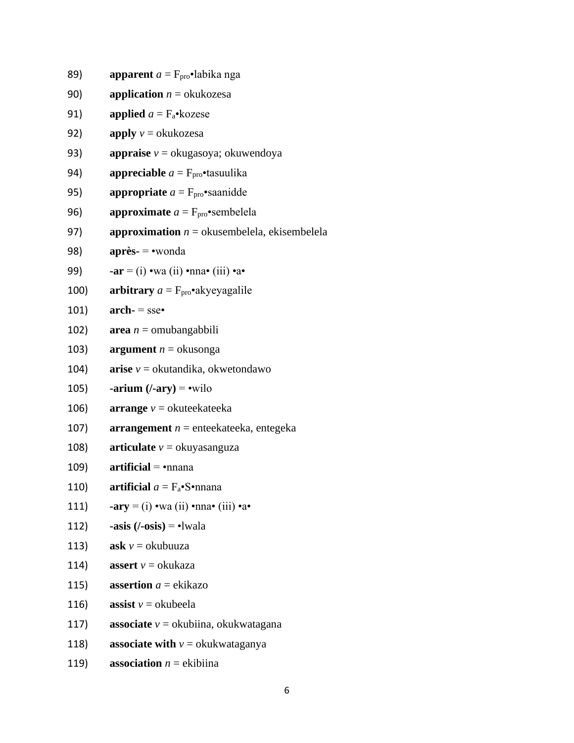89) **apparent**  $a = F_{\text{pro}} \cdot \text{labika}$  nga

- 90) **application**  $n = \text{okukozesa}$
- 91) **applied**  $a = F_a \cdot k_0$ zese
- 92) **apply**  $v =$  okukozesa
- 93) **appraise** *v* = okugasoya; okuwendoya
- 94) **appreciable**  $a = F_{\text{pro}}$  **tasuulika**
- 95) **appropriate**  $a = F_{\text{pro}}$  **saanidde**
- 96) **approximate**  $a = F_{\text{pro}} \cdot \text{semblela}$
- 97) **approximation**  $n =$  okusembelela, ekisembelela
- 98) **après-** = •wonda
- 99) **-ar** = (i) •wa (ii) •nna• (iii) •a•
- 100) **arbitrary**  $a = F_{\text{pro}} \cdot$ akyeyagalile
- 101) **arch-** = sse•
- 102) **area** *n* = omubangabbili
- 103) **argument**  $n =$  okusonga
- 104) **arise**  $v =$  okutandika, okwetondawo
- 105) **-arium (/-ary)** = •wilo
- 106) **arrange**  $v =$  okuteekateeka
- 107) **arrangement** *n* = enteekateeka, entegeka
- 108) **articulate**  $v =$  okuyasanguza
- 109) **artificial** =  $\bullet$ nnana
- 110) **artificial**  $a = F_a \cdot S \cdot n$  mana
- 111) **-ary**  $=$  (i) •wa (ii) •nna• (iii) •a•
- 112) **-asis**  $(/-osis) = -1$   $\text{wala}$
- 113) **ask**  $v =$  okubuuza
- 114) **assert**  $v = \text{okukaza}$
- 115) **assertion**  $a = ekikazo$
- 116) **assist**  $v =$  okubeela
- 117) **associate** *v* = okubiina, okukwatagana
- 118) **associate with**  $v =$  okukwataganya
- 119) **association**  $n =$  ekibiina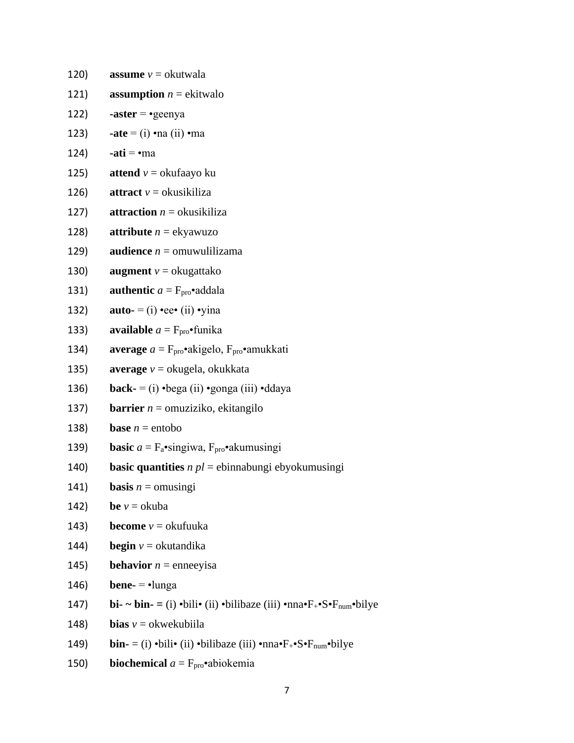| 120) | <b>assume</b> $v =$ okutwala                                                                                                                           |
|------|--------------------------------------------------------------------------------------------------------------------------------------------------------|
| 121) | <b>assumption</b> $n =$ ekitwalo                                                                                                                       |
| 122) | $\text{-aster} = \text{-geenya}$                                                                                                                       |
| 123) | $\text{-ate} = (i) \cdot \text{-na} (ii) \cdot \text{-ma}$                                                                                             |
| 124) | $\text{-} \text{ati} = \text{-} \text{ma}$                                                                                                             |
| 125) | <b>attend</b> $v =$ okufaayo ku                                                                                                                        |
| 126) | <b>attract</b> $v =$ okusikiliza                                                                                                                       |
| 127) | <b>attraction</b> $n =$ okusikiliza                                                                                                                    |
| 128) | <b>attribute</b> $n =$ ekyawuzo                                                                                                                        |
| 129) | <b>audience</b> $n =$ omuwulilizama                                                                                                                    |
| 130) | <b>augment</b> $v =$ okugattako                                                                                                                        |
| 131) | <b>authentic</b> $a = F_{\text{pro}} \cdot$ addala                                                                                                     |
| 132) | <b>auto-</b> = $(i)$ •ee• $(ii)$ •yina                                                                                                                 |
| 133) | <b>available</b> $a = F_{\text{pro}} \cdot \text{funka}$                                                                                               |
| 134) | <b>average</b> $a = F_{\text{pro}} \cdot$ akigelo, $F_{\text{pro}} \cdot$ amukkati                                                                     |
| 135) | <b>average</b> $v =$ okugela, okukkata                                                                                                                 |
| 136) | <b>back-</b> = (i) $\cdot$ bega (ii) $\cdot$ gonga (iii) $\cdot$ ddaya                                                                                 |
| 137) | <b>barrier</b> $n =$ omuziziko, ekitangilo                                                                                                             |
| 138) | <b>base</b> $n =$ entobo                                                                                                                               |
| 139) | <b>basic</b> $a = F_a$ •singiwa, $F_{\text{pro}}$ •akumusingi                                                                                          |
| 140) | <b>basic quantities</b> $n$ $pl$ = ebinnabungi ebyokumusingi                                                                                           |
| 141) | <b>basis</b> $n =$ omusingi                                                                                                                            |
| 142) | <b>be</b> $v =$ okuba                                                                                                                                  |
| 143) | <b>become</b> $v =$ okufuuka                                                                                                                           |
| 144) | <b>begin</b> $v =$ okutandika                                                                                                                          |
| 145) | <b>behavior</b> $n =$ enneeyisa                                                                                                                        |
| 146) | <b>bene-</b> = $\cdot$ lunga                                                                                                                           |
| 147) | <b>bi-</b> $\sim$ <b>bin-</b> = (i) •bili• (ii) •bilibaze (iii) •nna• $F_{+}$ • $S \cdot F_{num}$ •bilye                                               |
| 148) | <b>bias</b> $v =$ okwekubiila                                                                                                                          |
| 149) | <b>bin-</b> = (i) $\cdot$ bili $\cdot$ (ii) $\cdot$ bilibaze (iii) $\cdot$ nna $\cdot$ F <sub>+</sub> $\cdot$ S $\cdot$ F <sub>num</sub> $\cdot$ bilye |
| 150) | <b>biochemical</b> $a = F_{\text{pro}}$ abiokemia                                                                                                      |
|      |                                                                                                                                                        |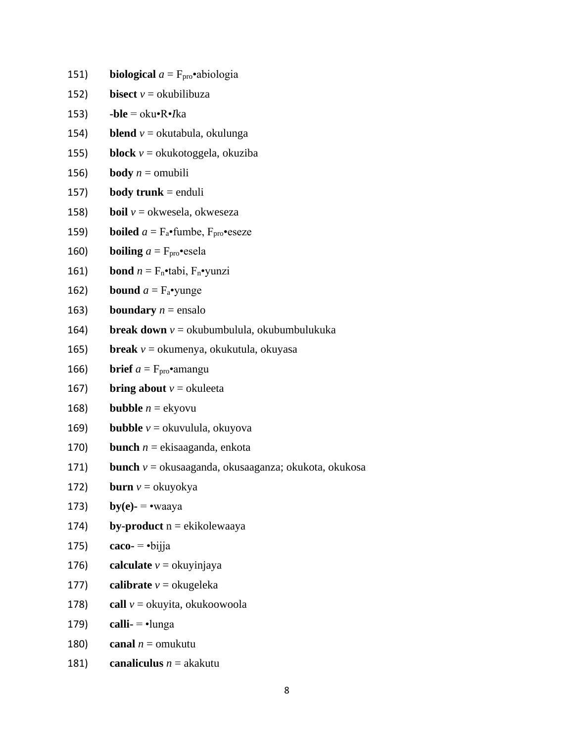151) **biological**  $a = F_{\text{pro}}$ •abiologia 152) **bisect**  $v =$  okubilibuza 153) **-ble** = oku•R•*I*ka 154) **blend**  $v =$  okutabula, okulunga 155) **block** *v* = okukotoggela, okuziba 156) **body**  $n =$  omubili 157) **body trunk** = enduli 158) **boil**  $v =$  okwesela, okweseza 159) **boiled**  $a = F_a$ •fumbe,  $F_{\text{pro}}$ •eseze 160) **boiling**  $a = \text{F}_{\text{pro}} \cdot \text{csela}$ 161) **bond**  $n = F_n \cdot \text{tabi}, F_n \cdot \text{yunzi}$ 162) **bound**  $a = F_a$ •yunge 163) **boundary**  $n =$  ensalo 164) **break down** *v* = okubumbulula, okubumbulukuka 165) **break** *v* = okumenya, okukutula, okuyasa 166) **brief**  $a = F_{\text{pro}} \cdot \text{amangu}$ 167) **bring about**  $v =$  okuleeta 168) **bubble**  $n =$ **ekyovu** 169) **bubble** *v* = okuvulula, okuyova 170) **bunch** *n* = ekisaaganda, enkota 171) **bunch** *v* = okusaaganda, okusaaganza; okukota, okukosa 172) **burn**  $v =$ okuyokya 173) **by**(e)-  $=$  •waaya 174) **by-product** n = ekikolewaaya 175) **caco-**  $\rightarrow$  bijja 176) **calculate**  $v =$  okuyinjaya 177) **calibrate**  $v =$  okugeleka 178) **call**  $v =$ okuyita, okukoowoola 179) **calli-** = •lunga 180) **canal**  $n =$  omukutu

181) **canaliculus**  $n =$  akakutu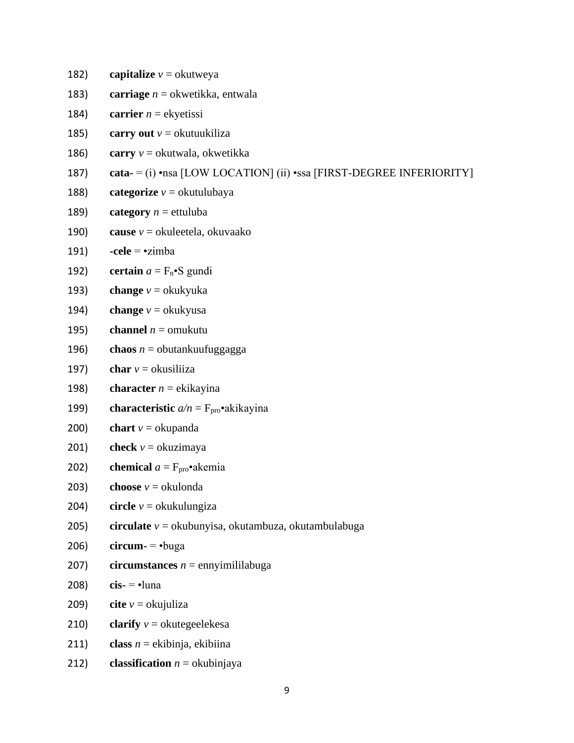182) **capitalize**  $v =$  okutweya

- 183) **carriage** *n* = okwetikka, entwala
- 184) **carrier**  $n =$  ekyetissi
- 185) **carry out**  $v =$  okutuukiliza
- 186) **carry** *v* = okutwala, okwetikka
- 187) **cata-** = (i) •nsa [LOW LOCATION] (ii) •ssa [FIRST-DEGREE INFERIORITY]
- 188) **categorize**  $v =$  okutulubaya
- 189) **category**  $n =$  ettuluba
- 190) **cause** *v* = okuleetela, okuvaako
- 191) **-cele** = •zimba
- 192) **certain**  $a = F_n \cdot S$  gundi
- 193) **change**  $v =$  okukyuka
- 194) **change**  $v =$  okukyusa
- 195) **channel**  $n =$  omukutu
- 196) **chaos**  $n =$  obutankuufuggagga
- 197) **char**  $v =$  okusiliiza
- 198) **character**  $n =$ **ekikayina**
- 199) **characteristic**  $a/n = F_{\text{pro}}$ **·**akikayina
- 200) **chart**  $v =$  okupanda
- 201) **check**  $v =$  okuzimaya
- 202) **chemical**  $a = F_{\text{pro}} \cdot a$  kemia
- 203) **choose**  $v =$  okulonda
- 204) **circle** *v* = okukulungiza
- 205) **circulate** *v* = okubunyisa, okutambuza, okutambulabuga
- 206) **circum-** = •buga
- 207) **circumstances**  $n =$  ennyimililabuga
- 208) **cis-** = •luna
- 209) **cite**  $v =$ **okujuliza**
- 210) **clarify**  $v =$  okutegeelekesa
- 211) **class** *n* = ekibinja, ekibiina
- 212) **classification**  $n =$  okubinjaya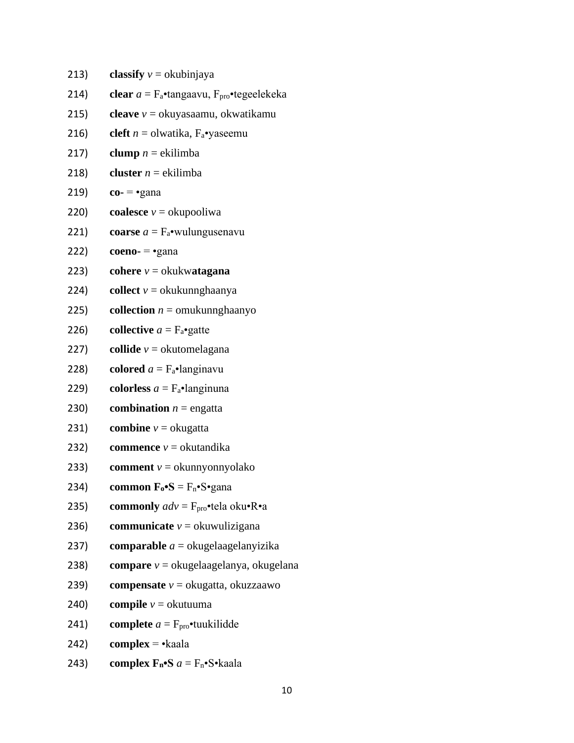| 213) | classify $v =$ okubinjaya                                                    |
|------|------------------------------------------------------------------------------|
| 214) | clear $a = F_a$ •tangaavu, $F_{\text{pro}}$ •tegeelekeka                     |
| 215) | cleave $v =$ okuyasaamu, okwatikamu                                          |
| 216) | cleft $n =$ olwatika, $F_a$ •yaseemu                                         |
| 217) | clump $n =$ ekilimba                                                         |
| 218) | <b>cluster</b> $n =$ ekilimba                                                |
| 219) | $co \epsilon$ $\epsilon$ $\epsilon$                                          |
| 220) | coalesce $v =$ okupooliwa                                                    |
| 221) | coarse $a = F_a$ •wulungusenavu                                              |
| 222) | $coeno - \epsilon$ gana                                                      |
| 223) | cohere $v =$ okukwatagana                                                    |
| 224) | <b>collect</b> $v =$ okukunnghaanya                                          |
| 225) | <b>collection</b> $n =$ omukunng haanyo                                      |
| 226) | <b>collective</b> $a = F_a$ •gatte                                           |
| 227) | collide $v =$ okutomelagana                                                  |
| 228) | colored $a = F_a$ ·langinavu                                                 |
| 229) | <b>colorless</b> $a = F_a$ •langinuna                                        |
| 230) | <b>combination</b> $n =$ engatta                                             |
| 231) | <b>combine</b> $v =$ okugatta                                                |
| 232) | <b>commence</b> $v =$ okutandika                                             |
| 233) | <b>comment</b> $v =$ okunnyonnyolako                                         |
| 234) | <b>common</b> $\mathbf{F}_{o} \cdot \mathbf{S} = F_{n} \cdot S \cdot$ gana   |
| 235) | <b>commonly</b> $adv = F_{\text{pro}} \cdot \text{tela oku} \cdot R \cdot a$ |
| 236) | <b>communicate</b> $v =$ okuwulizigana                                       |
| 237) | <b>comparable</b> $a =$ okugelaagelanyizika                                  |
| 238) | <b>compare</b> $v =$ okugelaagelanya, okugelana                              |
| 239) | <b>compensate</b> $v =$ okugatta, okuzzaawo                                  |
| 240) | <b>compile</b> $v =$ okutuuma                                                |
| 241) | <b>complete</b> $a = F_{\text{pro}}$ tuukilidde                              |
| 242) | $complex -kaala$                                                             |
| 243) | complex $F_n \cdot S$ $a = F_n \cdot S \cdot k$ aala                         |
|      |                                                                              |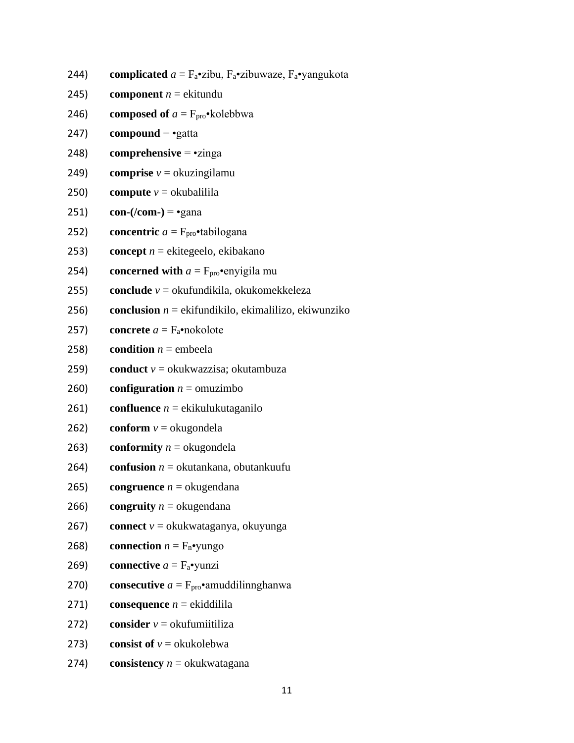- 244) **complicated**  $a = F_a$ •zibu,  $F_a$ •zibuwaze,  $F_a$ •yangukota
- 245) **component**  $n =$  ekitundu
- 246) **composed of**  $a = F_{\text{pro}} \cdot \text{kolebbwa}$
- 247) **compound** = •gatta
- 248) **comprehensive** = •zinga
- 249) **comprise**  $v =$  okuzingilamu
- 250) **compute**  $v =$  okubalilila
- 251) **con-(/com-)** =  $\epsilon$  •gana
- 252) **concentric**  $a = F_{\text{pro}} \cdot \text{tabilogana}$
- 253) **concept** *n* = ekitegeelo, ekibakano
- 254) **concerned with**  $a = F_{\text{pro}} \cdot \text{enyigila mu}$
- 255) **conclude** *v* = okufundikila, okukomekkeleza
- 256) **conclusion** *n* = ekifundikilo, ekimalilizo, ekiwunziko
- 257) **concrete**  $a = F_a$ •nokolote
- 258) **condition**  $n =$  embeela
- 259) **conduct** *v* = okukwazzisa; okutambuza
- 260) **configuration**  $n =$  omuzimbo
- 261) **confluence** *n* = ekikulukutaganilo
- 262) **conform**  $v =$  okugondela
- 263) **conformity**  $n =$  okugondela
- 264) **confusion** *n* = okutankana, obutankuufu
- 265) **congruence**  $n =$  okugendana
- 266) **congruity**  $n =$  okugendana
- 267) **connect** *v* = okukwataganya, okuyunga
- 268) **connection**  $n = F_n \cdot \text{yungo}$
- 269) **connective**  $a = F_a$ •yunzi
- 270) **consecutive**  $a = F_{\text{pro}} \cdot$ amuddilinnghanwa
- 271) **consequence**  $n =$  ekiddilila
- 272) **consider**  $v =$  okufumiitiliza
- 273) **consist of**  $v = \text{okukolebwa}$
- 274) **consistency** *n* = okukwatagana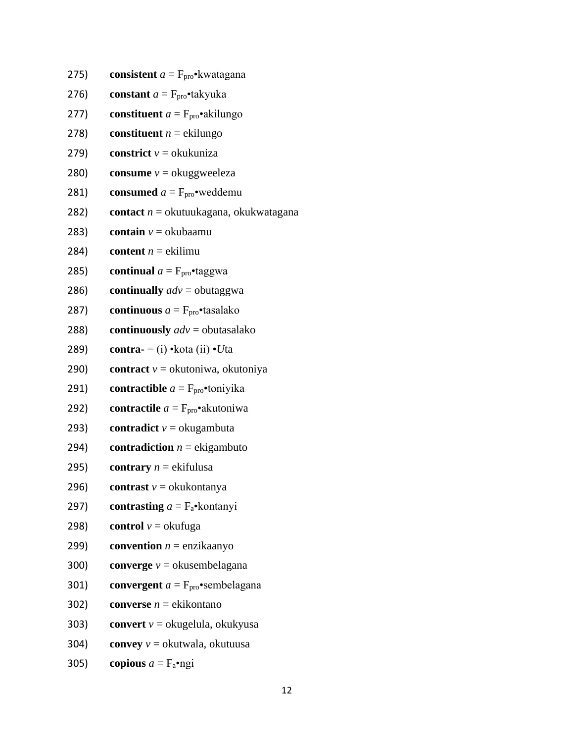- 275) **consistent**  $a = F_{\text{pro}} \cdot k \text{watagana}$
- 276) **constant**  $a = F_{\text{pro}} \cdot \text{takyuka}$
- 277) **constituent**  $a = F_{\text{pro}} \cdot a$  kilungo
- 278) **constituent**  $n =$  ekilungo
- 279) **constrict**  $v =$  okukuniza
- 280) **consume**  $v =$  okuggweeleza
- **281) consumed**  $a = F_{\text{pro}} \cdot \text{weddemu}$
- 282) **contact** *n* = okutuukagana, okukwatagana
- 283) **contain**  $v =$  okubaamu
- 284) **content**  $n =$  ekilimu
- 285) **continual**  $a = F_{\text{pro}} \cdot \text{taggwa}$
- 286) **continually** *adv* = obutaggwa
- 287) **continuous**  $a = F_{\text{pro}}$  **c**tasalako
- 288) **continuously** *adv* = obutasalako
- 289) **contra-** = (i) •kota (ii) •*U*ta
- 290) **contract** *v* = okutoniwa, okutoniya
- **291) contractible**  $a = F_{\text{pro}}$  **t**oniyika
- 292) **contractile**  $a = F_{\text{pro}} \cdot \text{akutoniwa}$
- 293) **contradict**  $v =$  okugambuta
- 294) **contradiction**  $n =$  ekigambuto
- 295) **contrary**  $n =$  ekifulusa
- 296) **contrast**  $v =$  okukontanya
- 297) **contrasting**  $a = F_a$ •kontanyi
- 298) **control**  $v =$  okufuga
- 299) **convention**  $n =$  enzikaanyo
- 300) **converge** *v* = okusembelagana
- 301) **convergent**  $a = F_{\text{pro}} \cdot \text{sembelagana}$
- 302) **converse** *n* = ekikontano
- 303) **convert** *v* = okugelula, okukyusa
- 304) **convey** *v* = okutwala, okutuusa
- 305) **copious**  $a = F_a \cdot ngi$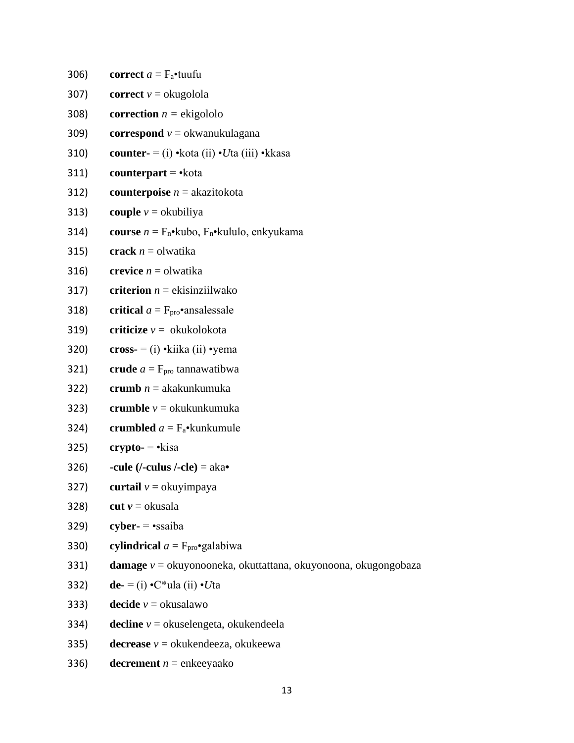306) **correct**  $a = F_a$ •tuufu 307) **correct**  $v =$  okugolola 308) **correction**  $n =$  ekigololo 309) **correspond** *v* = okwanukulagana 310) **counter-** = (i) •kota (ii) •*U*ta (iii) •kkasa 311) **counterpart** =  $\cdot$ kota 312) **counterpoise** *n* = akazitokota 313) **couple**  $v =$  okubiliya 314) **course**  $n = F_n \cdot kub$ ,  $F_n \cdot kululo$ , enkyukama 315) **crack**  $n =$  olwatika 316) **crevice**  $n =$  olwatika 317) **criterion**  $n =$  ekisinziilwako 318) **critical**  $a = F_{\text{pro}} \cdot$ **ansalessale** 319) **criticize** *v* = okukolokota 320) **cross-** = (i)  $\cdot$ kiika (ii)  $\cdot$ yema 321) **crude**  $a = F_{\text{pro}}$  tannawatibwa 322) **crumb** *n* = akakunkumuka 323) **crumble** *v* = okukunkumuka 324) **crumbled**  $a = F_a$ •kunkumule 325) **crypto-** = •kisa 326) **-cule (/-culus /-cle)** = aka**•** 327) **curtail**  $v =$  okuyimpaya 328) **cut**  $v =$  okusala 329) **cyber-** = •ssaiba 330) **cylindrical**  $a = F_{\text{pro}}$ •galabiwa 331) **damage** *v* = okuyonooneka, okuttattana, okuyonoona, okugongobaza 332) **de-** = (i) •C\*ula (ii) •*U*ta 333) **decide**  $v =$  okusalawo 334) **decline** *v* = okuselengeta, okukendeela 335) **decrease**  $v =$  okukendeeza, okukeewa 336) **decrement**  $n =$  enkeeyaako

13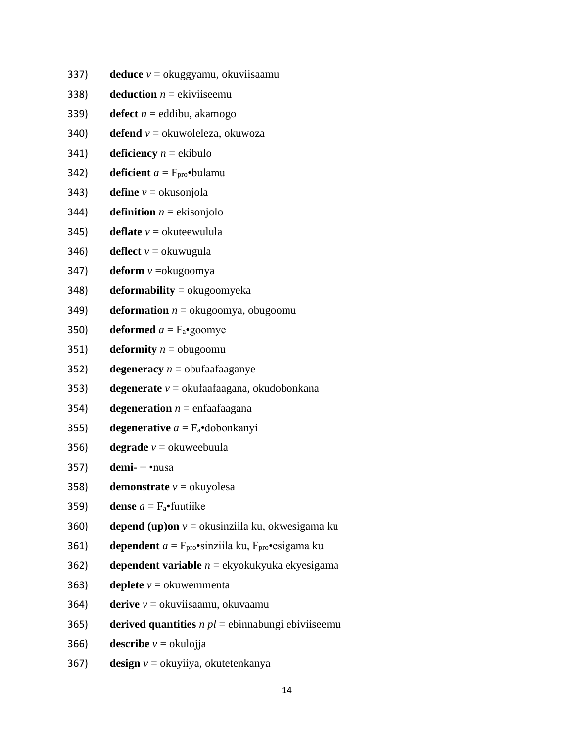- 337) **deduce** *v* = okuggyamu, okuviisaamu
- 338) **deduction**  $n =$  ekiviiseemu
- 339) **defect**  $n =$  eddibu, akamogo
- 340) **defend** *v* = okuwoleleza, okuwoza
- 341) **deficiency**  $n =$  ekibulo
- 342) **deficient**  $a = F_{\text{pro}} \cdot \text{b}$  bulamu
- 343) **define**  $v =$  okusonjola
- 344) **definition**  $n =$  ekisonjolo
- 345) **deflate**  $v =$  okutee wulula
- 346) **deflect**  $v =$  okuwugula
- 347) **deform** *v* =okugoomya
- 348) **deformability** = okugoomyeka
- 349) **deformation**  $n =$  okugoomya, obugoomu
- 350) **deformed**  $a = F_a$ •goomye
- 351) **deformity**  $n =$  obugoomu
- 352) **degeneracy**  $n =$  obufaafaaganye
- 353) **degenerate** *v* = okufaafaagana, okudobonkana
- 354) **degeneration**  $n =$  enfaafaagana
- 355) **degenerative**  $a = F_a$ •dobonkanyi
- 356) **degrade**  $v =$  okuweebuula
- 357) **demi-** = •nusa
- 358) **demonstrate**  $v =$  okuyolesa
- 359) **dense**  $a = F_a$ •fuutiike
- 360) **depend (up)on** *v* = okusinziila ku, okwesigama ku
- 361) **dependent**  $a = F_{\text{pro}} \cdot \sin \theta$  ku,  $F_{\text{pro}} \cdot \cos \theta$  ku
- 362) **dependent variable** *n* = ekyokukyuka ekyesigama
- 363) **deplete**  $v =$  okuwemmenta
- 364) **derive** *v* = okuviisaamu, okuvaamu
- 365) **derived quantities** *n pl* = ebinnabungi ebiviiseemu
- 366) **describe**  $v =$  okulojja
- 367) **design** *v* = okuyiiya, okutetenkanya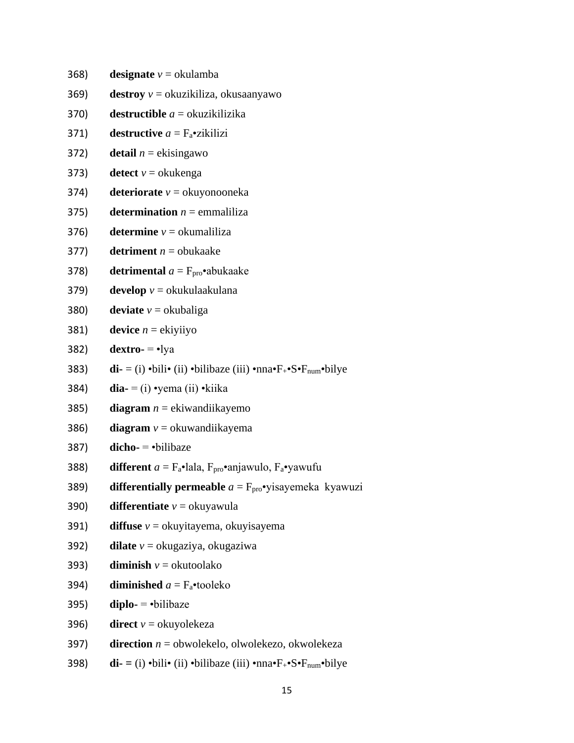368) **designate**  $v =$  okulamba

- 369) **destroy** *v* = okuzikiliza, okusaanyawo
- 370) **destructible** *a* = okuzikilizika
- 371) **destructive**  $a = F_a$ **•**zikilizi
- 372) **detail**  $n =$  ekisingawo
- 373) **detect**  $v =$  okukenga
- 374) **deteriorate** *v* = okuyonooneka
- 375) **determination**  $n = \text{emmaliliza}$
- 376) **determine**  $v =$  okumaliliza
- 377) **detriment**  $n =$  obukaake
- 378) **detrimental**  $a = F_{\text{pro}} \cdot$ abukaake
- 379) **develop** *v* = okukulaakulana
- 380) **deviate**  $v =$  okubaliga
- 381) **device**  $n =$ **ekiyiiyo**
- 382) **dextro-** = •lya
- 383) **di-** = (i) •bili• (ii) •bilibaze (iii) •nna•F+•S•Fnum•bilye
- 384) **dia-** = (i) •yema (ii) •kiika
- 385) **diagram** *n* = ekiwandiikayemo
- 386) **diagram**  $v =$  okuwandiikayema
- 387) **dicho-** = •bilibaze
- 388) **different**  $a = F_a \cdot \text{lala}$ ,  $F_{\text{pro}} \cdot \text{anjawulo}$ ,  $F_a \cdot \text{yawufu}$
- 389) **differentially permeable**  $a = F_{\text{pro}} \cdot y$ isayemeka kyawuzi
- 390) **differentiate**  $v =$  okuyawula
- 391) **diffuse** *v* = okuyitayema, okuyisayema
- 392) **dilate** *v* = okugaziya, okugaziwa
- 393) **diminish**  $v =$  okutoolako
- 394) **diminished**  $a = F_a$ •tooleko
- $395$ ) **diplo-**  $\rightarrow$  bilibaze
- 396) **direct**  $v =$  okuyolekeza
- 397) **direction** *n* = obwolekelo, olwolekezo, okwolekeza
- 398) **di- =** (i) •bili• (ii) •bilibaze (iii) •nna•F+•S•Fnum•bilye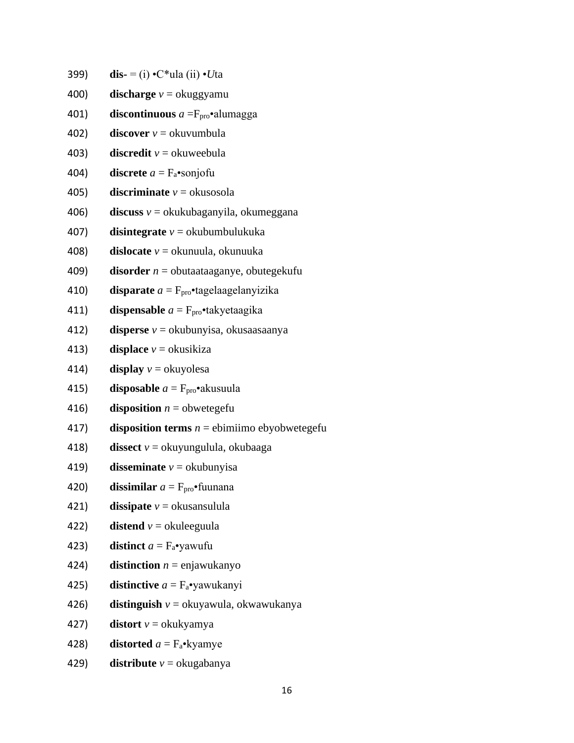399) **dis-** = (i) •C\*ula (ii) •*U*ta

- 400) **discharge** *v* = okuggyamu
- 401) **discontinuous**  $a = F_{\text{pro}} \cdot \text{alumagga}$
- 402) **discover**  $v =$  okuvumbula
- 403) **discredit**  $v =$  okuweebula
- 404) **discrete**  $a = F_a$ •sonjofu
- 405) **discriminate**  $v = \text{okusosola}$
- 406) **discuss** *v* = okukubaganyila, okumeggana
- 407) **disintegrate** *v* = okubumbulukuka
- 408) **dislocate** *v* = okunuula, okunuuka
- 409) **disorder** *n* = obutaataaganye, obutegekufu
- 410) **disparate**  $a = F_{\text{pro}} \cdot$ tagelaagelanyizika
- 411) **dispensable**  $a = F_{\text{pro}} \cdot$ takyetaagika
- 412) **disperse** *v* = okubunyisa, okusaasaanya
- 413) **displace**  $v =$  okusikiza
- 414) **display**  $v =$  okuyolesa
- 415) **disposable**  $a = F_{\text{pro}} \cdot a$  akusuula
- 416) **disposition**  $n =$  obwetegefu
- 417) **disposition terms**  $n =$  ebimiimo ebyobwetegefu
- 418) **dissect** *v* = okuyungulula, okubaaga
- 419) **disseminate**  $v =$  okubunyisa
- 420) **dissimilar**  $a = F_{\text{pro}} \cdot$ fuunana
- 421) **dissipate**  $v =$  okusansulula
- 422) **distend**  $v =$  okuleeguula
- 423) **distinct**  $a = F_a$ •yawufu
- 424) **distinction**  $n =$  enjawukanyo
- 425) **distinctive**  $a = F_a$ •yawukanyi
- 426) **distinguish** *v* = okuyawula, okwawukanya
- 427) **distort**  $v =$  okukyamya
- 428) **distorted**  $a = F_a \cdot k$  yamye
- 429) **distribute**  $v =$  okugabanya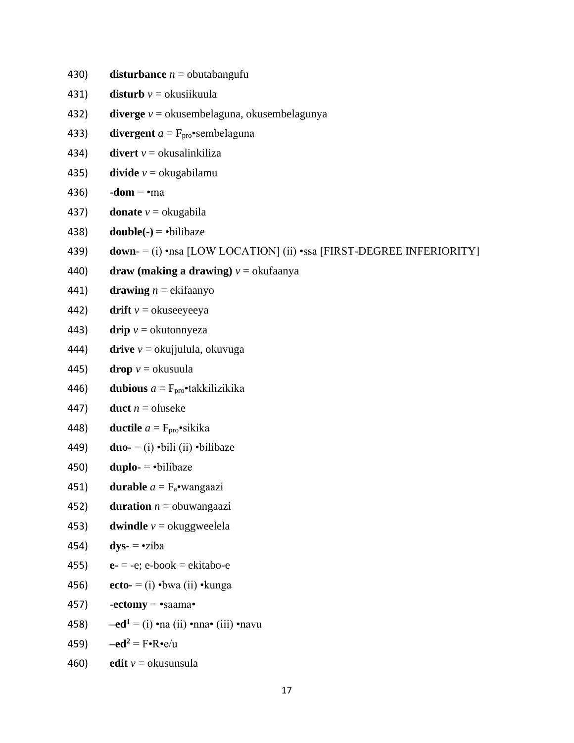430) **disturbance**  $n =$  obutabangufu

- 431) **disturb**  $v =$  okusiikuula
- 432) **diverge** *v* = okusembelaguna, okusembelagunya
- 433) **divergent**  $a = F_{\text{pro}} \cdot \text{sembelaguna}$
- 434) **divert**  $v =$  okusalinkiliza
- 435) **divide**  $v =$  okugabilamu
- 436) **-dom** =  $\cdot$ ma
- 437) **donate**  $v =$  okugabila
- 438) **double(-)** =  $\cdot$ bilibaze
- 439) **down** = (i) •nsa [LOW LOCATION] (ii) •ssa [FIRST-DEGREE INFERIORITY]
- 440) **draw (making a drawing)**  $v =$  okufaanya
- 441) **drawing**  $n =$  ekifaanyo
- 442) **drift**  $v =$  okuseeyeeya
- 443) **drip**  $v =$  okutonnyeza
- 444) **drive** *v* = okujjulula, okuvuga
- 445) **drop**  $v =$  okusuula
- 446) **dubious**  $a = F_{\text{pro}}$ **•takkilizikika**
- 447) **duct**  $n =$  oluseke
- 448) **ductile**  $a = F_{\text{pro}} \cdot \text{sikika}$
- 449) **duo-** = (i) •bili (ii) •bilibaze
- 450) **duplo-**  $=$  •bilibaze
- 451) **durable**  $a = F_a$ •wangaazi
- 452) **duration**  $n =$  obuwangaazi
- 453) **dwindle**  $v =$  okuggweelela
- 454) **dys-** = •ziba
- 455) **e-**  $= -e$ ; e-book  $=$  ekitabo-e
- 456) **ecto-** = (i) •bwa (ii) •kunga
- 457) **-ectomy** =  $\text{``saama''}$
- 458) **–ed**<sup>1</sup> = (i) •na (ii) •nna• (iii) •navu
- 459)  $-\text{ed}^2 = \text{F} \cdot \text{R} \cdot \text{e/u}$
- 460) **edit**  $v =$  okusunsula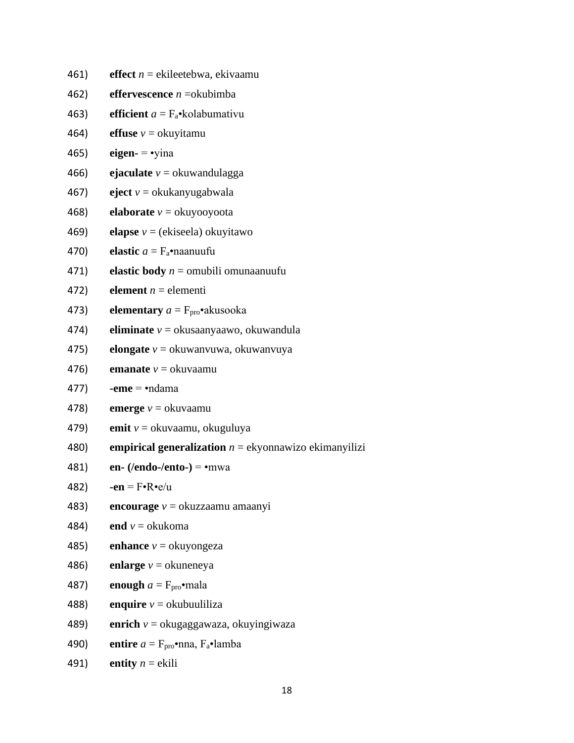461) **effect** *n* = ekileetebwa, ekivaamu 462) **effervescence** *n* =okubimba 463) **efficient**  $a = F_a$ •kolabumativu 464) **effuse**  $v =$  okuyitamu 465) **eigen-** = •yina 466) **ejaculate**  $v =$ okuwandulagga 467) **eject** *v* = okukanyugabwala 468) **elaborate** *v* = okuyooyoota 469) **elapse** *v* = (ekiseela) okuyitawo 470) **elastic** *a* = Fa•naanuufu 471) **elastic body** *n* = omubili omunaanuufu 472) **element**  $n =$  elementi 473) **elementary**  $a = F_{\text{pro}} \cdot a$ kusooka 474) **eliminate** *v* = okusaanyaawo, okuwandula 475) **elongate** *v* = okuwanvuwa, okuwanvuya 476) **emanate**  $v =$  okuvaamu 477) **-eme** = •ndama 478) **emerge** *v* = okuvaamu 479) **emit** *v* = okuvaamu, okuguluya 480) **empirical generalization** *n* = ekyonnawizo ekimanyilizi 481) **en- (/endo-/ento-)** = •mwa 482) **-en** =  $\mathbf{F} \cdot \mathbf{R} \cdot \mathbf{e} / \mathbf{u}$ 483) **encourage** *v* = okuzzaamu amaanyi 484) **end**  $v =$  okukoma 485) **enhance**  $v =$  okuyongeza 486) **enlarge**  $v =$  okuneneya 487) **enough**  $a = F_{\text{pro}} \cdot \text{mala}$ 488) **enquire**  $v =$  okubuuliliza 489) **enrich** *v* = okugaggawaza, okuyingiwaza 490) **entire**  $a = F_{\text{pro}} \cdot \text{mna}$ ,  $F_a \cdot \text{lamba}$ 491) **entity**  $n =$ **ekili**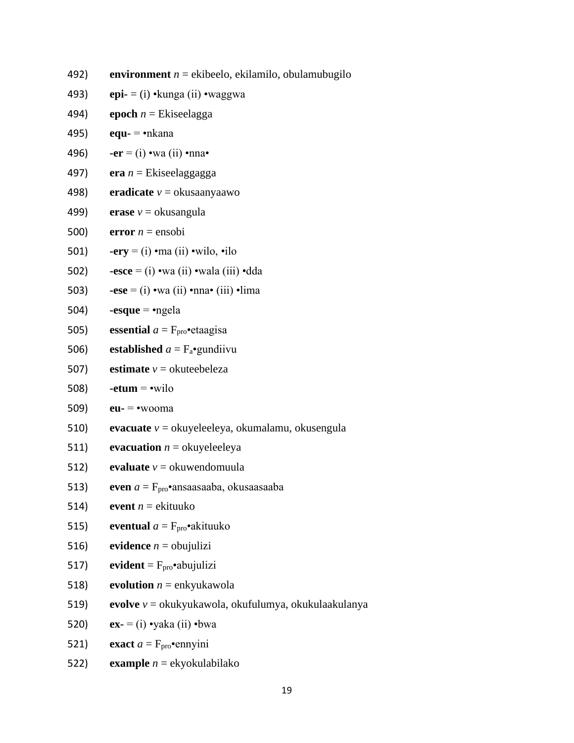492) **environment** *n* = ekibeelo, ekilamilo, obulamubugilo

- 493) **epi-** = (i) •kunga (ii) •waggwa
- 494) **epoch**  $n =$  Ekiseelagga
- 495) **equ-** = •nkana
- 496) **-er** = (i) •wa (ii) •nna•
- 497) **era** *n* = Ekiseelaggagga
- 498) **eradicate** *v* = okusaanyaawo
- 499) **erase**  $v =$  okusangula
- 500) **error**  $n = \text{ensobi}$
- 501) **-ery** = (i) •ma (ii) •wilo, •ilo
- 502) **-esce** = (i) •wa (ii) •wala (iii) •dda
- 503) **-ese** = (i) •wa (ii) •nna• (iii) •lima
- 504) **-esque** = •ngela
- 505) **essential**  $a = F_{\text{pro}} \cdot e$  etaagisa
- 506) **established**  $a = F_a$ •gundiivu
- 507) **estimate**  $v =$  okuteebeleza
- 508) **-etum** = •wilo
- 509) **eu-** = •wooma
- 510) **evacuate** *v* = okuyeleeleya, okumalamu, okusengula
- 511) **evacuation**  $n =$  okuyeleeleya
- 512) **evaluate**  $v =$  okuwendomuula
- 513) **even**  $a = F_{\text{pro}}$ •ansaasaaba, okusaasaaba
- 514) **event**  $n =$  ekituuko
- 515) **eventual**  $a = F_{\text{pro}} \cdot a$ kituuko
- 516) **evidence**  $n =$  obujulizi
- 517) **evident** =  $F_{\text{pro}}$ •abujulizi
- 518) **evolution**  $n =$  enkyukawola
- 519) **evolve** *v* = okukyukawola, okufulumya, okukulaakulanya
- 520) **ex-** = (i) •yaka (ii) •bwa
- 521) **exact**  $a = F_{\text{pro}}$  **e**nnyini
- 522) **example** *n* = ekyokulabilako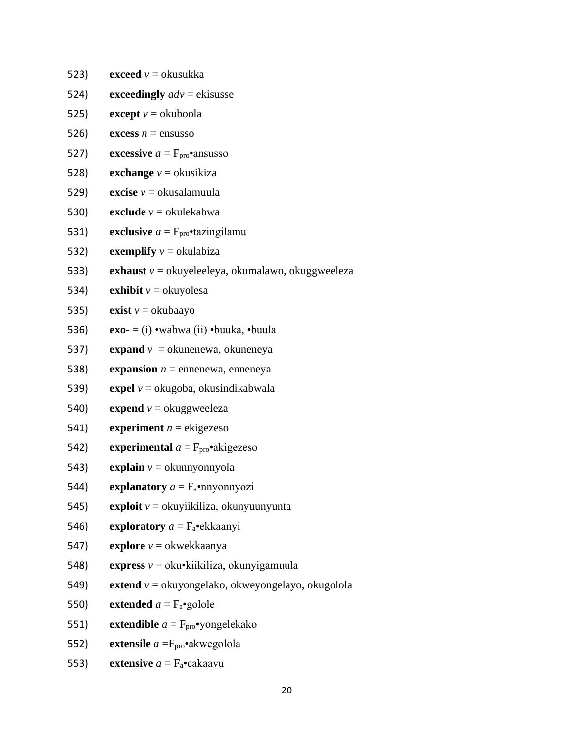523) **exceed**  $v =$  okusukka 524) **exceedingly**  $adv$  = ekisusse 525) **except**  $v =$  okuboola 526) **excess**  $n =$  ensusso 527) **excessive**  $a = F_{\text{pro}}$  ansusso 528) **exchange**  $v =$  okusikiza 529) **excise**  $v =$  okusalamuula 530) **exclude**  $v =$  okulekabwa 531) **exclusive**  $a = F_{\text{pro}}$  **exclusive**  $f_{\text{pro}}$  **exclusive**  $f_{\text{pro}}$  **exclusive**  $f_{\text{pro}}$  **exclusive**  $f_{\text{pro}}$  **exclusive**  $f_{\text{pro}}$  **exclusive**  $f_{\text{pro}}$  **exclusive**  $f_{\text{pro}}$  **exclusive**  $f_{\text{pro}}$  **exclusive**  $f_{\$ 532) **exemplify**  $v =$  okulabiza 533) **exhaust** *v* = okuyeleeleya, okumalawo, okuggweeleza 534) **exhibit**  $v =$  okuvolesa 535) **exist**  $v =$  okubaayo 536) **exo-** = (i) •wabwa (ii) •buuka, •buula 537) **expand**  $v =$  okunenewa, okuneneya 538) **expansion**  $n =$  ennenewa, enneneya 539) **expel** *v* = okugoba, okusindikabwala 540) **expend**  $v =$  okuggweeleza 541) **experiment**  $n =$  ekigezeso 542) **experimental**  $a = F_{\text{pro}} \cdot \text{akigezeso}$ 543) **explain**  $v =$  okunnyonnyola 544) **explanatory**  $a = F_a$ •nnyonnyozi 545) **exploit** *v* = okuyiikiliza, okunyuunyunta 546) **exploratory** *a* = Fa•ekkaanyi 547) **explore** *v* = okwekkaanya 548) **express** *v* = oku•kiikiliza, okunyigamuula 549) **extend** *v* = okuyongelako, okweyongelayo, okugolola 550) **extended**  $a = F_a$ •golole

551) **extendible**  $a = F_{\text{pro}} \cdot \text{yongelekako}$ 

552) **extensile** *a* =Fpro•akwegolola

553) **extensive**  $a = F_a$ •cakaavu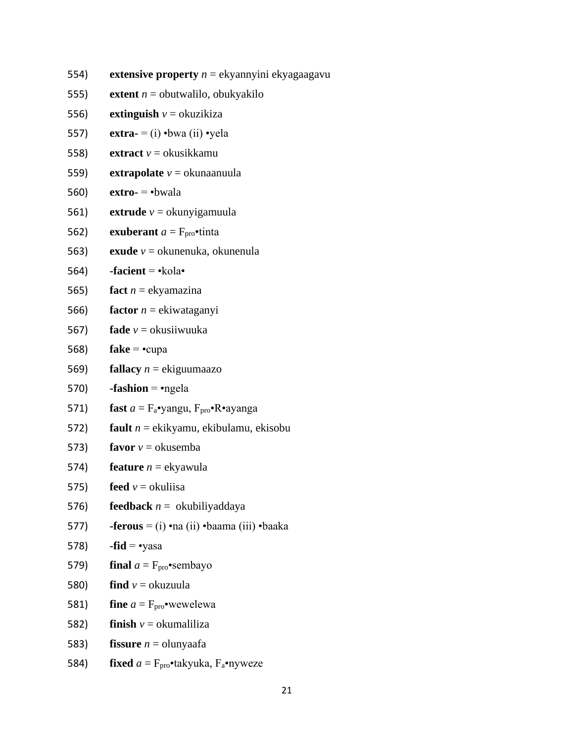554) **extensive property** *n* = ekyannyini ekyagaagavu

- 555) **extent**  $n =$  obutwalilo, obukyakilo
- 556) **extinguish**  $v =$  okuzikiza
- 557) **extra-** = (i) •bwa (ii) •yela
- 558) **extract** *v* = okusikkamu
- 559) **extrapolate** *v* = okunaanuula
- 560) **extro-** = •bwala
- 561) **extrude** *v* = okunyigamuula
- 562) **exuberant**  $a = F_{\text{pro}} \cdot \text{tinta}$
- 563) **exude** *v* = okunenuka, okunenula
- 564) **-facient** = •kola•
- 565) **fact**  $n =$  ekyamazina
- 566) **factor** *n* = ekiwataganyi
- 567) **fade** *v* = okusiiwuuka
- 568) **fake** = •cupa
- 569) **fallacy** *n* = ekiguumaazo
- 570)  $-fashion = \text{negela}$
- 571) **fast**  $a = F_a$ •yangu,  $F_{\text{pro}}$ •R•ayanga
- 572) **fault** *n* = ekikyamu, ekibulamu, ekisobu
- 573) **favor**  $v =$  okusemba
- 574) **feature**  $n =$ **e**kyawula
- 575) **feed**  $v =$  okuliisa
- 576) **feedback** *n* = okubiliyaddaya
- 577) **-ferous** = (i) •na (ii) •baama (iii) •baaka
- 578) **-fid** =  $\text{·yasa}$
- 579) **final**  $a = F_{\text{pro}}$  **•** sembayo
- 580) **find**  $v =$  okuzuula
- 581) **fine**  $a = F_{\text{pro}} \cdot$  wewelewa
- 582) **finish**  $v =$  okumaliliza
- 583) **fissure**  $n =$  olunyaafa
- 584) **fixed**  $a = F_{\text{pro}} \cdot \text{takyuka}, F_a \cdot \text{nyweze}$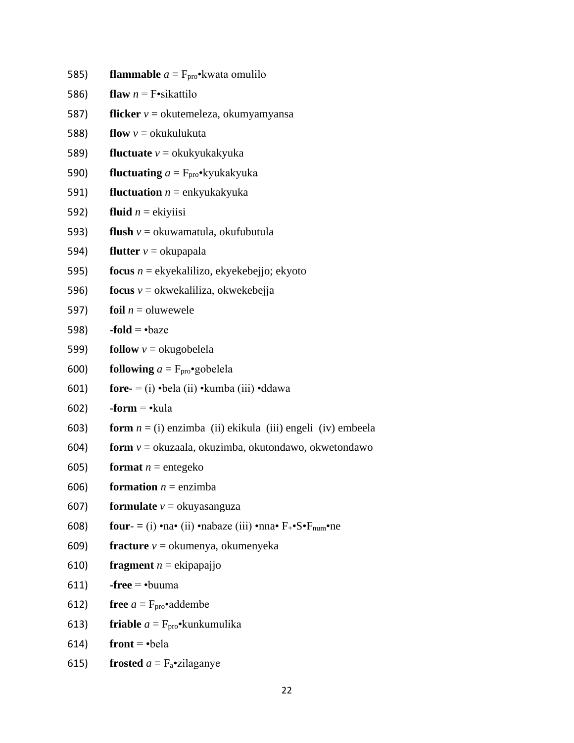585) **flammable**  $a = F_{\text{pro}} \cdot k$  wata omulilo

- 586) **flaw**  $n = F$ •sikattilo
- 587) **flicker** *v* = okutemeleza, okumyamyansa
- 588) **flow**  $v =$  okukulukuta
- 589) **fluctuate** *v* = okukyukakyuka
- 590) **fluctuating** *a* = Fpro•kyukakyuka
- 591) **fluctuation** *n* = enkyukakyuka
- 592) **fluid**  $n =$  ekiyiisi
- 593) **flush** *v* = okuwamatula, okufubutula
- 594) **flutter**  $v =$  okupapala
- 595) **focus** *n* = ekyekalilizo, ekyekebejjo; ekyoto
- 596) **focus** *v* = okwekaliliza, okwekebejja
- 597) **foil**  $n =$  oluwewele
- 598) **-fold** =  $\cdot$ baze
- 599) **follow**  $v =$  okugobelela
- 600) **following**  $a = F_{\text{pro}} \cdot$ gobelela
- 601) **fore-** = (i) •bela (ii) •kumba (iii) •ddawa
- 602) **-form** = •kula
- 603) **form** *n* = (i) enzimba (ii) ekikula (iii) engeli (iv) embeela
- 604) **form** *v* = okuzaala, okuzimba, okutondawo, okwetondawo
- 605) **format**  $n =$  entegeko
- 606) **formation**  $n =$  enzimba
- 607) **formulate**  $v =$  okuyasanguza
- 608) **four**  $=$  (i) •na• (ii) •nabaze (iii) •nna•  $F_+$ •S• $F_{num}$ •ne
- 609) **fracture** *v* = okumenya, okumenyeka
- 610) **fragment**  $n =$  ekipapajjo
- 611) **-free** = •buuma
- 612) **free**  $a = F_{\text{pro}} \cdot \text{addembe}$
- 613) **friable**  $a = F_{\text{pro}} \cdot k$ unkumulika
- $614$ ) **front** =  $\text{·bela}$
- 615) **frosted**  $a = F_a$ •zilaganye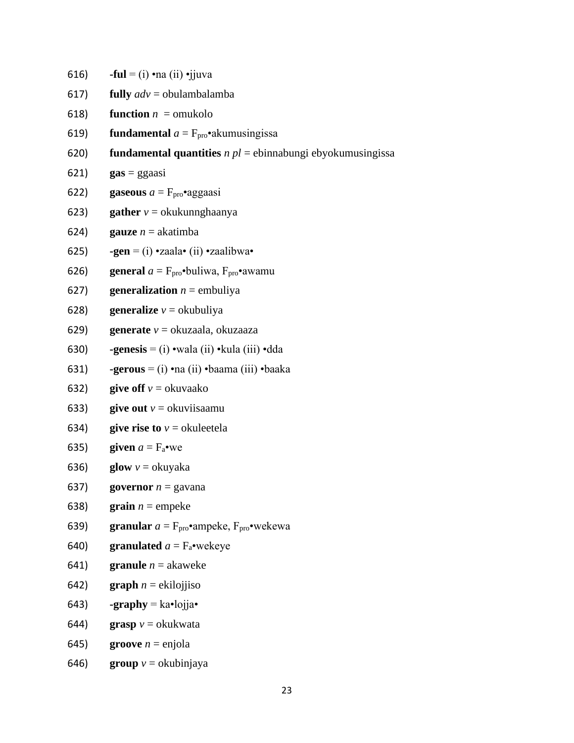616) **-ful** = (i) •na (ii) •jjuva 617) **fully** *adv* = obulambalamba 618) **function**  $n =$  omukolo 619) **fundamental**  $a = F_{\text{pro}} \cdot a$  kumusingissa 620) **fundamental quantities** *n pl* = ebinnabungi ebyokumusingissa 621) **gas** = ggaasi 622) **gaseous**  $a = F_{\text{pro}}$ •aggaasi 623) **gather**  $v =$  okukunnghaanya 624) **gauze**  $n =$ **akatimba** 625) **-gen** = (i) •zaala• (ii) •zaalibwa• 626) **general**  $a = F_{\text{pro}} \cdot \text{buliwa}, F_{\text{pro}} \cdot \text{awamu}$ 627) **generalization**  $n =$  embuliya 628) **generalize**  $v =$  okubuliya 629) **generate** *v* = okuzaala, okuzaaza 630) **-genesis** = (i) •wala (ii) •kula (iii) •dda 631) **-gerous** = (i) •na (ii) •baama (iii) •baaka 632) **give off**  $v =$  okuvaako 633) **give out**  $v =$  okuviisaamu 634) **give rise to**  $v =$  okuleetela 635) **given**  $a = F_a$ •we 636) **glow**  $v =$  okuyaka 637) **governor**  $n =$  gavana 638) **grain**  $n =$  empeke 639) **granular**  $a = F_{\text{pro}} \cdot$ ampeke,  $F_{\text{pro}} \cdot$ wekewa 640) **granulated**  $a = F_a$ •wekeye 641) **granule**  $n =$  akaweke 642) **graph**  $n =$  ekilojjiso 643) **-graphy** =  $ka \cdot lojja \cdot$ 644) **grasp**  $v =$  okukwata

- 645) **groove**  $n =$  enjola
- 646) **group**  $v =$  okubinjaya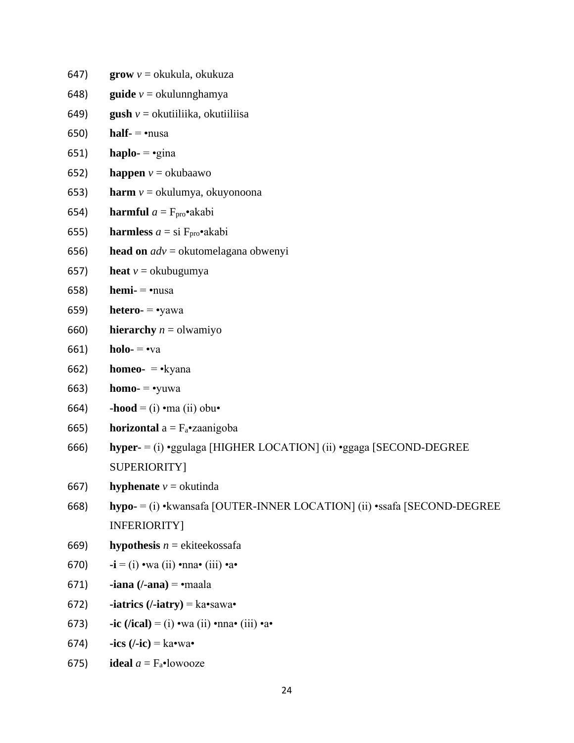647) **grow** *v* = okukula, okukuza 648) **guide** *v* = okulunnghamya 649) **gush** *v* = okutiiliika, okutiiliisa 650) **half-** = •nusa 651) **haplo-**  $= \text{e}$ gina 652) **happen**  $v =$  okubaawo 653) **harm** *v* = okulumya, okuyonoona 654) **harmful**  $a = F_{\text{pro}} \cdot a$ kabi 655) **harmless**  $a = \text{si } F_{\text{pro}} \cdot \text{akabi}$ 656) **head on** *adv* = okutomelagana obwenyi 657) **heat**  $v =$  okubugumya 658) **hemi-** = •nusa 659) **hetero-** = •yawa 660) **hierarchy**  $n =$  olwamiyo 661) **holo-** = •va 662) **homeo-** = •kyana 663) **homo-** = •yuwa 664) **-hood** = (i) •ma (ii) obu• 665) **horizontal**  $a = F_a$ •zaanigoba 666) **hyper-** = (i) •ggulaga [HIGHER LOCATION] (ii) •ggaga [SECOND-DEGREE SUPERIORITY] 667) **hyphenate**  $v =$  okutinda 668) **hypo-** = (i) •kwansafa [OUTER-INNER LOCATION] (ii) •ssafa [SECOND-DEGREE INFERIORITY] 669) **hypothesis**  $n =$  ekiteekossafa 670) **-i** = (i) •wa (ii) •nna• (iii) •a• 671) **-iana (/-ana)** = •maala 672) **-iatrics**  $($ -**iatry** $) =$ **ka•**sawa• 673) **-ic**  $(lical) = (i)$  •wa (ii) •nna• (iii) •a• 674)  $-ics$  ( $\ell$ -ic)  $=$  ka $\cdot$ wa $\cdot$ 675) **ideal**  $a = F_a$ •lowooze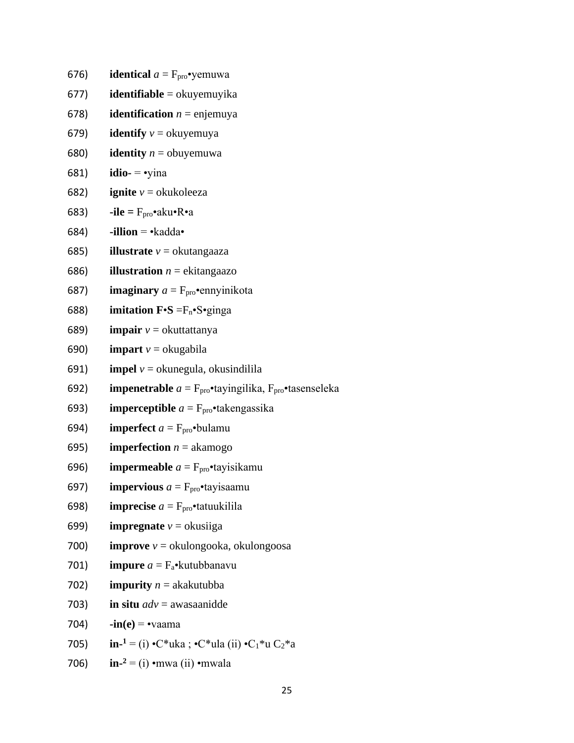676) **identical**  $a = F_{\text{pro}} \cdot \text{yemuwa}$ 

- 677) **identifiable** = okuyemuyika
- 678) **identification**  $n =$  enjemuya
- 679) **identify**  $v =$  okuyemuya
- 680) **identity**  $n =$  obuyemuwa
- 681) **idio-** = •yina
- 682) **ignite**  $v =$  okukoleeza
- 683) **-ile** =  $F_{\text{pro}} \cdot \text{aku} \cdot \text{R} \cdot \text{a}$
- 684)  $\bullet$ **illion**  $=\bullet$ kadda $\bullet$
- 685) **illustrate** *v* = okutangaaza
- 686) **illustration**  $n =$  ekitangaazo
- 687) **imaginary**  $a = F_{\text{pro}} \cdot \text{emy}$ inikota
- 688) **imitation**  $\mathbf{F} \cdot \mathbf{S} = F_n \cdot S \cdot \text{ginga}$
- 689) **impair** *v* = okuttattanya
- 690) **impart**  $v =$  okugabila
- 691) **impel**  $v =$  okunegula, okusindilila
- 692) **impenetrable**  $a = F_{\text{pro}} \cdot$ tayingilika,  $F_{\text{pro}} \cdot$ tasenseleka
- 693) **imperceptible**  $a = F_{\text{pro}} \cdot \text{takengassika}$
- 694) **imperfect**  $a = F_{\text{pro}} \cdot \text{b}$  bulamu
- 695) **imperfection**  $n =$  akamogo
- 696) **impermeable**  $a = F_{\text{pro}}$  **t**ay is ikamu
- 697) **impervious**  $a = F_{\text{pro}}$ **tayisaamu**
- 698) **imprecise**  $a = F_{\text{pro}} \cdot \text{tatuukilila}$
- 699) **impregnate**  $v =$  okusiiga
- 700) **improve** *v* = okulongooka, okulongoosa
- 701) **impure** *a* = Fa•kutubbanavu
- 702) **impurity**  $n =$  akakutubba
- 703) **in situ** *adv* = awasaanidde
- 704)  $-in(e) = -va$ ama
- 705) **inin-**<sup>1</sup> = (i) •C\*uka ; •C\*ula (ii) •C<sub>1</sub>\*u C<sub>2</sub>\*a
- 706) **inin-** $2 =$ (i) •mwa (ii) •mwala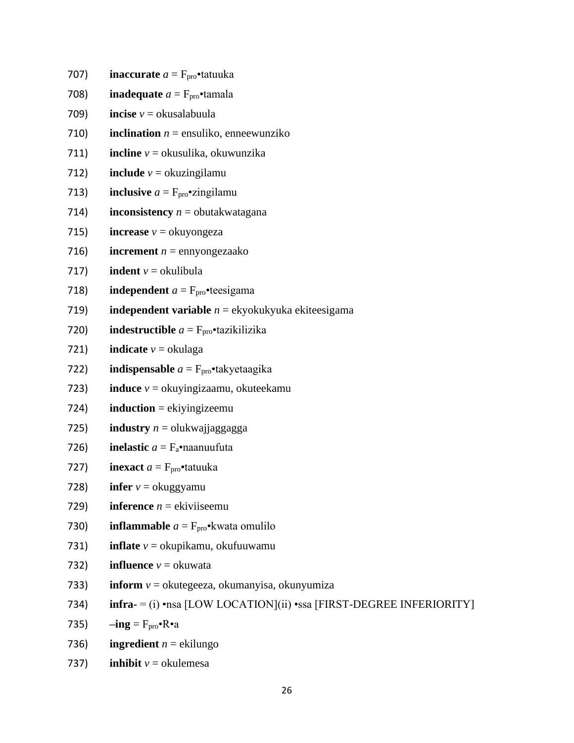707) **inaccurate**  $a = F_{\text{pro}}$ **tatuuka** 

- 708) **inadequate**  $a = F_{\text{pro}}$  **tamala**
- 709) **incise** *v* = okusalabuula
- 710) **inclination**  $n =$  ensuliko, enneewunziko
- 711) **incline** *v* = okusulika, okuwunzika
- 712) **include**  $v =$  okuzingilamu
- 713) **inclusive**  $a = F_{\text{pro}} \cdot \text{zingular}$
- 714) **inconsistency**  $n =$  obutakwatagana
- 715) **increase**  $v =$  okuyongeza
- 716) **increment**  $n =$  ennyongezaako
- 717) **indent**  $v =$  okulibula
- 718) **independent**  $a = F_{\text{pro}}$  **teesigama**
- 719) **independent variable** *n* = ekyokukyuka ekiteesigama
- 720) **indestructible**  $a = F_{\text{pro}}$ **•tazikilizika**
- 721) **indicate**  $v =$  okulaga
- 722) **indispensable**  $a = F_{\text{pro}} \cdot$ takyetaagika
- 723) **induce** *v* = okuyingizaamu, okuteekamu
- 724) **induction** = ekiyingizeemu
- 725) **industry**  $n =$  olukwajjaggagga
- 726) **inelastic**  $a = F_a$ •naanuufuta
- 727) **inexact**  $a = F_{\text{pro}} \cdot \text{tatuuka}$
- 728) **infer**  $v =$  okuggyamu
- 729) **inference**  $n =$  ekiviiseemu
- 730) **inflammable**  $a = F_{\text{pro}} \cdot k$  wata omulilo
- 731) **inflate** *v* = okupikamu, okufuuwamu
- 732) **influence**  $v =$  okuwata
- 733) **inform** *v* = okutegeeza, okumanyisa, okunyumiza
- 734) **infra-** = (i) •nsa [LOW LOCATION](ii) •ssa [FIRST-DEGREE INFERIORITY]
- 735)  $-ing = F<sub>pro</sub> \cdot R \cdot a$
- 736) **ingredient**  $n =$  ekilungo
- 737) **inhibit**  $v =$  okulemesa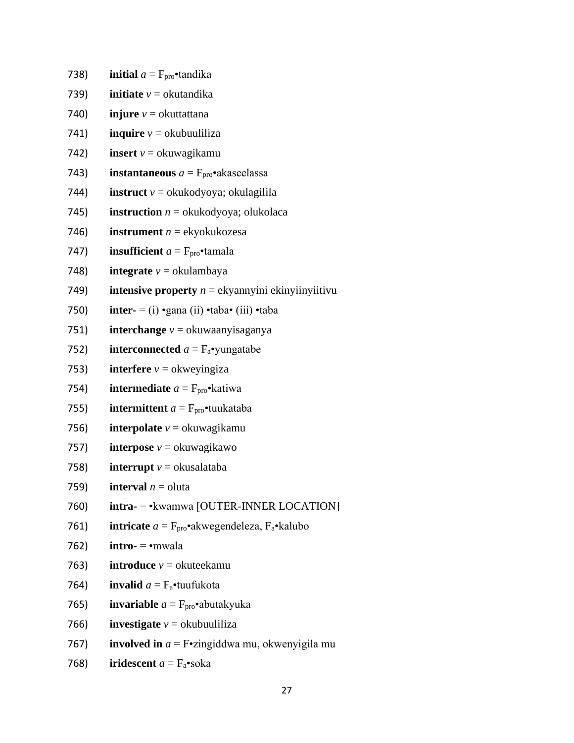738) **initial**  $a = F_{\text{pro}}$  **tandika** 739) **initiate**  $v =$  okutandika 740) **injure**  $v =$  okuttattana 741) **inquire**  $v =$  okubuuliliza 742) **insert** *v* = okuwagikamu 743) **instantaneous**  $a = F_{\text{pro}} \cdot$ akaseelassa 744) **instruct** *v* = okukodyoya; okulagilila 745) **instruction**  $n =$  okukodyoya; olukolaca 746) **instrument** *n* = ekyokukozesa 747) **insufficient**  $a = F_{\text{pro}} \cdot \text{tamala}$ 748) **integrate**  $v =$  okulambaya 749) **intensive property** *n* = ekyannyini ekinyiinyiitivu 750) **inter-** = (i) •gana (ii) •taba• (iii) •taba 751) **interchange** *v* = okuwaanyisaganya 752) **interconnected**  $a = F_a$ •yungatabe 753) **interfere**  $v =$  okweyingiza 754) **intermediate**  $a = F_{\text{pro}} \cdot \text{k}$ atiwa 755) **intermittent**  $a = F_{\text{pro}} \cdot \text{tunkataba}$ 756) **interpolate**  $v =$  okuwagikamu 757) **interpose**  $v =$ okuwagikawo

- 758) **interrupt**  $v =$  okusalataba
- 759) **interval**  $n =$  oluta
- 760) **intra-** = •kwamwa [OUTER-INNER LOCATION]
- 761) **intricate**  $a = F_{\text{pro}} \cdot a$  kwegendeleza,  $F_a \cdot k$ alubo
- 762) **intro-**  $=$  •mwala
- 763) **introduce**  $v =$  okuteekamu
- 764) **invalid**  $a = F_a$ •tuufukota
- 765) **invariable**  $a = F_{\text{pro}} \cdot \text{abutakyuka}$
- 766) **investigate**  $v =$  okubuuliliza
- 767) **involved in** *a* = F•zingiddwa mu, okwenyigila mu
- 768) **iridescent**  $a = F_a$ •soka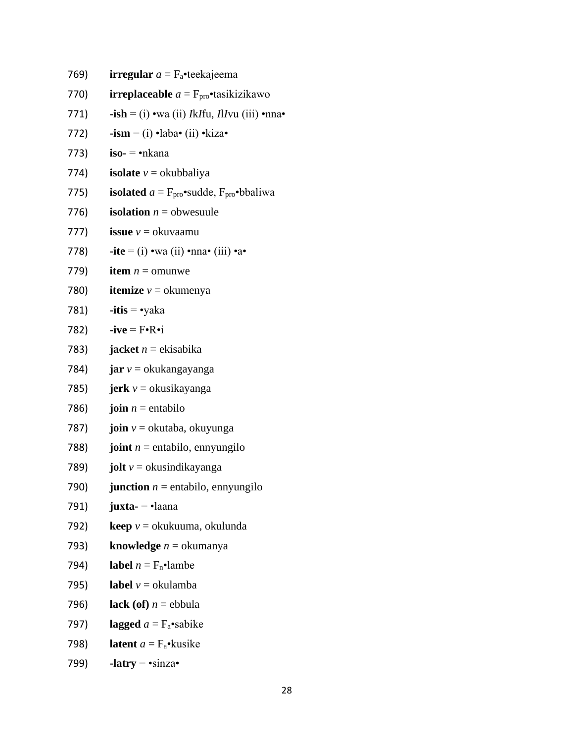769) **irregular**  $a = F_a$ •teekajeema

- 770) **irreplaceable**  $a = F_{\text{pro}}$ **•**tasikizikawo
- 771) **-ish** = (i) •wa (ii) *I*k*I*fu, *I*l*I*vu (iii) •nna•
- 772) **-ism** = (i) •laba• (ii) •kiza•
- 773) **iso-** = •nkana
- 774) **isolate**  $v =$  okubbaliya
- 775) **isolated**  $a = F_{\text{pro}} \cdot \text{suded}$ ,  $F_{\text{pro}} \cdot \text{bbaliwa}$
- 776) **isolation**  $n =$  obwesuule
- 777) **issue**  $v =$  okuvaamu
- 778)  $\textbf{ite} = (i) \cdot \text{wa} \text{ (ii) } \cdot \text{nna} \cdot \text{ (iii) } \cdot \text{a} \cdot \text{b}$
- 779) **item**  $n =$  omunwe
- 780) **itemize**  $v =$ okumenya
- 781) **-itis** = •yaka
- 782) **-ive** = F•R•i
- 783) **jacket**  $n =$ ekisabika
- 784) **jar** *v* = okukangayanga
- 785) **jerk** *v* = okusikayanga
- 786) **join**  $n =$  entabilo
- 787) **join** *v* = okutaba, okuyunga
- 788) **joint**  $n =$  entabilo, ennyungilo
- 789) **jolt** *v* = okusindikayanga
- 790) **junction**  $n =$  entabilo, ennyungilo
- 791) **juxta-** = •laana
- 792) **keep** *v* = okukuuma, okulunda
- 793) **knowledge** *n* = okumanya
- 794) **label**  $n = F_n \cdot \text{lambe}$
- 795) **label**  $v =$  okulamba
- 796) **lack** (of)  $n =$  ebbula
- 797) **lagged**  $a = F_a$ •sabike
- 798) **latent**  $a = F_a \cdot k$  usike
- 799) **-latry** =  $\cdot$ sinza $\cdot$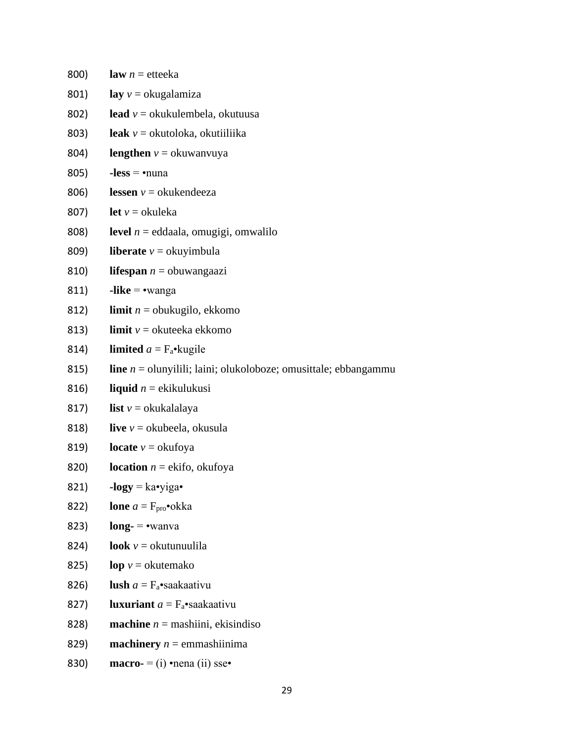| 800) | <b>law</b> $n =$ etteeka                                                 |
|------|--------------------------------------------------------------------------|
| 801) | lay $v =$ okugalamiza                                                    |
| 802) | lead $v =$ okukulembela, okutuusa                                        |
| 803) | leak $v =$ okutoloka, okutiiliika                                        |
| 804) | <b>lengthen</b> $v =$ okuwanyuya                                         |
| 805) | $-less = \cdot$ nuna                                                     |
| 806) | <b>lessen</b> $v =$ okukendeeza                                          |
| 807) | <b>let</b> $v =$ okuleka                                                 |
| 808) | <b>level</b> $n =$ eddaala, omugigi, omwalilo                            |
| 809) | <b>liberate</b> $v =$ okuyimbula                                         |
| 810) | <b>lifespan</b> $n =$ obuwangaazi                                        |
| 811) | $-like = \cdot$ wanga                                                    |
| 812) | <b>limit</b> $n =$ obukugilo, ekkomo                                     |
| 813) | <b>limit</b> $v =$ okuteeka ekkomo                                       |
| 814) | <b>limited</b> $a = F_a \cdot k$ ugile                                   |
| 815) | <b>line</b> $n =$ olunyilili; laini; olukoloboze; omusittale; ebbangammu |
| 816) | <b>liquid</b> $n =$ ekikulukusi                                          |
| 817) | <b>list</b> $v =$ okukalalaya                                            |
| 818) | live $v =$ okubeela, okusula                                             |
| 819) | <b>locate</b> $v =$ okufoya                                              |
| 820) | <b>location</b> $n =$ ekifo, okufoya                                     |
| 821) | $-logy = ka \cdot yiga \cdot$                                            |
| 822) | <b>lone</b> $a = F_{\text{pro}} \cdot \text{okka}$                       |
| 823) | $long$ = $\bullet$ wanva                                                 |
| 824) | <b>look</b> $v =$ okutunuulila                                           |
| 825) | $\log v =$ okutemako                                                     |
| 826) | <b>lush</b> $a = F_a$ •saakaativu                                        |
| 827) | <b>luxuriant</b> $a = F_a$ •saakaativu                                   |
| 828) | <b>machine</b> $n =$ mashiini, ekisindiso                                |
| 829) | <b>machinery</b> $n =$ emmashiinima                                      |
| 830) | macro- = $(i)$ •nena $(ii)$ sse•                                         |

29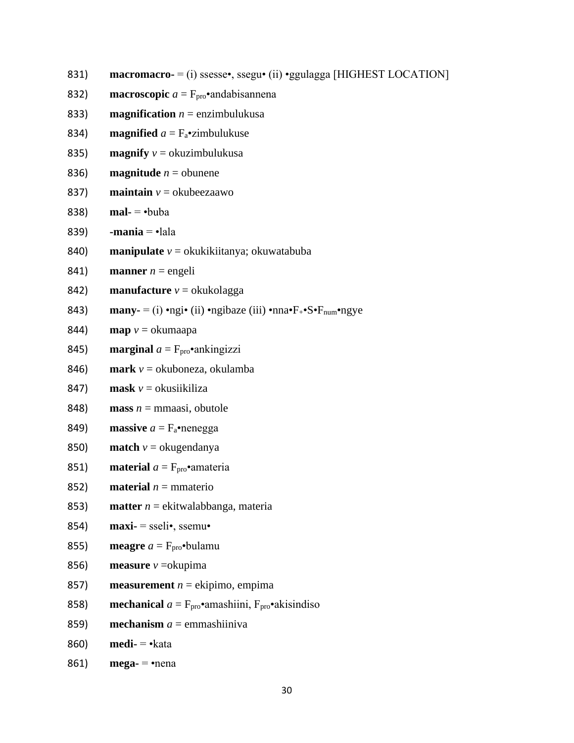- $\textbf{macro}\cdot = \text{(i)}$  ssesse•, ssegu• (ii) •ggulagga [HIGHEST LOCATION] 831)
- 832) **macroscopic**  $a = F_{\text{pro}}$  and abisannena
- 833) **magnification**  $n =$  enzimbulukusa
- 834) **magnified**  $a = F_a$ •zimbulukuse
- **magnify**  $v =$  okuzimbulukusa 835)
- 836) **magnitude**  $n =$  obunene
- **maintain**  $v =$  okubeezaawo 837)
- 838)  $mal- = \cdot buba$
- 839)  $-mania =  $\cdot$ lala$
- 840) **manipulate**  $v =$  okukikiitanya; okuwatabuba
- 841) **manner**  $n = \text{engeli}$
- 842) **manufacture**  $v =$  okukolagga
- 843) **many-** = (i) •ngi• (ii) •ngibaze (iii) •nna• $F_{+}$ • $S$ • $F_{num}$ •ngye
- 844)  $\mathbf{map}$   $v = \alpha$ kumaapa
- **marginal**  $a = F_{\text{pro}} \cdot$ ankingizzi 845)
- 846) **mark**  $v =$  okuboneza, okulamba
- **mask**  $v =$ okusiikiliza 847)
- 848) **mass**  $n =$  mmaasi, obutole
- 849) massive  $a = F_a$ •nenegga
- 850) **match**  $v =$  okugendanya
- 851) **material**  $a = F_{\text{pro}}$  amateria
- 852) **material**  $n =$  mmaterio
- 853) **matter**  $n =$  ekitwalabbanga, materia
- $\text{maxi} = \text{sseli}$ , ssemu 854)
- **meagre**  $a = F_{\text{pro}} \cdot \text{bulamu}$ 855)
- 856) **measure**  $v = okupima$
- 857) **measurement**  $n =$  ekipimo, empima
- 858) **mechanical**  $a = F_{\text{pro}}$ •amashiini,  $F_{\text{pro}}$ •akisindiso
- 859) **mechanism**  $a =$  emmashiiniva
- 860)  $\text{medi} = \text{·kata}$
- 861)  $mega - \n\cdot$ nena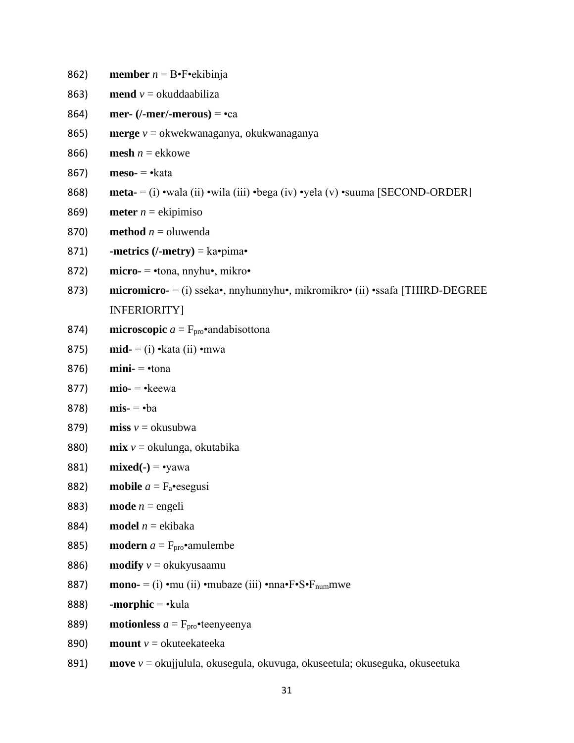- 862) **member** *n* = B•F•ekibinja
- 863) **mend**  $v =$  okuddaabiliza
- 864) **mer- (/-mer/-merous)** = •ca
- 865) **merge** *v* = okwekwanaganya, okukwanaganya
- 866) **mesh**  $n =$  ekkowe
- 867) **meso-** = •kata
- 868) **meta-** = (i) •wala (ii) •wila (iii) •bega (iv) •yela (v) •suuma [SECOND-ORDER]
- 869) **meter**  $n =$  ekipimiso
- 870) **method**  $n =$  oluwenda
- 871) **-metrics (/-metry)** = ka•pima•
- 872) **micro-** = •tona, nnyhu•, mikro•
- 873) **micromicro-** = (i) sseka•, nnyhunnyhu•, mikromikro• (ii) •ssafa [THIRD-DEGREE INFERIORITY]
- 874) **microscopic**  $a = F_{\text{pro}}$  and abisottona
- 875) **mid-** = (i) •kata (ii) •mwa
- 876) **mini-** = •tona
- 877) **mio-** = •keewa
- 878) **mis-** = •ba
- 879) **miss**  $v =$  okusubwa
- 880) **mix** *v* = okulunga, okutabika
- 881) **mixed(-)** = •yawa
- 882) **mobile**  $a = F_a$ •esegusi
- 883) **mode**  $n =$  engeli
- 884) **model**  $n = ekibaka$
- 885) **modern**  $a = F_{\text{pro}} \cdot \text{amulence}$
- 886) **modify**  $v =$  okukyusaamu
- 887) **mono-** = (i) •mu (ii) •mubaze (iii) •nna• $F \cdot S \cdot F$ <sub>num</sub>mwe
- 888) **-morphic** = •kula
- 889) **motionless**  $a = F_{\text{pro}} \cdot$ teenyeenya
- 890) **mount** *v* = okuteekateeka
- 891) **move** *v* = okujjulula, okusegula, okuvuga, okuseetula; okuseguka, okuseetuka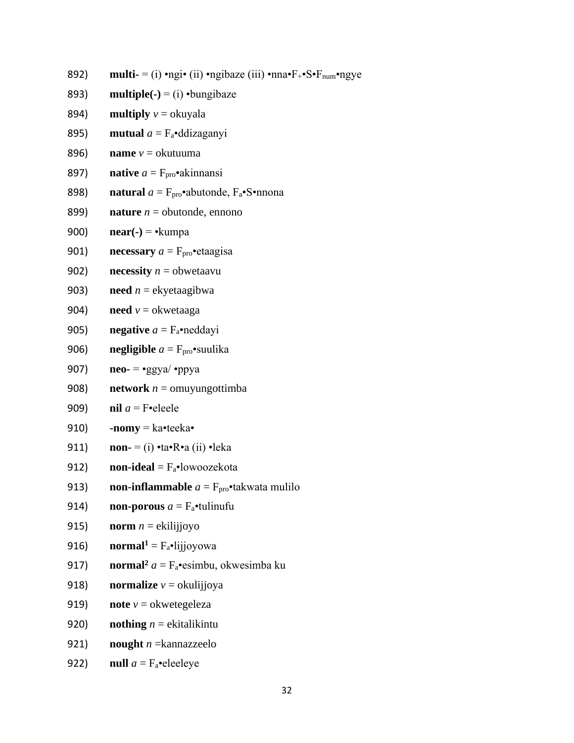- 892) **multi-** = (i) •ngi• (ii) •ngibaze (iii) •nna• $F_{+}$ • $S$ • $F_{num}$ •ngye
- **multiple(-)** = (i)  $\cdot$ bungibaze 893)
- 894) **multiply**  $v =$  okuyala
- 895) **mutual**  $a = F_a$ •ddizaganyi
- 896) **name**  $v =$  okutuuma
- 897) **native**  $a = F_{\text{pro}} \cdot$ akinnansi
- **natural**  $a = F_{\text{pro}} \cdot \text{abutonde}, F_a \cdot \text{S} \cdot \text{mono}$ 898)
- 899) **nature**  $n =$  obutonde, ennono
- 900)  $near(-) = \cdot$ kumpa
- 901) necessary  $a = F<sub>pro</sub> \cdot etaagisa$
- 902) **necessity**  $n =$  obwetaavu
- 903) **need**  $n =$  ekyetaagibwa
- 904) **need**  $v =$  okwetaaga
- 905) negative  $a = F_a$ •neddayi
- 906) **negligible**  $a = F_{\text{pro}} \cdot \text{swulika}$
- 907)  $neo = \bullet ggya / \bullet ppya$
- **network**  $n =$  omuyung ottimba 908)
- 909) nil  $a =$  F•eleele
- 910)  $-nomy = ka \cdot teeka \cdot$
- non-  $=$  (i) •ta•R•a (ii) •leka 911)
- 912) **•lowoozekota**
- 913) **non-inflammable**  $a = F_{\text{pro}} \cdot$  takwata mulilo
- **non-porous**  $a = F_a$ •tulinufu 914)
- **norm**  $n =$  ekilijjoyo 915)
- **·lijjoyowa** 916)
- **normal**<sup>2</sup>  $a = F_a$ •esimbu, okwesimba ku 917)
- **normalize**  $v =$ okulijioya 918)
- 919) **note**  $v =$  okwetegeleza
- 920) **nothing**  $n =$  ekitalikintu
- 921) nought  $n =$ kannazzeelo
- null  $a = F_a$ •eleeleye 922)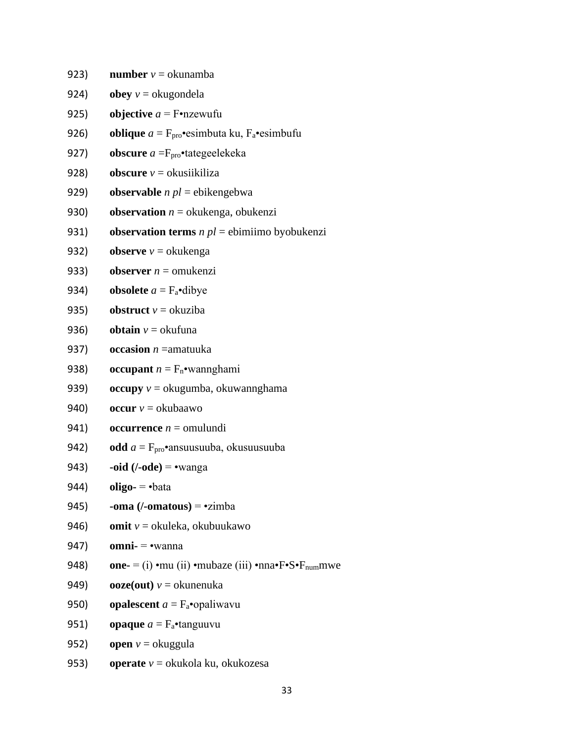923) **number**  $v =$  okunamba

- 924) **obey**  $v =$  okugondela
- 925) **objective**  $a = F \cdot n$ zewufu
- 926) **oblique**  $a = F_{\text{pro}} \cdot \text{esim}$ buta ku,  $F_a \cdot \text{esim}$ bufu
- 927) **obscure**  $a = F_{\text{pro}}^{\bullet}$ tategeelekeka
- 928) **obscure** *v* = okusiikiliza
- 929) **observable** *n pl* = ebikengebwa
- 930) **observation**  $n =$  okukenga, obukenzi
- 931) **observation terms** *n pl* = ebimiimo byobukenzi
- 932) **observe**  $v =$  okukenga
- 933) **observer**  $n =$  omukenzi
- 934) **obsolete**  $a = F_a$ •dibye
- 935) **obstruct**  $v =$  okuziba
- 936) **obtain**  $v =$  okufuna
- 937) **occasion** *n* =amatuuka
- 938) **occupant**  $n = F_n$ •wannghami
- 939) **occupy** *v* = okugumba, okuwannghama
- 940) **occur**  $v =$ okubaawo
- 941) **occurrence**  $n =$  omulundi
- 942) **odd** *a* = Fpro•ansuusuuba, okusuusuuba
- 943) **-oid (/-ode)** = •wanga
- 944) **oligo-** = •bata
- 945) **-oma (/-omatous)** = •zimba
- 946) **omit** *v* = okuleka, okubuukawo
- 947) **omni-** = •wanna
- 948) **one-** = (i) •mu (ii) •mubaze (iii) •nna• $F \cdot S \cdot F_{\text{num}}$ mwe
- 949) **ooze(out)**  $v =$  okunenuka
- 950) **opalescent**  $a = F_a$ •opaliwavu
- 951) **opaque**  $a = F_a$ •tanguuvu
- 952) **open**  $v =$ okuggula
- 953) **operate** *v* = okukola ku, okukozesa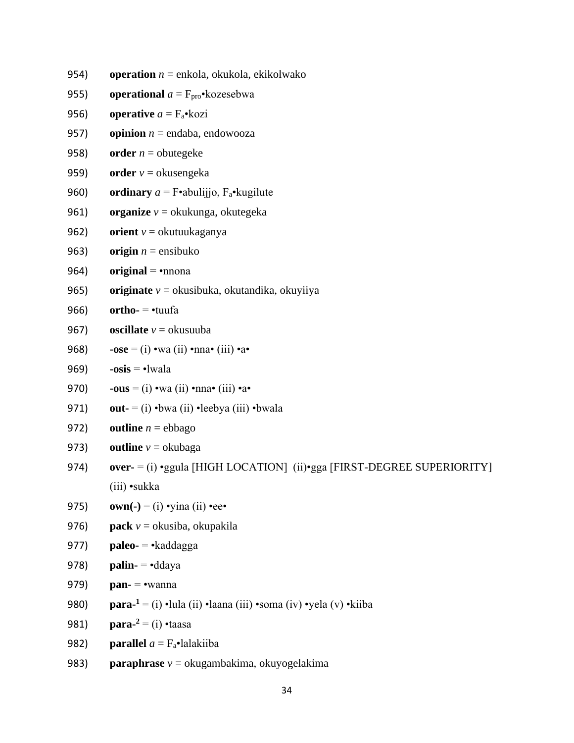- 954) **operation** *n* = enkola, okukola, ekikolwako
- 955) **operational**  $a = F_{\text{pro}} \cdot \text{kozesebwa}$
- 956) **operative**  $a = F_a \cdot kozi$
- 957) **opinion**  $n =$  endaba, endowooza
- 958) **order**  $n =$  obutegeke
- 959) **order** *v* = okusengeka
- 960) **ordinary**  $a = F \cdot abuliijio$ ,  $F_a \cdot kugilute$
- 961) **organize** *v* = okukunga, okutegeka
- 962) **orient** *v* = okutuukaganya
- 963) **origin**  $n =$  ensibuko
- 964) **original** =  $\bullet$ nnona
- 965) **originate** *v* = okusibuka, okutandika, okuyiiya
- 966) **ortho-** = •tuufa
- 967) **oscillate** *v* = okusuuba
- 968) **-ose** = (i) •wa (ii) •nna• (iii) •a•
- 969) **-osis** = •lwala
- 970) **-ous** = (i) •wa (ii) •nna• (iii) •a•
- 971) **out-** = (i) •bwa (ii) •leebya (iii) •bwala
- 972) **outline**  $n = ebbago$
- 973) **outline**  $v =$  okubaga
- 974) **over-** = (i) •ggula [HIGH LOCATION] (ii)•gga [FIRST-DEGREE SUPERIORITY] (iii) •sukka
- 975) **own(-)** = (i) •yina (ii) •ee•
- 976) **pack** *v* = okusiba, okupakila
- 977) **paleo-** = •kaddagga
- 978) **palin-** = •ddaya
- 979) **pan-** = •wanna
- 980) **para-<sup>1</sup>** = (i) •lula (ii) •laana (iii) •soma (iv) •yela (v) •kiiba
- 981) **para-<sup>2</sup>** = (i) •taasa
- 982) **parallel**  $a = F_a \cdot$ lalakiiba
- 983) **paraphrase** *v* = okugambakima, okuyogelakima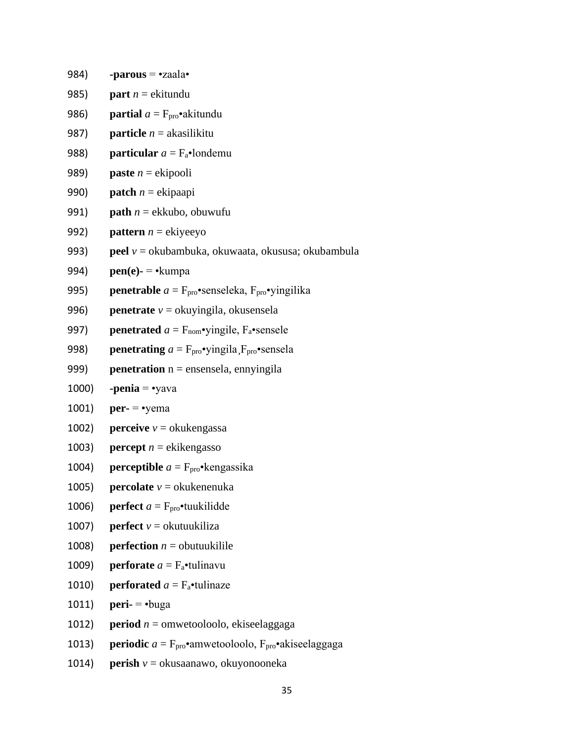984) **-parous** = •zaala• 985) **part**  $n =$  ekitundu 986) **partial**  $a = F_{\text{pro}} \cdot a$ kitundu 987) **particle** *n* = akasilikitu 988) **particular**  $a = F_a$ •londemu 989) **paste** *n* = ekipooli 990) **patch** *n* = ekipaapi 991) **path** *n* = ekkubo, obuwufu 992) **pattern**  $n =$  ekiyeeyo 993) **peel** *v* = okubambuka, okuwaata, okususa; okubambula 994) **pen(e)-** = • kumpa 995) **penetrable**  $a = F_{\text{pro}}$ •senseleka,  $F_{\text{pro}}$ •yingilika 996) **penetrate** *v* = okuyingila, okusensela 997) **penetrated**  $a = F_{\text{nom}} \cdot$ yingile,  $F_a \cdot$ sensele 998) **penetrating**  $a = F_{\text{pro}} \cdot \text{yingila}$ ,  $F_{\text{pro}} \cdot \text{sensela}$ 999) **penetration** n = ensensela, ennyingila 1000) **-penia** = •yava 1001) **per-** = •yema 1002) **perceive**  $v =$  okukengassa 1003) **percept**  $n =$  ekikengasso 1004) **perceptible**  $a = F_{\text{pro}} \cdot \text{kengassika}$ 1005) **percolate**  $v =$  okukenenuka 1006) **perfect**  $a = F_{\text{pro}}$  **tuukilidde** 1007) **perfect**  $v =$  okutuukiliza 1008) **perfection**  $n =$  obutuukilile 1009) **perforate**  $a = F_a$ •tulinavu 1010) **perforated**  $a = F_a$ •tulinaze 1011) **peri-** = •buga 1012) **period** *n* = omwetooloolo, ekiseelaggaga 1013) **periodic**  $a = F_{\text{pro}} \cdot$ amwetooloolo,  $F_{\text{pro}} \cdot$ akiseelaggaga

1014) **perish** *v* = okusaanawo, okuyonooneka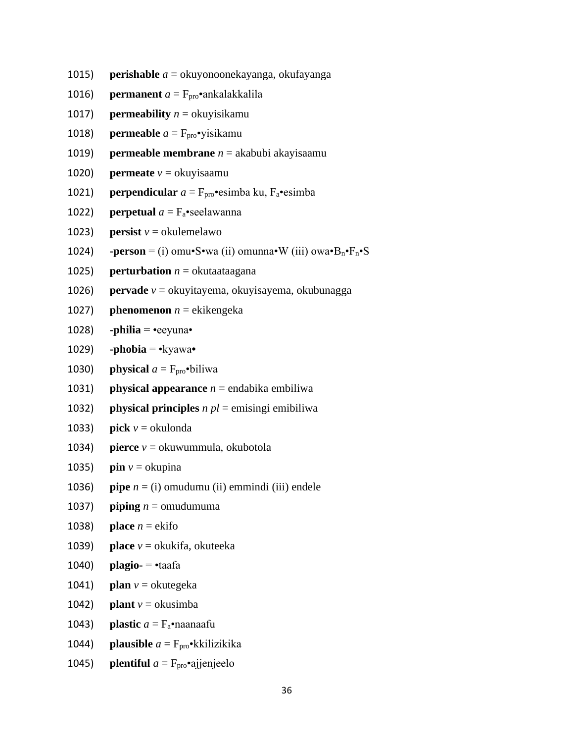- 1015) **perishable** *a* = okuyonoonekayanga, okufayanga
- 1016) **permanent**  $a = F_{\text{pro}} \cdot$ ankalakkalila
- 1017) **permeability**  $n =$  okuyisikamu
- 1018) **permeable**  $a = F_{\text{pro}} \cdot y$ isikamu
- 1019) **permeable membrane** *n* = akabubi akayisaamu
- 1020) **permeate**  $v =$  okuyisaamu
- 1021) **perpendicular**  $a = F_{\text{pro}} \cdot \text{esimba}$  ku,  $F_a \cdot \text{esimba}$
- 1022) **perpetual**  $a = F_a$ •seelawanna
- 1023) **persist**  $v =$  okulemelawo
- 1024) **-person** = (i) omu•S•wa (ii) omunna•W (iii) owa• $B_n \cdot F_n \cdot S$
- 1025) **perturbation**  $n =$  okutaataagana
- 1026) **pervade** *v* = okuyitayema, okuyisayema, okubunagga
- 1027) **phenomenon**  $n =$  ekikengeka
- 1028) **-philia** =  $\text{e}$ eeyuna $\text{e}$
- 1029) **-phobia** = •kyawa**•**
- 1030) **physical**  $a = F_{\text{pro}}$ •biliwa
- 1031) **physical appearance**  $n =$  endabika embiliwa
- 1032) **physical principles** *n pl* = emisingi emibiliwa
- 1033) **pick**  $v =$  okulonda
- 1034) **pierce** *v* = okuwummula, okubotola
- 1035) **pin**  $v =$  okupina
- 1036) **pipe**  $n = (i)$  omudumu (ii) emmindi (iii) endele
- 1037) **piping**  $n =$  omudumuma
- 1038) **place**  $n =$ **ekifo**
- 1039) **place** *v* = okukifa, okuteeka
- 1040) **plagio-** = •taafa
- 1041) **plan**  $v =$  okutegeka
- 1042) **plant**  $v =$  okusimba
- 1043) **plastic**  $a = F_a$ •naanaafu
- 1044) **plausible**  $a = F<sub>pro</sub>$ **•**kkilizikika
- 1045) **plentiful**  $a = F_{\text{pro}} \cdot$ ajjenjeelo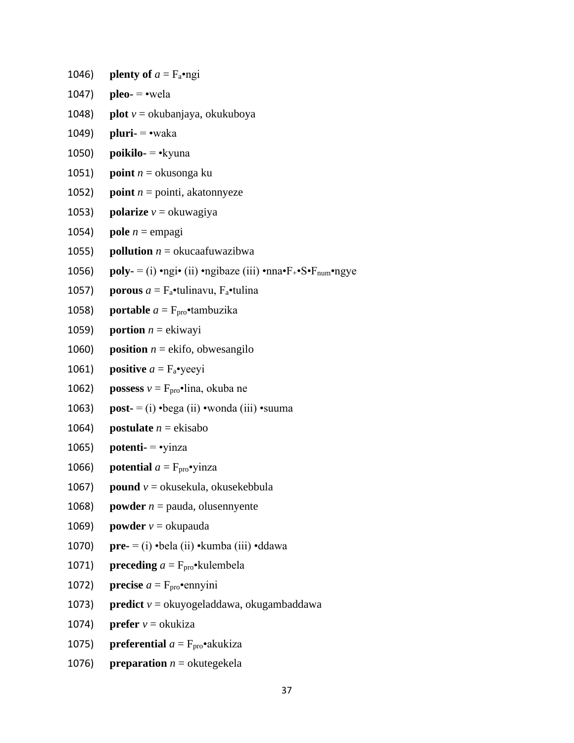1046) **plenty of**  $a = F_a \cdot ngi$ 1047) **pleo-**  $=$  •wela 1048) **plot** *v* = okubanjaya, okukuboya 1049) **pluri-** = •waka 1050) **poikilo-** = •kyuna 1051) **point** *n* = okusonga ku 1052) **point**  $n =$  pointi, akatonnyeze 1053) **polarize**  $v =$ okuwagiya 1054) **pole**  $n = \text{empagi}$ 1055) **pollution**  $n =$  okucaafuwazibwa 1056) **poly-** = (i) •ngi• (ii) •ngibaze (iii) •nna• $F_{+}$ • $S$ • $F_{num}$ •ngye 1057) **porous**  $a = F_a$ •tulinavu,  $F_a$ •tulina 1058) **portable**  $a = F_{\text{pro}} \cdot \text{tambuzika}$ 1059) **portion**  $n =$  ekiwayi 1060) **position**  $n =$  ekifo, obwesangilo 1061) **positive**  $a = F_a$ •yeeyi 1062) **possess**  $v = F_{\text{pro}} \cdot \lim_{n \to \infty}$  okuba ne 1063) **post-** = (i) •bega (ii) •wonda (iii) •suuma 1064) **postulate**  $n = ekisabo$ 1065) **potenti-** = •yinza 1066) **potential**  $a = F_{\text{pro}} \cdot \text{yinz}$ 1067) **pound**  $v =$  okusekula, okusekebbula 1068) **powder**  $n =$  pauda, olusennyente 1069) **powder**  $v =$  okupauda 1070) **pre-** = (i) •bela (ii) •kumba (iii) •ddawa 1071) **preceding**  $a = F_{\text{pro}} \cdot \text{kulembela}$ 1072) **precise**  $a = F_{\text{pro}} \cdot \text{emyini}$ 1073) **predict** *v* = okuyogeladdawa, okugambaddawa 1074) **prefer**  $v =$  okukiza

- 1075) **preferential**  $a = F_{\text{pro}} \cdot a$ kukiza
- 1076) **preparation**  $n =$  okutegekela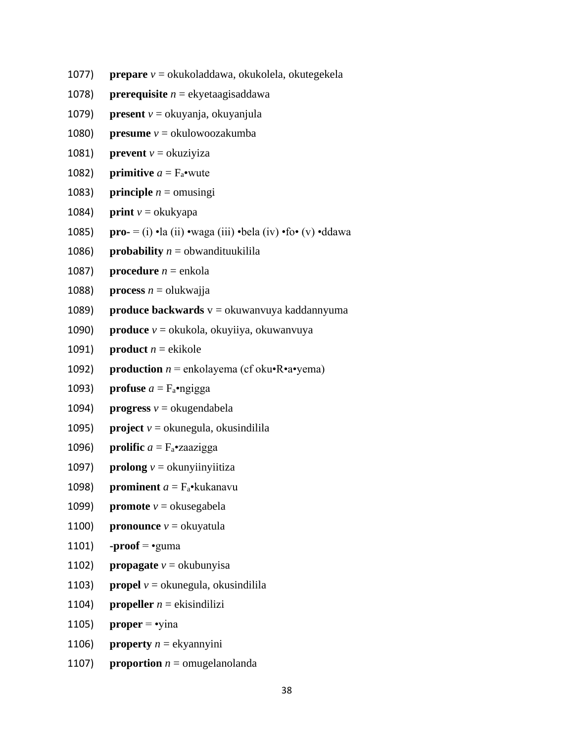- 1077) **prepare** *v* = okukoladdawa, okukolela, okutegekela
- 1078) **prerequisite** *n* = ekyetaagisaddawa
- 1079) **present** *v* = okuyanja, okuyanjula
- 1080) **presume** *v* = okulowoozakumba
- 1081) **prevent**  $v =$  okuziyiza
- 1082) **primitive**  $a = F_a$ •wute
- 1083) **principle**  $n =$  omusingi
- 1084) **print**  $v =$  okukyapa
- 1085) **pro-** = (i) •la (ii) •waga (iii) •bela (iv) •fo• (v) •ddawa
- 1086) **probability**  $n =$  obwandituukilila
- 1087) **procedure**  $n =$  enkola
- 1088) **process**  $n =$  olukwajja
- 1089) **produce backwards** v = okuwanvuya kaddannyuma
- 1090) **produce** *v* = okukola, okuyiiya, okuwanvuya
- 1091) **product**  $n =$  ekikole
- 1092) **production**  $n =$  enkolayema (cf oku $\cdot$ R $\cdot$ a $\cdot$ yema)
- 1093) **profuse**  $a = F_a$ •ngigga
- 1094) **progress**  $v =$  okugendabela
- 1095) **project**  $v =$  okunegula, okusindilila
- 1096) **prolific**  $a = F_a$ •zaazigga
- 1097) **prolong**  $v =$  okunyiinyiitiza
- 1098) **prominent**  $a = F_a \cdot k$ ukanavu
- 1099) **promote** *v* = okusegabela
- 1100) **pronounce**  $v =$  okuyatula
- 1101) **-proof** =  $\cdot$ guma
- 1102) **propagate**  $v =$  okubunyisa
- 1103) **propel**  $v =$  okunegula, okusindilila
- 1104) **propeller**  $n =$ **e**kisindilizi
- 1105) **proper** =  $\cdot$ yina
- 1106) **property**  $n =$  ekyannyini
- 1107) **proportion**  $n =$  omugelanolanda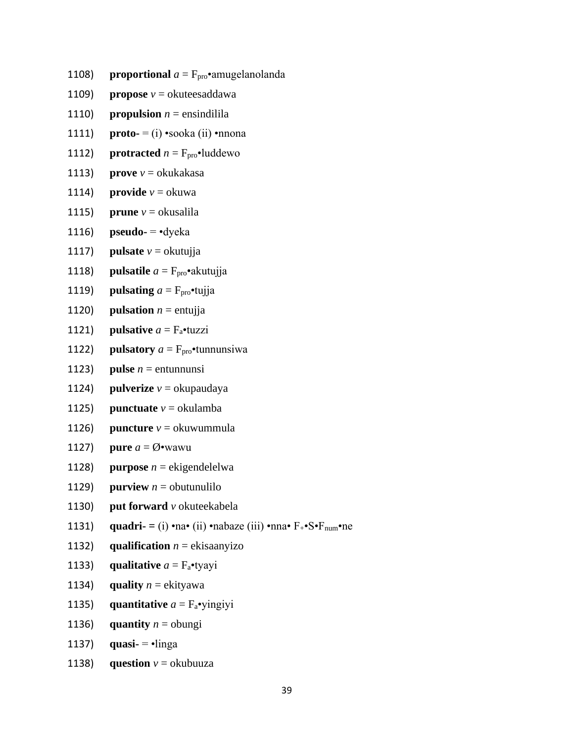- **proportional**  $a = F_{\text{pro}} \cdot$ amugelanolanda 1108)
- 1109) **propose**  $v =$  okuteesaddawa
- $1110)$ **propulsion**  $n =$  ensindilila
- $1111)$ **proto-** = (i)  $\cdot$ sooka (ii)  $\cdot$ nnona
- **protracted**  $n = F_{\text{pro}}$ •luddewo 1112)
- **prove**  $v =$  okukakasa 1113)
- **provide**  $v = \alpha$ kuwa 1114)
- $1115)$ **prune**  $v =$  okusalila
- 1116)  $pseudo-$  -dyeka
- **pulsate**  $v =$ okutujja  $1117)$
- 1118) **pulsatile**  $a = F_{\text{pro}} \cdot$ akutujja
- 1119) **pulsating**  $a = F_{\text{pro}} \cdot \text{tu}$ ija
- 1120) **pulsation**  $n =$  entujja
- **pulsative**  $a = F_a$  tuzzi 1121)
- **pulsatory**  $a = F_{\text{pro}}$  tunnunsiwa 1122)
- 1123) **pulse**  $n =$  entunnunsi
- 1124) **pulverize**  $v =$ okupaudaya
- 1125) **punctuate**  $v = \alpha$  okulamba
- 1126) **puncture**  $v =$  okuwummula
- **pure**  $a = \emptyset$ **•**wawu 1127)
- 1128) **purpose**  $n =$  ekigendelelwa
- **purview**  $n =$  obutunulilo 1129)
- put forward v okuteekabela 1130)
- quadri- = (i) na• (ii) nabaze (iii) nna•  $F_{+}$ • $S$ • $F_{num}$  ne 1131)
- 1132) qualification  $n = ekisaanyizo$
- 1133) qualitative  $a = F_a$ •tyayi
- 1134) quality  $n =$  ekityawa
- quantitative  $a = F_a$ •yingiyi  $1135)$
- 1136) quantity  $n =$  obungi
- $1137)$ quasi- $=$ •linga
- **question**  $v =$  okubuuza 1138)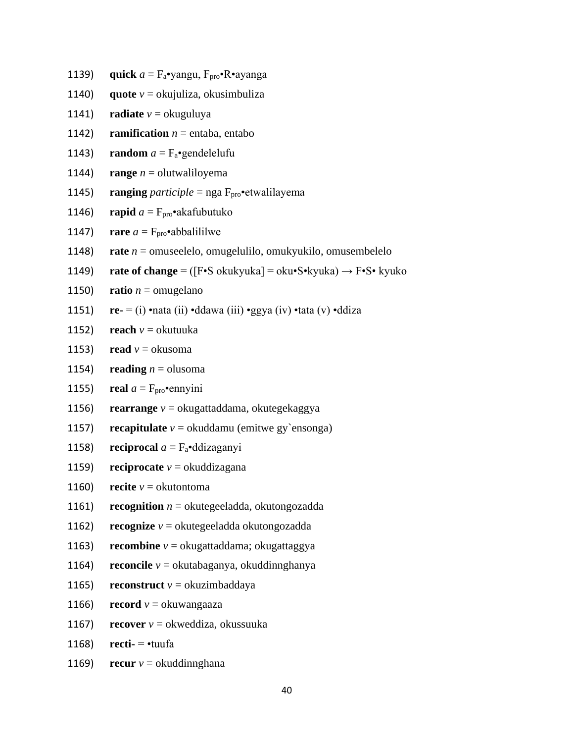- 1139) **quick**  $a = F_a$ •yangu,  $F_{\text{pro}}$ •R•ayanga
- 1140) **quote**  $v =$  okujuliza, okusimbuliza
- 1141) **radiate**  $v =$  okuguluya
- 1142) **ramification**  $n =$  entaba, entabo
- 1143) **random**  $a = F_a$ •gendelelufu
- 1144) **range**  $n =$  olutwaliloyema
- 1145) **ranging** *participle* = nga  $F_{\text{pro}}$  etwalilayema
- 1146) **rapid**  $a = F_{\text{pro}} \cdot a$  akafubutuko
- 1147) **rare**  $a = F_{\text{pro}} \cdot$ abbalililwe
- 1148) **rate** *n* = omuseelelo, omugelulilo, omukyukilo, omusembelelo
- 1149) **rate of change** = ([F•S okukyuka] = oku•S•kyuka) → F•S• kyuko
- 1150) **ratio**  $n =$  omugelano
- 1151) **re-** = (i) •nata (ii) •ddawa (iii) •ggya (iv) •tata (v) •ddiza
- 1152) **reach**  $v =$  okutuuka
- 1153) **read**  $v =$  okusoma
- 1154) **reading**  $n =$  olusoma
- 1155) **real**  $a = F_{\text{pro}} \cdot \text{emryini}$
- 1156) **rearrange** *v* = okugattaddama, okutegekaggya
- 1157) **recapitulate**  $v =$  okuddamu (emitwe gy'ensonga)
- 1158) **reciprocal**  $a = F_a$ •ddizaganyi
- 1159) **reciprocate**  $v =$  okuddizagana
- 1160) **recite**  $v =$  okutontoma
- 1161) **recognition**  $n =$  okutegeeladda, okutongozadda
- 1162) **recognize**  $v =$  okutegeeladda okutongozadda
- 1163) **recombine** *v* = okugattaddama; okugattaggya
- 1164) **reconcile** *v* = okutabaganya, okuddinnghanya
- 1165) **reconstruct**  $v =$  okuzimbaddaya
- 1166) **record**  $v =$ okuwangaaza
- 1167) **recover**  $v =$  okweddiza, okussuuka
- 1168) **recti-** = •tuufa
- 1169) **recur**  $v =$  okuddinnghana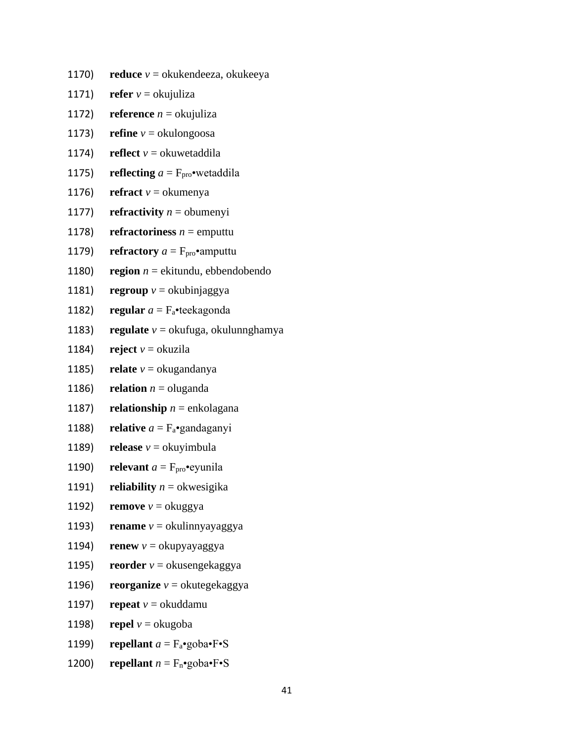- 1170) **reduce**  $v =$  okukendeeza, okukeeya
- 1171) **refer**  $v =$  okujuliza
- 1172) **reference**  $n =$  okujuliza
- 1173) **refine**  $v =$  okulongoosa
- 1174) **reflect**  $v =$  okuwetaddila
- 1175) **reflecting**  $a = F_{\text{pro}} \cdot \text{wetaldila}$
- 1176) **refract**  $v =$  okumenya
- 1177) **refractivity**  $n =$  obumenyi
- 1178) **refractoriness**  $n =$  emputtu
- 1179) **refractory**  $a = F_{\text{pro}} \cdot$ **amputtu**
- 1180) **region**  $n =$  ekitundu, ebbendobendo
- 1181) **regroup** *v* = okubinjaggya
- 1182) **regular**  $a = F_a$ •teekagonda
- 1183) **regulate**  $v =$  okufuga, okulunnghamya
- 1184) **reject**  $v =$  okuzila
- 1185) **relate**  $v =$  okugandanya
- 1186) **relation**  $n =$  oluganda
- 1187) **relationship**  $n =$  enkolagana
- 1188) **relative**  $a = F_a$ •gandaganyi
- 1189) **release**  $v =$  okuyimbula
- 1190) **relevant**  $a = F_{\text{pro}} \cdot \text{equnila}$
- 1191) **reliability**  $n =$  okwesigika
- 1192) **remove**  $v =$  okuggya
- 1193) **rename**  $v =$  okulinnyayaggya
- 1194) **renew**  $v =$  okupyayaggya
- 1195) **reorder**  $v =$  okusengekaggya
- 1196) **reorganize** *v* = okutegekaggya
- 1197) **repeat**  $v =$  okuddamu
- 1198) **repel**  $v =$ okugoba
- 1199) **repellant**  $a = F_a$ •goba•F•S
- 1200) **repellant**  $n = F_n$ •goba•F•S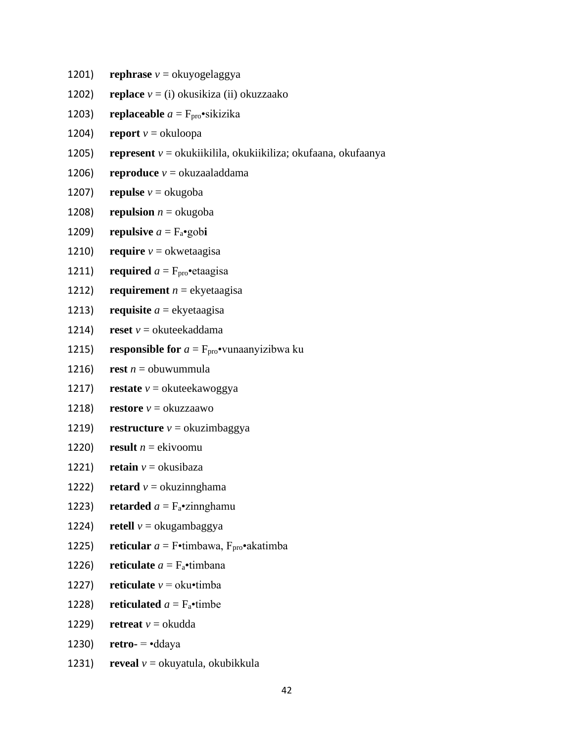- 1201) **rephrase**  $v =$ okuyogelaggya
- 1202) **replace** *v* = (i) okusikiza (ii) okuzzaako
- 1203) **replaceable**  $a = F_{\text{pro}} \cdot \text{sixizika}$
- 1204) **report**  $v =$  okuloopa
- 1205) **represent** *v* = okukiikilila, okukiikiliza; okufaana, okufaanya
- 1206) **reproduce**  $v =$  okuzaaladdama
- 1207) **repulse**  $v =$  okugoba
- 1208) **repulsion**  $n =$  okugoba
- 1209) **repulsive**  $a = F_a$ •gob**i**
- 1210) **require**  $v =$  okwetaagisa
- 1211) **required**  $a = F_{\text{pro}} \cdot \text{etaagisa}$
- 1212) **requirement**  $n =$  ekyetaagisa
- 1213) **requisite**  $a =$ **e**kyetaagisa
- 1214) **reset**  $v =$  okuteekaddama
- 1215) **responsible for**  $a = F_{\text{pro}} \cdot \text{vunaanyizibwa ku}$
- 1216) **rest**  $n =$  obuwummula
- 1217) **restate**  $v =$  okuteekawoggya
- 1218) **restore**  $v =$  okuzzaawo
- 1219) **restructure**  $v =$  okuzimbaggya
- 1220) **result**  $n =$  ekivoomu
- 1221) **retain**  $v =$  okusibaza
- 1222) **retard**  $v =$  okuzinnghama
- 1223) **retarded**  $a = F_a$ •zinnghamu
- 1224) **retell**  $v =$ **okugambaggya**
- 1225) **reticular**  $a =$  F•timbawa,  $F_{\text{pro}}$ •akatimba
- 1226) **reticulate**  $a = F_a$ •timbana
- 1227) **reticulate**  $v =$  oku•timba
- 1228) **reticulated**  $a = F_a$ •timbe
- 1229) **retreat**  $v =$  okudda
- 1230) **retro-**  $= \text{eddaya}$
- 1231) **reveal**  $v =$  okuyatula, okubikkula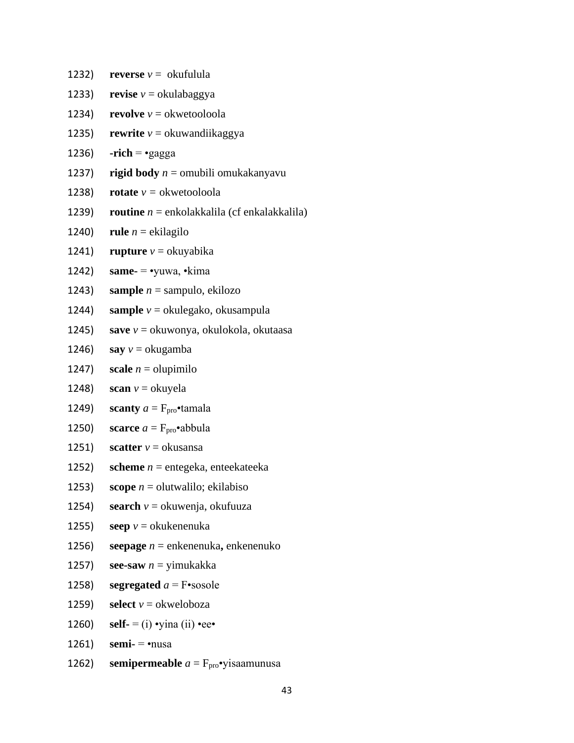1232) **reverse**  $v =$  okufulula 1233) **revise**  $v =$ okulabaggya 1234) **revolve**  $v =$  okwetooloola 1235) **rewrite**  $v =$  okuwandiikaggya 1236) **-rich** =  $\cdot$ gagga 1237) **rigid body** *n* = omubili omukakanyavu 1238) **rotate**  $v =$  okwetooloola 1239) **routine** *n* = enkolakkalila (cf enkalakkalila) 1240) **rule**  $n =$  ekilagilo 1241) **rupture**  $v =$  okuyabika 1242) **same-** = •yuwa, •kima 1243) **sample**  $n =$  sampulo, ekilozo 1244) **sample** *v* = okulegako, okusampula 1245) **save** *v* = okuwonya, okulokola, okutaasa 1246) **say**  $v =$  okugamba 1247) **scale**  $n =$  olupimilo 1248) **scan**  $v =$ okuyela 1249) **scanty**  $a = F_{\text{pro}}$ **•**tamala 1250) **scarce**  $a = F_{\text{pro}} \cdot \text{abbula}$ 1251) **scatter**  $v =$  okusansa 1252) **scheme** *n* = entegeka, enteekateeka 1253) **scope**  $n =$  olutwalilo; ekilabiso 1254) **search**  $v =$  okuwenja, okufuuza 1255) **seep**  $v =$  okukenenuka 1256) **seepage** *n* = enkenenuka**,** enkenenuko 1257) **see-saw** *n* = yimukakka 1258) **segregated**  $a = F$ •sosole 1259) **select**  $v =$  okweloboza 1260) **self-** = (i) •  $\text{vina (ii)} \cdot \text{ee} \cdot$ 1261) **semi-** = •nusa

1262) **semipermeable**  $a = F_{\text{pro}}$ •yisaamunusa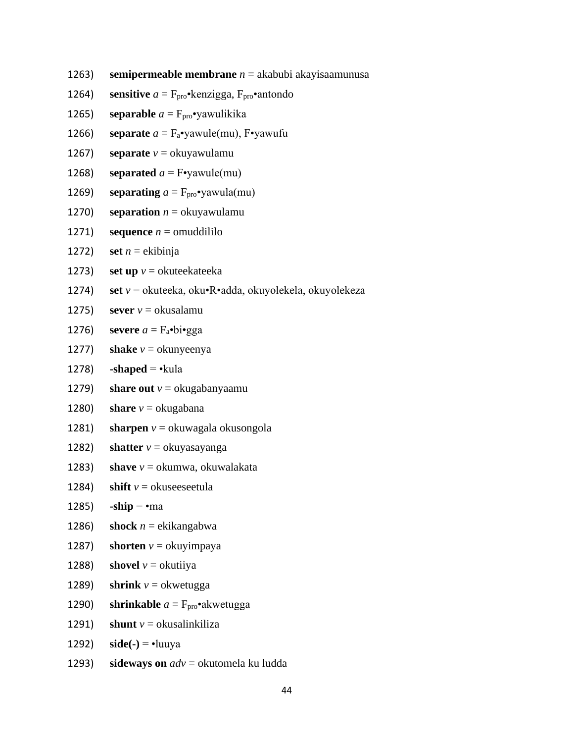- 1263) **semipermeable membrane** *n* = akabubi akayisaamunusa
- 1264) **sensitive**  $a = F_{\text{pro}} \cdot \text{kenzigga}$ ,  $F_{\text{pro}} \cdot \text{antondo}$
- 1265) **separable**  $a = F_{\text{pro}} \cdot$ yawulikika
- 1266) **separate**  $a = F_a$ •yawule(mu), F•yawufu
- 1267) **separate**  $v =$  okuyawulamu
- 1268) **separated**  $a = F\bullet$ yawule(mu)
- 1269) **separating**  $a = F_{\text{pro}} \cdot \text{vawula}(\text{mu})$
- 1270) **separation**  $n =$  okuyawulamu
- 1271) **sequence**  $n =$  omuddililo
- 1272) **set**  $n =$ **ekibinja**
- 1273) **set up**  $v =$  okuteekateeka
- 1274) **set** *v* = okuteeka, oku•R•adda, okuyolekela, okuyolekeza
- 1275) **sever**  $v =$  okusalamu
- 1276) **severe**  $a = F_a \cdot bi \cdot gga$
- 1277) **shake**  $v =$  okunyeenya
- 1278) **-shaped**  $= \cdot$ kula
- 1279) **share out**  $v =$  okugabanyaamu
- 1280) **share**  $v =$  okugabana
- 1281) **sharpen**  $v =$  okuwagala okusongola
- 1282) **shatter**  $v =$  okuyasayanga
- 1283) **shave** *v* = okumwa, okuwalakata
- 1284) **shift**  $v =$  okuseeseetula
- 1285) **-ship** = •ma
- 1286) **shock**  $n =$  ekikangabwa
- 1287) **shorten**  $v =$  okuyimpaya
- 1288) **shovel**  $v =$  okutiiya
- 1289) **shrink**  $v =$  okwetugga
- 1290) **shrinkable**  $a = F_{\text{pro}} \cdot$ **akwetugga**
- 1291) **shunt**  $v =$  okusalinkiliza
- 1292)  $side(-) = -luu$
- 1293) **sideways on** *adv* = okutomela ku ludda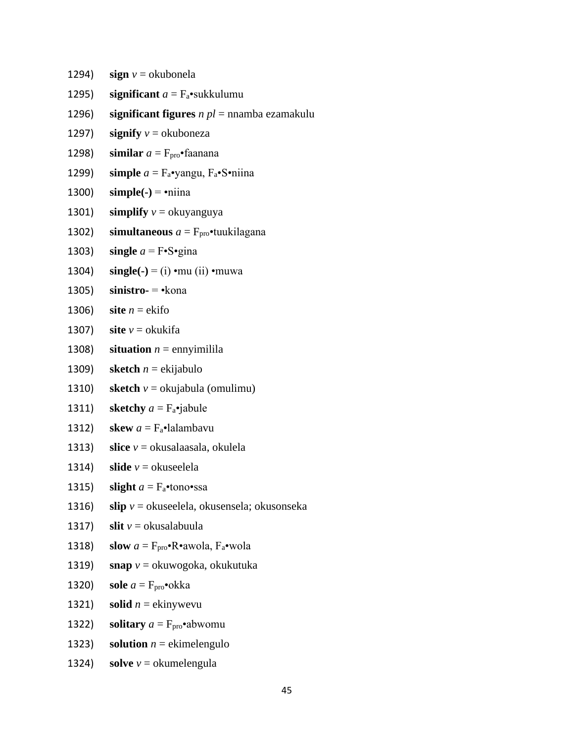- 1294) **sign**  $v =$  okubonela
- 1295) **significant**  $a = F_a$ •sukkulumu
- 1296) **significant figures** *n pl* = nnamba ezamakulu
- 1297) **signify**  $v =$  okuboneza
- 1298) **similar**  $a = F_{\text{pro}} \cdot$ faanana
- 1299) **simple**  $a = F_a$ •yangu,  $F_a$ •S•niina
- 1300) **simple(-)** = •niina
- 1301) **simplify**  $v =$  okuyanguya
- 1302) **simultaneous**  $a = F_{\text{pro}}$ •tuukilagana
- 1303) **single**  $a = F \cdot S \cdot g$  in a
- 1304) **single(-)** = (i) •mu (ii) •muwa
- 1305) **sinistro-** = •kona
- 1306) **site**  $n =$ **ekifo**
- 1307) **site**  $v =$  okukifa
- 1308) **situation**  $n =$  ennyimilila
- 1309) **sketch**  $n =$  ekijabulo
- 1310) **sketch** *v* = okujabula (omulimu)
- 1311) **sketchy**  $a = F_a$ •jabule
- 1312) **skew**  $a = F_a \cdot \text{lalambavu}$
- 1313) **slice** *v* = okusalaasala, okulela
- 1314) **slide**  $v =$  okuseelela
- 1315) **slight**  $a = F_a$ •tono•ssa
- 1316) **slip** *v* = okuseelela, okusensela; okusonseka
- 1317) **slit**  $v =$  okusalabuula
- 1318) **slow**  $a = F_{\text{pro}} \cdot \mathbf{R} \cdot \text{awola}$ ,  $F_a \cdot \text{wola}$
- 1319) **snap** *v* = okuwogoka, okukutuka
- 1320) **sole**  $a = F_{\text{pro}} \cdot \text{okka}$
- 1321) **solid**  $n =$ **ekinywevu**
- 1322) **solitary**  $a = F_{\text{pro}} \cdot$ **abwomu**
- 1323) **solution**  $n =$  ekimelengulo
- 1324) **solve**  $v =$  okumelengula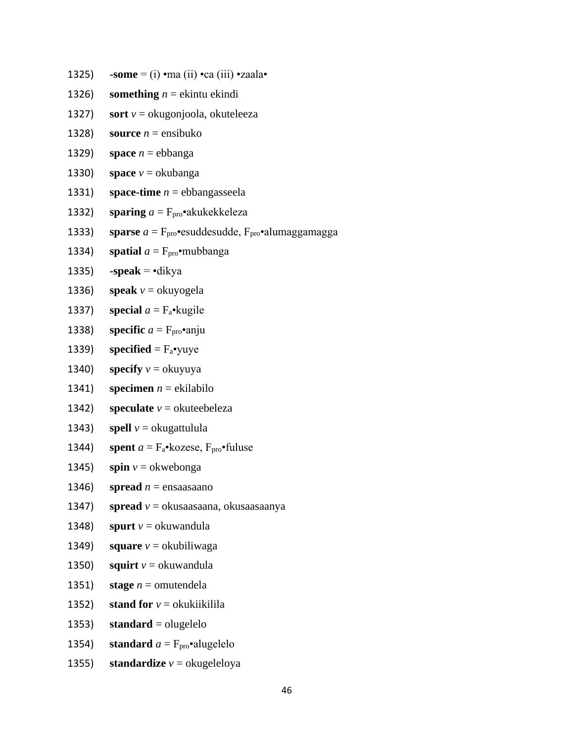- 1325) **-some**  $=$  (i) •ma (ii) •ca (iii) •zaala•
- 1326) **something**  $n =$  ekintu ekindi
- 1327) **sort**  $v =$  okugonjoola, okuteleeza
- 1328) **source**  $n =$  ensibuko
- 1329) **space**  $n =$  ebbanga
- 1330) **space**  $v =$  okubanga
- 1331) **space-time** *n* = ebbangasseela
- 1332) **sparing**  $a = F_{\text{pro}} \cdot a$  akukekkeleza
- 1333) **sparse**  $a = F_{\text{pro}} \cdot \text{esuddesudde}$ ,  $F_{\text{pro}} \cdot \text{alumaggamagga}$
- 1334) **spatial**  $a = F_{\text{pro}} \cdot \text{mubbanga}$
- 1335) **-speak** = •dikya
- 1336) **speak**  $v =$  okuyogela
- 1337) **special**  $a = F_a$ •kugile
- 1338) **specific**  $a = F_{\text{pro}} \cdot \text{anju}$
- 1339) **specified** =  $F_a$ •yuye
- 1340) **specify**  $v =$  okuyuya
- 1341) **specimen**  $n =$  ekilabilo
- 1342) **speculate**  $v =$  okuteebeleza
- 1343) **spell**  $v =$  okugattulula
- 1344) **spent**  $a = F_a \cdot k$ ozese,  $F_{\text{pro}} \cdot \text{full}$ use
- 1345) **spin**  $v =$  okwebonga
- 1346) **spread**  $n =$  ensaasaano
- 1347) **spread** *v* = okusaasaana, okusaasaanya
- 1348) **spurt**  $v =$  okuwandula
- 1349) **square**  $v =$  okubiliwaga
- 1350) **squirt**  $v =$  okuwandula
- 1351) **stage**  $n =$  omutendela
- 1352) **stand for**  $v =$  okukiikilila
- 1353) **standard** = olugelelo
- 1354) **standard**  $a = F_{\text{pro}} \cdot \text{alugelelo}$
- 1355) **standardize**  $v =$  okugeleloya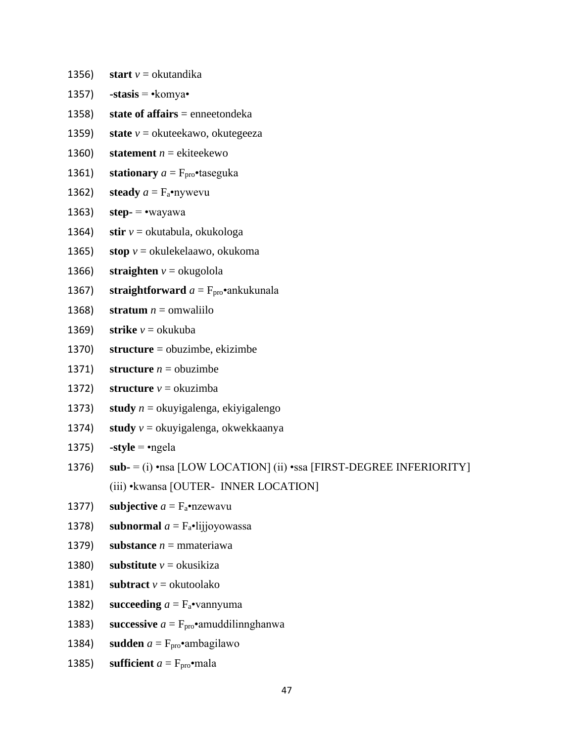- 1356) **start**  $v =$  okutandika
- 1357) **-stasis = •**komya•
- 1358) **state of affairs** = enneetondeka
- 1359) **state**  $v =$  okuteekawo, okutegeeza
- 1360) **statement**  $n =$  ekiteekewo
- 1361) **stationary**  $a = F_{\text{pro}}$  **taseguka**
- 1362) **steady**  $a = F_a$ •nywevu
- 1363) **step**  $=$  •wayawa
- 1364) **stir** *v* = okutabula, okukologa
- 1365) **stop**  $v =$  okulekelaawo, okukoma
- 1366) **straighten**  $v =$  okugolola
- 1367) **straightforward**  $a = F_{\text{pro}} \cdot$ ankukunala
- 1368) **stratum**  $n =$  omwaliilo
- 1369) **strike**  $v =$  okukuba
- 1370) **structure** = obuzimbe, ekizimbe
- 1371) **structure**  $n =$  obuzimbe
- 1372) **structure** *v* = okuzimba
- 1373) **study** *n* = okuyigalenga, ekiyigalengo
- 1374) **study**  $v =$  okuyigalenga, okwekkaanya
- 1375) **-style** = •ngela
- 1376) **sub-** = (i) •nsa [LOW LOCATION] (ii) •ssa [FIRST-DEGREE INFERIORITY] (iii) •kwansa [OUTER- INNER LOCATION]
- 1377) **subjective**  $a = F_a$ •nzewavu
- 1378) **subnormal**  $a = F_a$ •lijjoyowassa
- 1379) **substance**  $n =$  mmateriawa
- 1380) **substitute**  $v =$  okusikiza
- 1381) **subtract**  $v =$  okutoolako
- 1382) **succeeding**  $a = F_a$ •vannyuma
- 1383) **successive**  $a = F_{\text{pro}} \cdot$ amuddilinnghanwa
- 1384) **sudden**  $a = F_{\text{pro}} \cdot$ ambagilawo
- 1385) **sufficient**  $a = F_{\text{pro}} \cdot \text{mala}$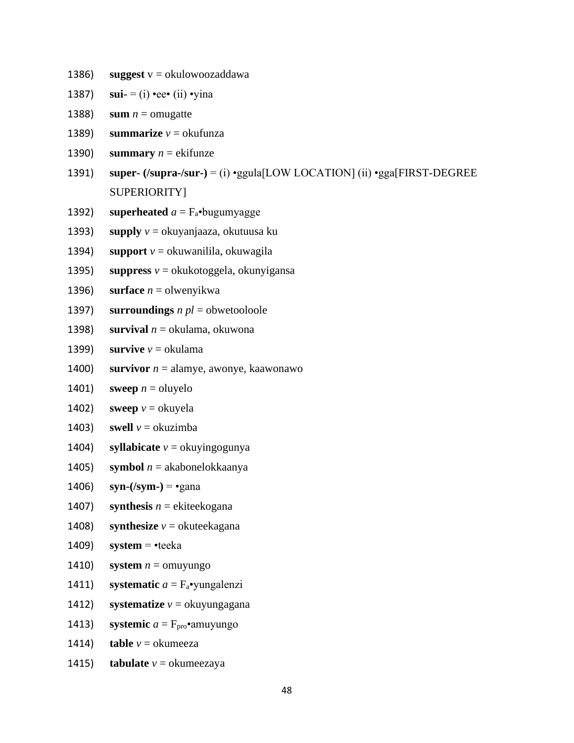- 1386) **suggest**  $v = okulowoozaddawa$
- 1387) **sui-**  $=$  (i) •ee• (ii) •yina
- 1388) **sum**  $n =$  omugatte
- 1389) **summarize**  $v =$  okufunza
- 1390) **summary**  $n =$  ekifunze
- 1391) **super- (/supra-/sur-)** = (i) •ggula[LOW LOCATION] (ii) •gga[FIRST-DEGREE SUPERIORITY]
- 1392) **superheated**  $a = F_a$ •bugumyagge
- 1393) **supply** *v* = okuyanjaaza, okutuusa ku
- 1394) **support**  $v =$  okuwanilila, okuwagila
- 1395) **suppress**  $v =$  okukotoggela, okunyigansa
- 1396) **surface**  $n =$  olwenyikwa
- 1397) **surroundings** *n pl* = obwetooloole
- 1398) **survival** *n* = okulama, okuwona
- 1399) **survive**  $v = \text{okulama}$
- 1400) **survivor**  $n =$  alamye, awonye, kaawonawo
- 1401) **sweep**  $n =$  oluyelo
- 1402) **sweep**  $v =$  okuyela
- 1403) **swell**  $v =$ **okuzimba**
- 1404) **syllabicate**  $v =$  okuyingogunya
- 1405) **symbol** *n* = akabonelokkaanya
- 1406) **syn-(/sym-)** = •gana
- 1407) **synthesis**  $n =$  ekiteekogana
- 1408) **synthesize**  $v =$  okuteekagana
- 1409) **system** = •teeka
- 1410) **system**  $n =$  omuyungo
- 1411) **systematic** *a* = Fa•yungalenzi
- 1412) **systematize**  $v =$  okuyungagana
- 1413) **systemic**  $a = F_{\text{pro}} \cdot$ amuyungo
- 1414) **table**  $v =$  okumeeza
- 1415) **tabulate**  $v =$  okumeezaya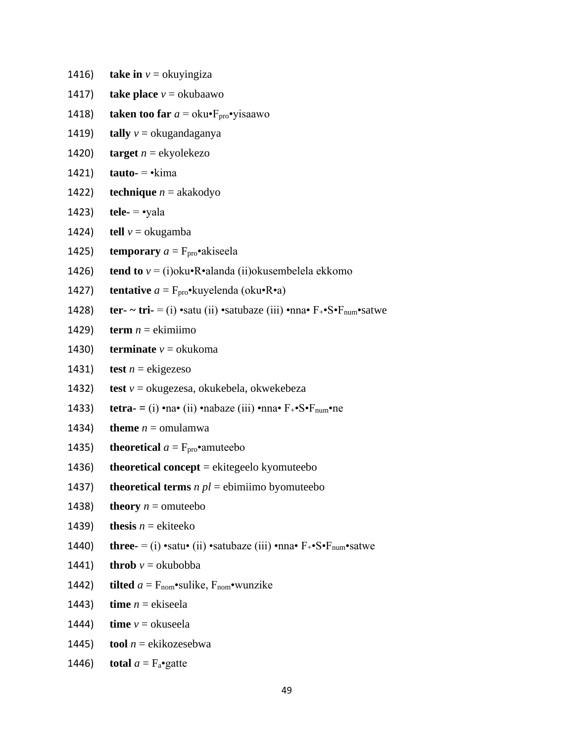1416) **take in**  $v =$  okuyingiza

- 1417) **take place**  $v =$  okubaawo
- 1418) **taken too far**  $a = \text{oku} \cdot \text{F}_{\text{pro}} \cdot \text{visaawo}$
- 1419) **tally**  $v =$  okugandaganya
- 1420) **target**  $n =$  ekyolekezo
- 1421) **tauto-** = •kima
- 1422) **technique**  $n =$ akakodyo
- 1423) **tele-** = •yala
- 1424) **tell**  $v =$ **okugamba**
- 1425) **temporary**  $a = F_{\text{pro}}$  akiseela
- 1426) **tend to** *v* = (i)oku•R•alanda (ii)okusembelela ekkomo
- 1427) **tentative**  $a = F_{\text{pro}} \cdot \text{kuyelenda}$  (oku $\cdot \text{R} \cdot \text{a}$ )
- 1428) **ter-**  $\sim$  **tri-** = (i) •satu (ii) •satubaze (iii) •nna•  $F_{+}$ • $S$ • $F_{num}$ •satwe
- 1429) **term**  $n =$  ekimiimo
- 1430) **terminate**  $v = \text{okukoma}$
- 1431) **test**  $n =$  ekigezeso
- 1432) **test** *v* = okugezesa, okukebela, okwekebeza
- 1433) **tetra-**  $=$  (i) •na• (ii) •nabaze (iii) •nna•  $F_{+}$ •S• $F_{num}$ •ne
- 1434) **theme**  $n =$  omulamwa
- 1435) **theoretical**  $a = F_{\text{pro}} \cdot$ **amuteebo**
- 1436) **theoretical concept** = ekitegeelo kyomuteebo
- 1437) **theoretical terms**  $n pl =$  ebimiimo byomuteebo
- 1438) **theory**  $n =$  omuteebo
- 1439) **thesis**  $n =$  ekiteeko
- 1440) **three-** = (i) •satu• (ii) •satubaze (iii) •nna•  $F_{+}$ • $S$ • $F_{num}$ •satwe
- 1441) **throb**  $v =$  okubobba
- 1442) **tilted**  $a = F_{\text{nom}} \cdot \text{subject}$ ,  $F_{\text{nom}} \cdot \text{wunzike}$
- 1443) **time**  $n =$  ekiseela
- 1444) **time**  $v =$  okuseela
- 1445) **tool**  $n =$  ekikozesebwa
- 1446) **total**  $a = F_a$ •gatte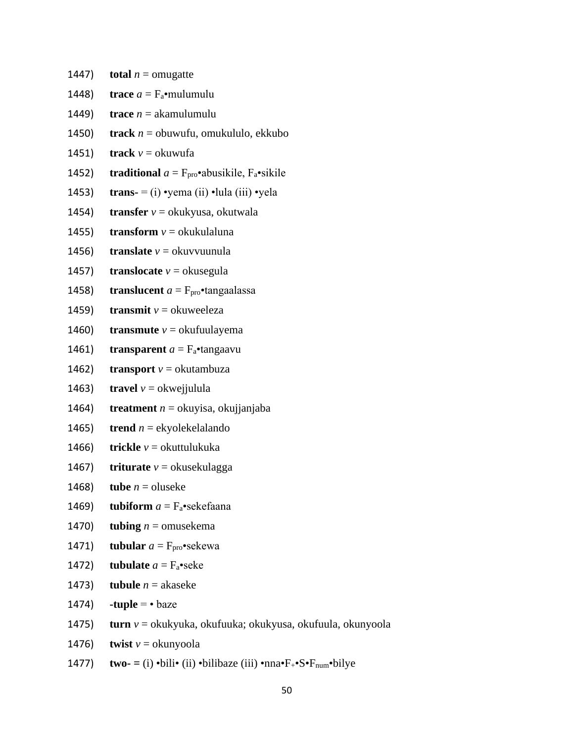- 1447) **total**  $n =$  omugatte
- 1448) **trace**  $a = F_a$ •mulumulu
- 1449) **trace**  $n =$  akamulumulu
- 1450) **track** *n* = obuwufu, omukululo, ekkubo
- 1451) **track**  $v =$  okuwufa
- 1452) **traditional**  $a = F_{\text{pro}} \cdot abusikile$ ,  $F_a \cdot sikile$
- 1453) **trans-**  $=$  (i) •yema (ii) •lula (iii) •yela
- 1454) **transfer** *v* = okukyusa, okutwala
- 1455) **transform**  $v =$  okukulaluna
- 1456) **translate**  $v =$  okuvvuunula
- 1457) **translocate**  $v =$  okusegula
- 1458) **translucent**  $a = F_{\text{pro}} \cdot$ tangaalassa
- 1459) **transmit**  $v =$  okuweeleza
- 1460) **transmute**  $v =$  okufuulayema
- 1461) **transparent**  $a = F_a$ •tangaavu
- 1462) **transport**  $v =$  okutambuza
- 1463) **travel**  $v =$  okweijulula
- 1464) **treatment** *n* = okuyisa, okujjanjaba
- 1465) **trend**  $n =$  ekyolekelalando
- 1466) **trickle** *v* = okuttulukuka
- 1467) **triturate**  $v =$  okusekulagga
- 1468) **tube**  $n =$  oluseke
- 1469) **tubiform**  $a = F_a$ •sekefaana
- 1470) **tubing**  $n =$  omusekema
- 1471) **tubular**  $a = F_{\text{pro}} \cdot \text{sekewa}$
- 1472) **tubulate**  $a = F_a$ •seke
- 1473) **tubule**  $n =$  akaseke
- 1474)  $-tuple = baze$
- 1475) **turn** *v* = okukyuka, okufuuka; okukyusa, okufuula, okunyoola
- 1476) **twist**  $v =$  okunyoola
- 1477) **two-** =  $(i)$  •bili•  $(ii)$  •bilibaze  $(iii)$  •nna• $F_{+}$ • $S$ • $F_{num}$ •bilye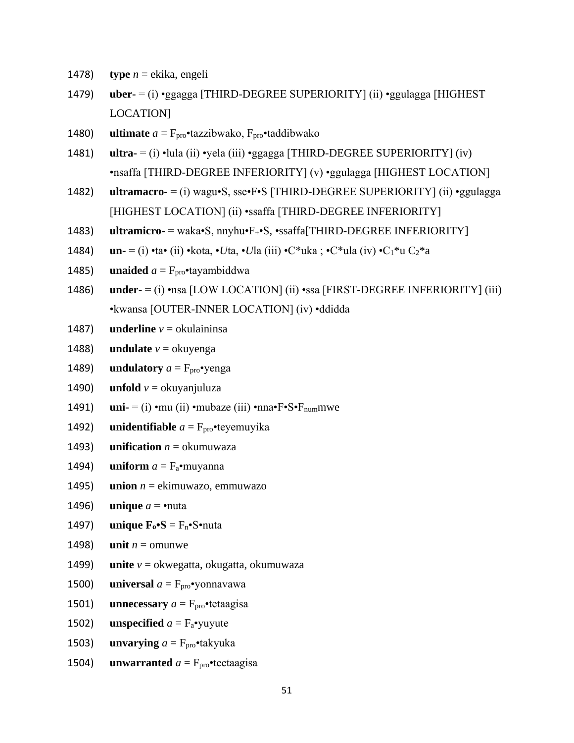- type  $n = ekika$ , engeli 1478)
- 1479)  $\mathbf{u}$ **ber-** = (i) •ggagga [THIRD-DEGREE SUPERIORITY] (ii) •ggulagga [HIGHEST] LOCATION]
- **ultimate**  $a = F_{\text{pro}}$ •tazzibwako,  $F_{\text{pro}}$ •taddibwako 1480)
- **ultra-**  $=$  (i)  $\cdot$ lula (ii)  $\cdot$ yela (iii)  $\cdot$ ggagga [THIRD-DEGREE SUPERIORITY] (iv) 1481) •nsaffa [THIRD-DEGREE INFERIORITY] (v) •ggulagga [HIGHEST LOCATION]
- 1482) **ultramacro-** = (i) wagu•S, sse•F•S [THIRD-DEGREE SUPERIORITY] (ii) •ggulagga [HIGHEST LOCATION] (ii) •ssaffa [THIRD-DEGREE INFERIORITY]
- 1483)  $ultramicro- = waka-S, mynu-F- S, \cdot ssaffa[THIRD-DEGREE INFERIORITY]$
- **un-** = (i) •ta• (ii) •kota, •*Uta*, •*Ula* (iii) •C\*uka; •C\*ula (iv) •C<sub>1</sub>\*u C<sub>2</sub>\*a 1484)
- **unaided**  $a = F_{\text{pro}}$  tayambiddwa 1485)
- **under-**  $=$  (i) •nsa [LOW LOCATION] (ii) •ssa [FIRST-DEGREE INFERIORITY] (iii) 1486) ·kwansa [OUTER-INNER LOCATION] (iv) ·ddidda
- **underline**  $v =$  okulaininsa 1487)
- **undulate**  $v =$  okuyenga 1488)
- 1489) **undulatory**  $a = F_{\text{pro}} \cdot \text{venga}$
- 1490) **unfold**  $v =$  okuvanjuluza
- **uni-** = (i) •mu (ii) •mubaze (iii) •nna• $F \cdot S \cdot F$ <sub>num</sub>mwe 1491)
- 1492) **unidentifiable**  $a = F_{\text{pro}}$  teyemuyika
- 1493) **unification**  $n =$  okumuwaza
- 1494) **uniform**  $a = F_a$ •muyanna
- 1495) **union**  $n =$  ekimuwazo, emmuwazo
- **unique**  $a = \text{·nuta}$ 1496)
- 1497) **unique**  $\mathbf{F}_0 \cdot \mathbf{S} = \mathbf{F}_n \cdot \mathbf{S} \cdot \text{nuta}$
- 1498) unit  $n =$  omunwe
- 1499) **unite**  $v =$  okwegatta, okugatta, okumuwaza
- 1500) **universal**  $a = F_{\text{pro}} \cdot \text{yonnavawa}$
- **unnecessary**  $a = F_{\text{pro}} \cdot \text{tetaagisa}$ 1501)
- 1502) **unspecified**  $a = F_a$ •yuyute
- **unvarying**  $a = F_{\text{pro}} \cdot$  takyuka 1503)
- 1504) **unwarranted**  $a = F_{\text{pro}}$  teetaagisa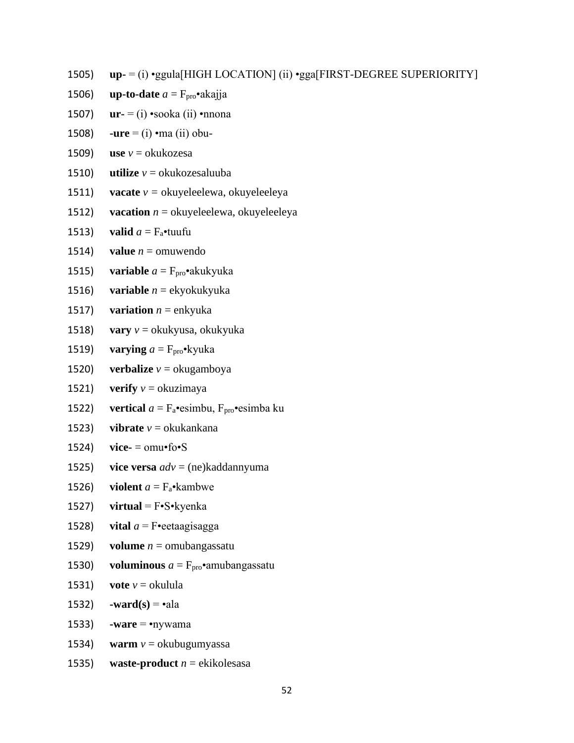1505) **up-** = (i) •ggula[HIGH LOCATION] (ii) •gga[FIRST-DEGREE SUPERIORITY]

- 1506) **up-to-date**  $a = F_{\text{pro}} \cdot \text{akajja}$
- 1507) **ur-** = (i) •sooka (ii) •nnona
- 1508) **-ure** = (i) •ma (ii) obu-
- 1509) **use**  $v =$ okukozesa
- 1510) **utilize**  $v =$  okukozesaluuba
- 1511) **vacate**  $v =$  okuyeleelewa, okuyeleeleya
- 1512) **vacation**  $n =$  okuyeleelewa, okuyeleeleya
- 1513) **valid**  $a = F_a$ •tuufu
- 1514) **value**  $n =$  omuwendo
- 1515) **variable**  $a = F_{\text{pro}} \cdot a$ kukyuka
- 1516) **variable** *n* = ekyokukyuka
- 1517) **variation**  $n =$  enkyuka
- 1518) **vary** *v* = okukyusa, okukyuka
- 1519) **varying**  $a = F_{\text{pro}} \cdot k$ yuka
- 1520) **verbalize**  $v =$ **okugamboya**
- 1521) **verify**  $v =$  okuzimaya
- 1522) **vertical**  $a = F_a$ •esimbu,  $F_{\text{pro}}$ •esimba ku
- 1523) **vibrate** *v* = okukankana
- 1524) **vice-** =  $omu$ **f**o**•**S
- 1525) **vice versa** *adv* = (ne)kaddannyuma
- 1526) **violent**  $a = F_a \cdot$ **kambwe**
- 1527) **virtual** = F•S•kyenka
- 1528) **vital**  $a = F \cdot \text{eetaagisagga}$
- 1529) **volume**  $n =$  omubangas satu
- 1530) **voluminous**  $a = F_{\text{pro}} \cdot$ amubangassatu
- 1531) **vote**  $v =$  okulula
- 1532) **-ward(s)** =  $\cdot$ ala
- 1533) **-ware** =  $\cdot$ nywama
- 1534) **warm** *v* = okubugumyassa
- 1535) **waste-product** *n* = ekikolesasa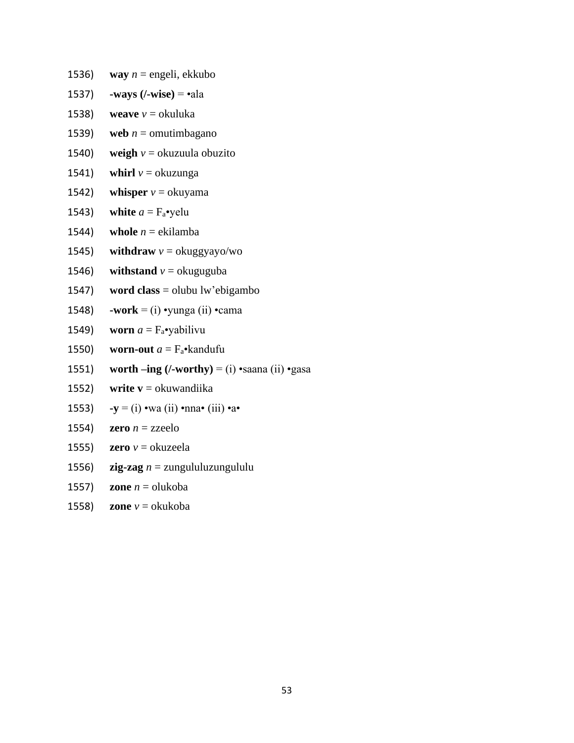- 1536) **way**  $n =$  engeli, ekkubo
- 1537) **-ways (/-wise)** = •ala
- 1538) **weave**  $v =$  okuluka
- 1539) **web**  $n =$  omutimbagano
- 1540) **weigh**  $v =$  okuzuula obuzito
- 1541) **whirl**  $v =$  okuzunga
- 1542) **whisper**  $v =$  okuyama
- 1543) white  $a = F_a$ •yelu
- 1544) **whole**  $n =$  ekilamba
- 1545) **withdraw**  $v = \alpha$  **withdraw**  $v = \alpha$  **with**
- 1546) **withstand**  $v =$  okuguguba
- 1547) **word class** = olubu lw'ebigambo
- 1548) **-work** = (i) yunga (ii) cama
- 1549) **worn**  $a = F_a$ •yabilivu
- 1550) **worn-out**  $a = F_a \cdot \text{kand}$
- 1551) **worth –ing**  $($ /-worthy $) =$  (i) •saana (ii) •gasa
- 1552) **write v** = okuwandiika
- 1553) **-y** = (i) •wa (ii) •nna• (iii) •a•
- 1554) **zero**  $n =$ zzeelo
- 1555) **zero**  $v =$ okuzeela
- 1556) **zig-zag** *n* = zungululuzungululu
- 1557) **zone**  $n =$  olukoba
- 1558) **zone**  $v =$ okukoba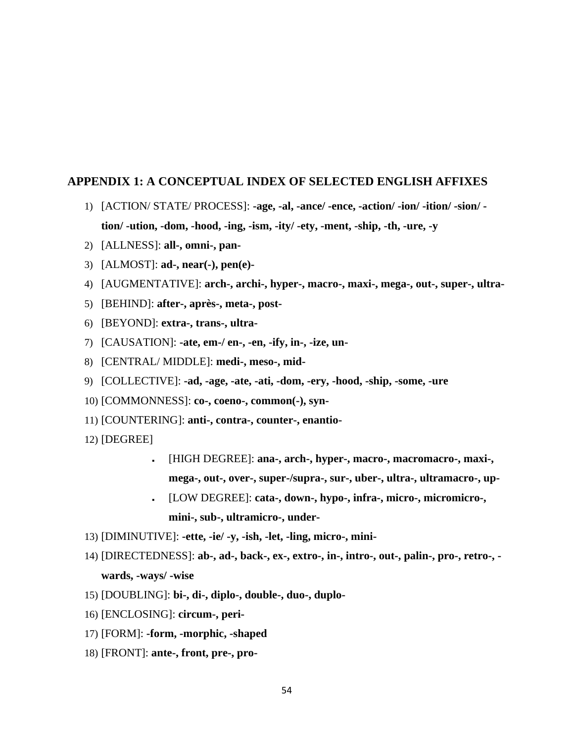#### **APPENDIX 1: A CONCEPTUAL INDEX OF SELECTED ENGLISH AFFIXES**

- 1) [ACTION/ STATE/ PROCESS]: **-age, -al, -ance/ -ence, -action/ -ion/ -ition/ -sion/ tion/ -ution, -dom, -hood, -ing, -ism, -ity/ -ety, -ment, -ship, -th, -ure, -y**
- 2) [ALLNESS]: **all-, omni-, pan-**
- 3) [ALMOST]: **ad-, near(-), pen(e)-**
- 4) [AUGMENTATIVE]: **arch-, archi-, hyper-, macro-, maxi-, mega-, out-, super-, ultra-**
- 5) [BEHIND]: **after-, après-, meta-, post-**
- 6) [BEYOND]: **extra-, trans-, ultra-**
- 7) [CAUSATION]: **-ate, em-/ en-, -en, -ify, in-, -ize, un-**
- 8) [CENTRAL/ MIDDLE]: **medi-, meso-, mid-**
- 9) [COLLECTIVE]: **-ad, -age, -ate, -ati, -dom, -ery, -hood, -ship, -some, -ure**
- 10) [COMMONNESS]: **co-, coeno-, common(-), syn-**
- 11) [COUNTERING]: **anti-, contra-, counter-, enantio-**
- 12) [DEGREE]
	- [HIGH DEGREE]: **ana-, arch-, hyper-, macro-, macromacro-, maxi-, mega-, out-, over-, super-/supra-, sur-, uber-, ultra-, ultramacro-, up-**
	- [LOW DEGREE]: **cata-, down-, hypo-, infra-, micro-, micromicro-, mini-, sub-, ultramicro-, under-**
- 13) [DIMINUTIVE]: **-ette, -ie/ -y, -ish, -let, -ling, micro-, mini-**
- 14) [DIRECTEDNESS]: **ab-, ad-, back-, ex-, extro-, in-, intro-, out-, palin-, pro-, retro-, wards, -ways/ -wise**
- 15) [DOUBLING]: **bi-, di-, diplo-, double-, duo-, duplo-**
- 16) [ENCLOSING]: **circum-, peri-**
- 17) [FORM]: **-form, -morphic, -shaped**
- 18) [FRONT]: **ante-, front, pre-, pro-**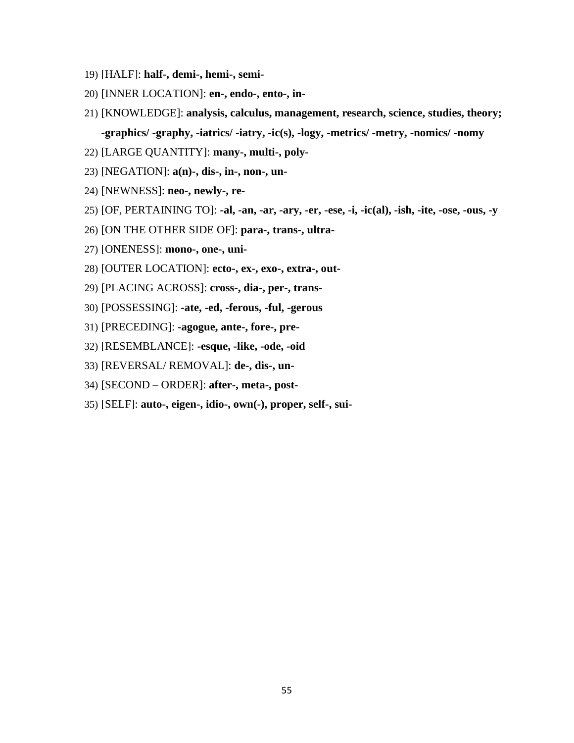- 19) [HALF]: half-, demi-, hemi-, semi-
- 20) [INNER LOCATION]: en-, endo-, ento-, in-
- 21) [KNOWLEDGE]: analysis, calculus, management, research, science, studies, theory; -graphics/ -graphy, -iatrics/ -iatry, -ic(s), -logy, -metrics/ -metry, -nomics/ -nomy
- 22) [LARGE QUANTITY]: many-, multi-, poly-
- 23) [NEGATION]:  $a(n)$ -, dis-, in-, non-, un-
- 24) [NEWNESS]: neo-, newly-, re-
- 25) [OF, PERTAINING TO]: -al, -an, -ar, -ary, -er, -ese, -i, -ic(al), -ish, -ite, -ose, -ous, -y
- 26) [ON THE OTHER SIDE OF]: para-, trans-, ultra-
- 27) [ONENESS]: mono-, one-, uni-
- 28) [OUTER LOCATION]: ecto-, ex-, exo-, extra-, out-
- 29) [PLACING ACROSS]: cross-, dia-, per-, trans-
- 30) [POSSESSING]: -ate, -ed, -ferous, -ful, -gerous
- 31) [PRECEDING]: -agogue, ante-, fore-, pre-
- 32) [RESEMBLANCE]: -esque, -like, -ode, -oid
- 33) [REVERSAL/REMOVAL]: de-, dis-, un-
- 34) [SECOND ORDER]: after-, meta-, post-
- 35) [SELF]: auto-, eigen-, idio-, own(-), proper, self-, sui-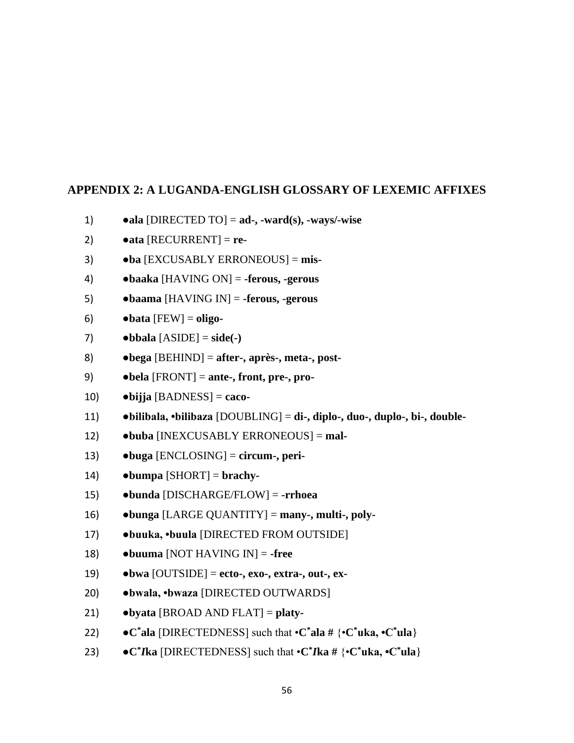## **APPENDIX 2: A LUGANDA-ENGLISH GLOSSARY OF LEXEMIC AFFIXES**

- ala [DIRECTED TO] =  $ad$ -, -ward(s), -ways/-wise  $1)$
- $2)$  $\bullet$ ata [RECURRENT] = re-
- $3)$  $\bullet$ ba [EXCUSABLY ERRONEOUS] = mis-
- $\bullet$ baaka [HAVING ON] = -ferous, -gerous 4)
- $5)$  $\bullet$ baama [HAVING IN] = -ferous, -gerous
- $\bullet$  bata [FEW] = oligo-6)
- 7)  $\bullet$ bbala [ASIDE] = side(-)
- $\bullet$ bega [BEHIND] = after-, après-, meta-, post-8)
- 9)  $\bullet$ bela [FRONT] = ante-, front, pre-, pro-
- $10)$  $\bullet$ bijja [BADNESS] = caco-
- $\bullet$ bilibala,  $\bullet$ bilibaza [DOUBLING] = di-, diplo-, duo-, duplo-, bi-, double-11)
- 12) •buba [INEXCUSABLY ERRONEOUS] = mal-
- $\bullet$ buga [ENCLOSING] = circum-, peri- $13)$
- 14)  $\bullet$ bumpa [SHORT] = brachy-
- bunda [DISCHARGE/FLOW] = -rrhoea  $15)$
- $\bullet$ bunga [LARGE QUANTITY] = many-, multi-, poly-16)
- 17) ·buuka, ·buula [DIRECTED FROM OUTSIDE]
- 18)  $\bullet$ buuma [NOT HAVING IN] = -free
- 19)  $\bullet$ bwa [OUTSIDE] = ecto-, exo-, extra-, out-, ex-
- $20)$ ·bwala, ·bwaza [DIRECTED OUTWARDS]
- $\bullet$  byata [BROAD AND FLAT] = platy- $21)$
- $22)$  $\bullet$ C\*ala [DIRECTEDNESS] such that  $\bullet$ C\*ala # { $\bullet$ C\*uka,  $\bullet$ C\*ula}
- $23)$  $\bullet$ C<sup>\*</sup>*I*ka [DIRECTEDNESS] such that  $\bullet$ C<sup>\*</sup>*I*ka # { $\bullet$ C<sup>\*</sup>uka,  $\bullet$ C<sup>\*</sup>ula}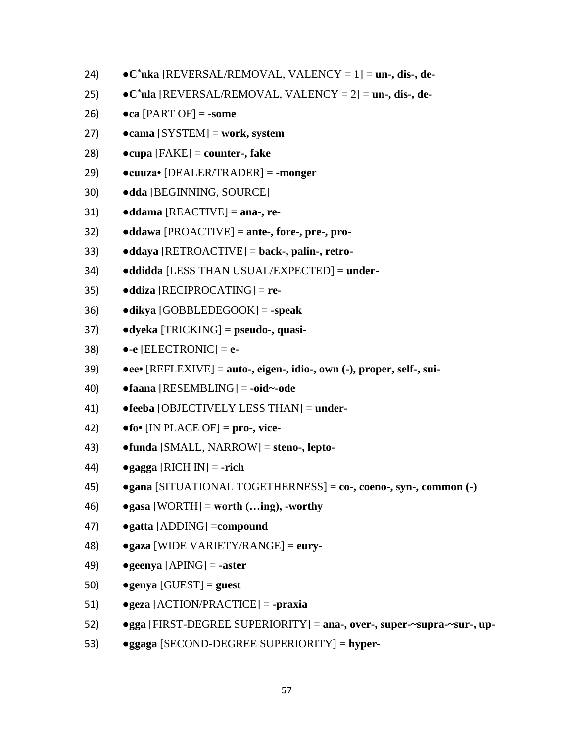- 24) **●C\*uka** [REVERSAL/REMOVAL, VALENCY = 1] = **un-, dis-, de-**
- 25) **●C\*ula** [REVERSAL/REMOVAL, VALENCY = 2] = **un-, dis-, de-**
- 26) **●ca** [PART OF] = **-some**
- 27) **●cama** [SYSTEM] = **work, system**
- 28) **●cupa** [FAKE] = **counter-, fake**
- 29) **●cuuza•** [DEALER/TRADER] = **-monger**
- 30) **●dda** [BEGINNING, SOURCE]
- 31) **●ddama** [REACTIVE] = **ana-, re-**
- 32) **●ddawa** [PROACTIVE] = **ante-, fore-, pre-, pro-**
- 33) **●ddaya** [RETROACTIVE] = **back-, palin-, retro-**
- 34) **●ddidda** [LESS THAN USUAL/EXPECTED] = **under-**
- 35) **●ddiza** [RECIPROCATING] = **re-**
- 36) **●dikya** [GOBBLEDEGOOK] = **-speak**
- 37) **●dyeka** [TRICKING] = **pseudo-, quasi-**
- 38) **●-e** [ELECTRONIC] = **e-**
- 39) **●ee•** [REFLEXIVE] = **auto-, eigen-, idio-, own (-), proper, self-, sui-**
- 40) **●faana** [RESEMBLING] = **-oid~-ode**
- 41) **●feeba** [OBJECTIVELY LESS THAN] = **under-**
- 42) **●fo•** [IN PLACE OF] = **pro-, vice-**
- 43) **●funda** [SMALL, NARROW] = **steno-, lepto-**
- 44) **●gagga** [RICH IN] = **-rich**
- 45) **●gana** [SITUATIONAL TOGETHERNESS] = **co-, coeno-, syn-, common (-)**
- 46) **●gasa** [WORTH] = **worth (…ing), -worthy**
- 47) **●gatta** [ADDING] =**compound**
- 48) **●gaza** [WIDE VARIETY/RANGE] = **eury-**
- 49) **●geenya** [APING] = **-aster**
- 50) **●genya** [GUEST] = **guest**
- 51) **●geza** [ACTION/PRACTICE] = **-praxia**
- 52) **●gga** [FIRST-DEGREE SUPERIORITY] = **ana-, over-, super-~supra-~sur-, up-**
- 53) **●ggaga** [SECOND-DEGREE SUPERIORITY] = **hyper-**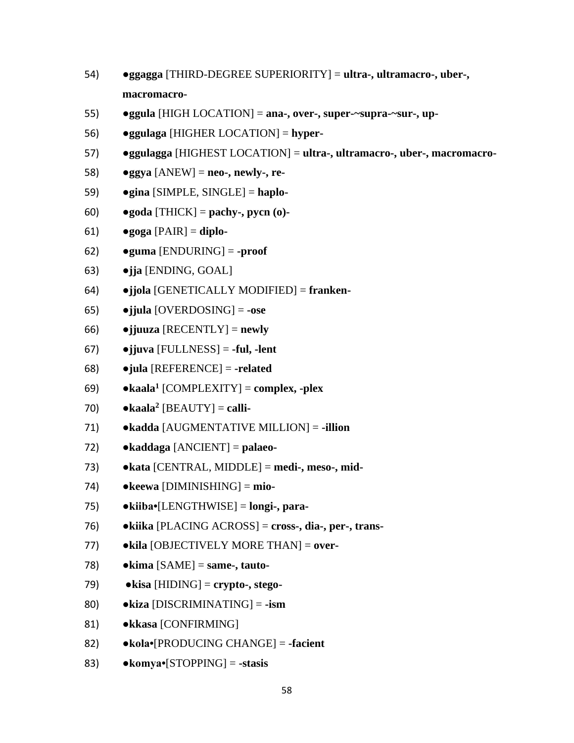- 54) **●ggagga** [THIRD-DEGREE SUPERIORITY] = **ultra-, ultramacro-, uber-, macromacro-**
- 55) **●ggula** [HIGH LOCATION] = **ana-, over-, super-~supra-~sur-, up-**
- 56) **●ggulaga** [HIGHER LOCATION] = **hyper-**
- 57) **●ggulagga** [HIGHEST LOCATION] = **ultra-, ultramacro-, uber-, macromacro-**
- 58) **●ggya** [ANEW] = **neo-, newly-, re-**
- 59) **●gina** [SIMPLE, SINGLE] = **haplo-**
- 60) **●goda** [THICK] = **pachy-, pycn (o)-**
- 61) **●goga** [PAIR] = **diplo-**
- 62) **●guma** [ENDURING] = **-proof**
- 63) **●jja** [ENDING, GOAL]
- 64) **●jjola** [GENETICALLY MODIFIED] = **franken-**
- 65) **●jjula** [OVERDOSING] = **-ose**
- 66) **●jjuuza** [RECENTLY] = **newly**
- 67) **●jjuva** [FULLNESS] = **-ful, -lent**
- 68) **●jula** [REFERENCE] = **-related**
- 69) **●kaala<sup>1</sup>** [COMPLEXITY] = **complex, -plex**
- 70) **●kaala<sup>2</sup>** [BEAUTY] = **calli-**
- 71) **●kadda** [AUGMENTATIVE MILLION] = **-illion**
- 72) **●kaddaga** [ANCIENT] = **palaeo-**
- 73) **●kata** [CENTRAL, MIDDLE] = **medi-, meso-, mid-**
- 74) **●keewa** [DIMINISHING] = **mio-**
- 75) **●kiiba•**[LENGTHWISE] = **longi-, para-**
- 76) **●kiika** [PLACING ACROSS] = **cross-, dia-, per-, trans-**
- 77) **●kila** [OBJECTIVELY MORE THAN] = **over-**
- 78) **●kima** [SAME] = **same-, tauto-**
- 79) **●kisa** [HIDING] = **crypto-, stego-**
- 80) **●kiza** [DISCRIMINATING] = **-ism**
- 81) **●kkasa** [CONFIRMING]
- 82) **●kola•**[PRODUCING CHANGE] = **-facient**
- 83) **●komya•**[STOPPING] = **-stasis**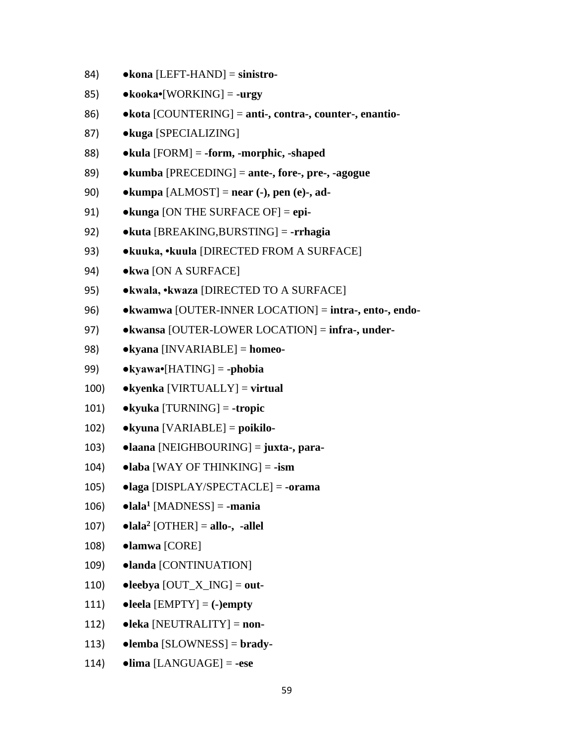- 84) **●kona** [LEFT-HAND] = **sinistro-**
- 85) **●kooka•**[WORKING] = **-urgy**
- 86) **●kota** [COUNTERING] = **anti-, contra-, counter-, enantio-**
- 87) **●kuga** [SPECIALIZING]
- 88) **●kula** [FORM] = **-form, -morphic, -shaped**
- 89) **●kumba** [PRECEDING] = **ante-, fore-, pre-, -agogue**
- 90) **●kumpa** [ALMOST] = **near (-), pen (e)-, ad-**
- 91) **●kunga** [ON THE SURFACE OF] = **epi-**
- 92) **●kuta** [BREAKING,BURSTING] = **-rrhagia**
- 93) **●kuuka, •kuula** [DIRECTED FROM A SURFACE]
- 94) **●kwa** [ON A SURFACE]
- 95) **●kwala, •kwaza** [DIRECTED TO A SURFACE]
- 96) **●kwamwa** [OUTER-INNER LOCATION] = **intra-, ento-, endo-**
- 97) **●kwansa** [OUTER-LOWER LOCATION] = **infra-, under-**
- 98) **●kyana** [INVARIABLE] = **homeo-**
- 99) **●kyawa•**[HATING] = **-phobia**
- 100) **●kyenka** [VIRTUALLY] = **virtual**
- 101) **●kyuka** [TURNING] = **-tropic**
- 102) **●kyuna** [VARIABLE] = **poikilo-**
- 103) **●laana** [NEIGHBOURING] = **juxta-, para-**
- 104) **●laba** [WAY OF THINKING] = **-ism**
- 105) **●laga** [DISPLAY/SPECTACLE] = **-orama**
- 106) **●lala<sup>1</sup>** [MADNESS] = **-mania**
- 107) **●lala<sup>2</sup>** [OTHER] = **allo-, -allel**
- 108) **●lamwa** [CORE]
- 109) **●landa** [CONTINUATION]
- 110) **●leebya** [OUT\_X\_ING] = **out-**
- 111) **●leela** [EMPTY] = **(-)empty**
- 112) **●leka** [NEUTRALITY] = **non-**
- 113) **●lemba** [SLOWNESS] = **brady-**
- 114) **●lima** [LANGUAGE] = **-ese**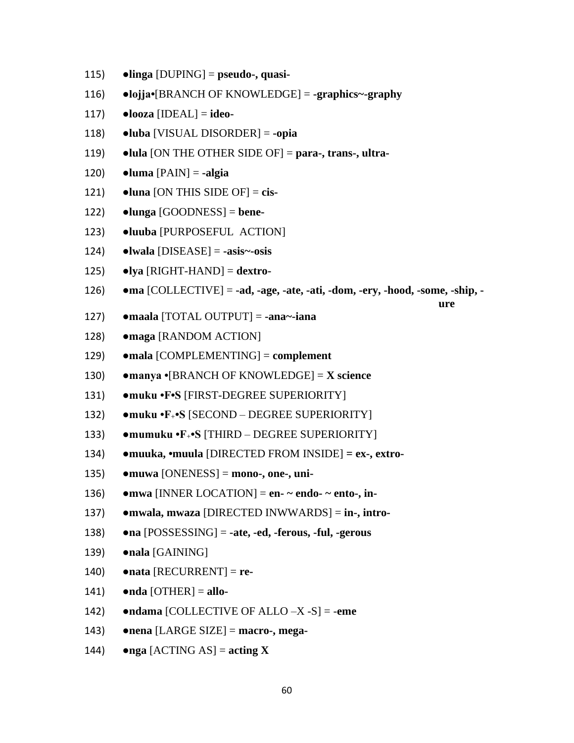- $\bullet$ linga [DUPING] = pseudo-, quasi- $115)$
- 116)  $\bullet$ lojja $\bullet$ [BRANCH OF KNOWLEDGE] = -graphics~-graphy
- $\bullet$ looza [IDEAL] = ideo-117)
- 118)  $\bullet$ luba [VISUAL DISORDER] = -opia
- 119)  $\bullet$ lula [ON THE OTHER SIDE OF] = para-, trans-, ultra-
- $\bullet$ luma [PAIN] = -algia 120)
- $\bullet$ luna [ON THIS SIDE OF] = cis- $121)$
- 122)  $\bullet$ lunga [GOODNESS] = bene-
- $123)$ ·luuba [PURPOSEFUL ACTION]
- 124)  $\bullet$ lwala [DISEASE] = -asis~-osis
- 125)  $\bullet$ lya [RIGHT-HAND] = dextro-
- $\bullet$ ma [COLLECTIVE] = -ad, -age, -ate, -ati, -dom, -ery, -hood, -some, -ship, -126)

ure

- $127)$  $\bullet$ maala [TOTAL OUTPUT] = -ana~-iana
- maga [RANDOM ACTION] 128)
- 129)  $\bullet$ mala [COMPLEMENTING] = complement
- $\bullet$ manya  $\bullet$ [BRANCH OF KNOWLEDGE] = X science 130)
- •muku •F•S [FIRST-DEGREE SUPERIORITY] 131)
- 132)  $\bullet$ muku  $\bullet$ F<sub>+</sub> $\bullet$ S [SECOND – DEGREE SUPERIORITY]
- $133)$  $\bullet$ mumuku  $\bullet$ F<sub>+</sub> $\bullet$ S [THIRD – DEGREE SUPERIORITY]
- 134) • muuka, • muula [DIRECTED FROM INSIDE] = ex-, extro-
- $135)$  $\bullet$ muwa [ONENESS] = mono-, one-, uni-
- 136)  $\bullet$ mwa [INNER LOCATION] = en- ~ endo- ~ ento-, in-
- mwala, mwaza [DIRECTED INWWARDS] = in-, intro-137)
- $\bullet$ na [POSSESSING] = -ate, -ed, -ferous, -ful, -gerous 138)
- 139)  $\bullet$ nala [GAINING]
- 140)  $\bullet$ nata [RECURRENT] = re-
- 141)  $\bullet$ nda [OTHER] = allo-
- $\bullet$ ndama [COLLECTIVE OF ALLO -X -S] = -eme 142)
- $\bullet$ nena [LARGE SIZE] = macro-, mega-143)
- 144)  $\bullet$ nga [ACTING AS] = acting X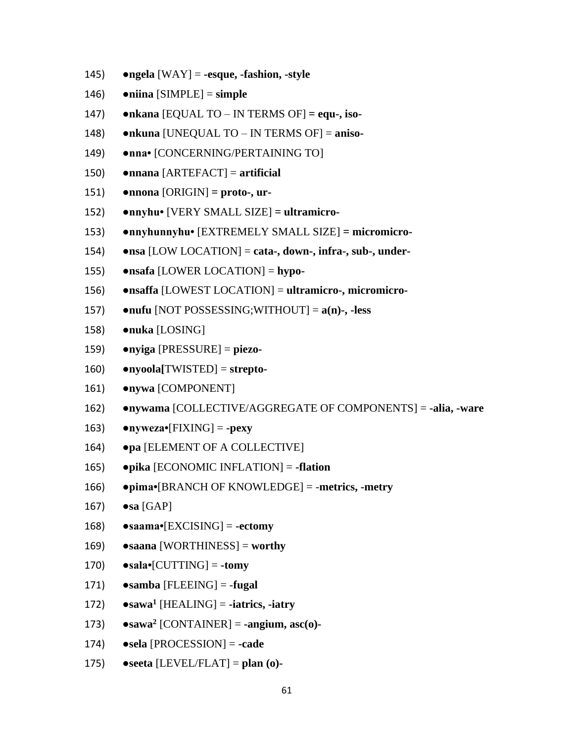- $\bullet$ ngela [WAY] = -esque, -fashion, -style 145)
- 146)  $\bullet$ niina [SIMPLE] = simple
- 147)  $\bullet$ nkana [EQUAL TO – IN TERMS OF] = equ-, iso-
- 148) •nkuna [UNEQUAL TO – IN TERMS OF] = aniso-
- 149) •nna• [CONCERNING/PERTAINING TO]
- $\bullet$ nnana [ARTEFACT] = artificial 150)
- $\bullet$ nnona [ORIGIN] = proto-, ur- $151)$
- $152)$ •nnyhu• [VERY SMALL SIZE] = ultramicro-
- $153)$ •nnyhunnyhu• [EXTREMELY SMALL SIZE] = micromicro-
- $\bullet$ nsa [LOW LOCATION] = cata-, down-, infra-, sub-, under-154)
- $155)$  $\bullet$ nsafa [LOWER LOCATION] = hypo-
- 156) • nsaffa [LOWEST LOCATION] = ultramicro-, micromicro-
- $157)$  $\bullet$ nufu [NOT POSSESSING;WITHOUT] =  $a(n)$ -, -less
- 158) •nuka [LOSING]
- $\bullet$ nyiga [PRESSURE] = piezo-159)
- 160)  $\bullet$ nyoola[TWISTED] = strepto-
- 161) •nywa [COMPONENT]
- $162)$ •nywama [COLLECTIVE/AGGREGATE OF COMPONENTS] = -alia, -ware
- $163)$  $\bullet$ nyweza $\bullet$ [FIXING] = -pexy
- •pa [ELEMENT OF A COLLECTIVE] 164)
- $\bullet$ pika [ECONOMIC INFLATION] = -flation 165)
- $\bullet$ pima $\bullet$ [BRANCH OF KNOWLEDGE] = -metrics, -metry 166)
- $167)$  $\bullet$ sa [GAP]
- $\bullet$ saama $\bullet$ [EXCISING] = -ectomy 168)
- $\bullet$ saana [WORTHINESS] = worthy 169)
- 170)  $\bullet$ sala $\bullet$ [CUTTING] = -tomy
- 171)  $\bullet$ samba [FLEEING] = -fugal
- $\bullet$ sawa<sup>1</sup> [HEALING] = -iatrics, -iatry  $172)$
- $173)$  $\bullet$ sawa<sup>2</sup> [CONTAINER] = -angium, asc(o)-
- 174)  $\bullet$ sela [PROCESSION] = -cade
- $\bullet$ seeta [LEVEL/FLAT] = plan (o)-175)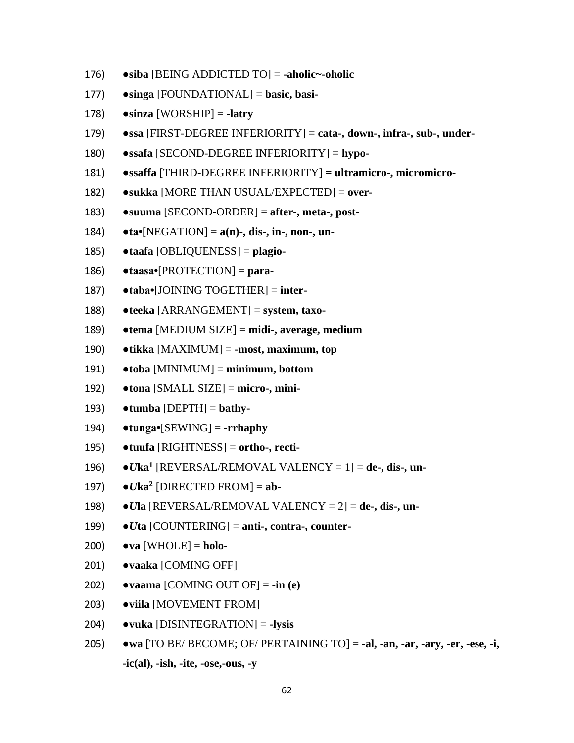- $\bullet$ siba [BEING ADDICTED TO] = -aholic~-oholic 176)
- $177$ )  $\bullet$ singa [FOUNDATIONAL] = basic, basi-
- 178)  $\bullet$ sinza [WORSHIP] = -latry
- 179)  $\bullet$ ssa [FIRST-DEGREE INFERIORITY] = cata-, down-, infra-, sub-, under-
- 180)  $\bullet$ ssafa [SECOND-DEGREE INFERIORITY] = hypo-
- •ssaffa [THIRD-DEGREE INFERIORITY] = ultramicro-, micromicro-181)
- •sukka [MORE THAN USUAL/EXPECTED] = over-182)
- 183)  $\bullet$ suuma [SECOND-ORDER] = after-, meta-, post-
- 184)  $\bullet$  ta $\bullet$ [NEGATION] = a(n)-, dis-, in-, non-, un-
- $\bullet$ taafa [OBLIQUENESS] = plagio-185)
- 186)  $\bullet$ taasa $\bullet$ [PROTECTION] = para-
- 187)  $\bullet$ taba $\bullet$ [JOINING TOGETHER] = inter-
- 188)  $\bullet$ teeka [ARRANGEMENT] = system, taxo-
- 189)  $\bullet$ tema [MEDIUM SIZE] = midi-, average, medium
- 190)  $\bullet$ tikka [MAXIMUM] = -most, maximum, top
- 191)  $\bullet$ toba [MINIMUM] = minimum, bottom
- 192)  $\bullet$ tona [SMALL SIZE] = micro-, mini-
- 193)  $\bullet$ tumba [DEPTH] = bathy-
- 194)  $\bullet$ tunga $\bullet$ [SEWING] = -rrhaphy
- $\bullet$ tuufa [RIGHTNESS] = ortho-, recti-195)
- $\bullet U$ ka<sup>1</sup> [REVERSAL/REMOVAL VALENCY = 1] = de-, dis-, un-196)
- 197)  $\bullet U$ ka<sup>2</sup> [DIRECTED FROM] = ab-
- 198)  $\bullet$ *Ula* [REVERSAL/REMOVAL VALENCY = 2] = de-, dis-, un-
- 199)  $\bullet U$ ta [COUNTERING] = anti-, contra-, counter-
- $\bullet$ va [WHOLE] = holo-200)
- ·vaaka [COMING OFF]  $201)$
- $202)$  $\bullet$ vaama [COMING OUT OF] = -in (e)
- ·viila [MOVEMENT FROM]  $203)$
- $\bullet$ vuka [DISINTEGRATION] = -lysis 204)
- wa [TO BE/ BECOME; OF/ PERTAINING TO] = -al, -an, -ar, -ary, -er, -ese, -i,  $205)$  $-ic(al)$ ,  $-ish$ ,  $-ite$ ,  $-ose$ ,  $-ous$ ,  $-v$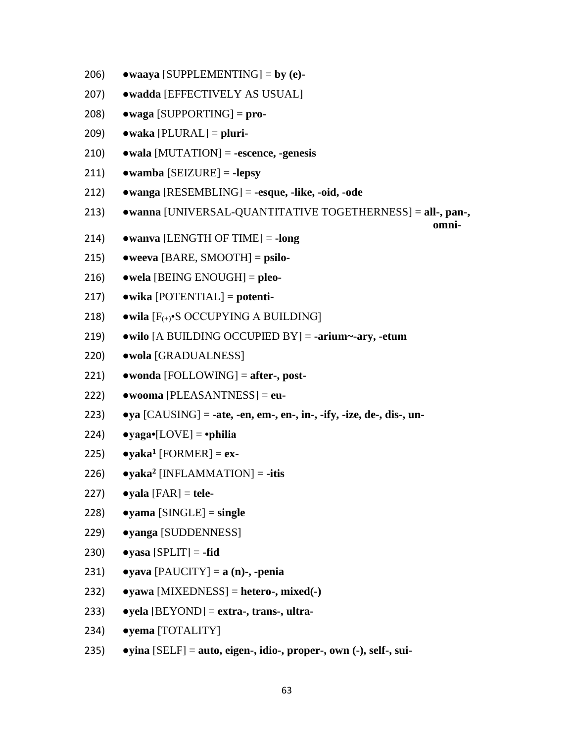- $\bullet$ waaya [SUPPLEMENTING] = by (e)-206)
- $207)$ ·wadda [EFFECTIVELY AS USUAL]
- 208)  $\bullet$ waga [SUPPORTING] = pro-
- $\bullet$ waka [PLURAL] = pluri-209)
- $\bullet$  wala [MUTATION] = -escence, -genesis 210)
- $\bullet$ wamba [SEIZURE] = -lepsy 211)
- $\bullet$ wanga [RESEMBLING] = -esque, -like, -oid, -ode  $212)$
- $213)$ •wanna [UNIVERSAL-QUANTITATIVE TOGETHERNESS] = all-, pan-,

omni-

- 214)  $\bullet$ wanya [LENGTH OF TIME] = -long
- $215)$  $\bullet$ weeva [BARE, SMOOTH] = psilo-
- $216)$  $\bullet$  wela [BEING ENOUGH] = pleo-
- $217)$  $\bullet$ wika [POTENTIAL] = potenti-
- 218)  $\bullet$  wila  $[F_{(+)}\bullet S$  OCCUPYING A BUILDING]
- $219)$  $\bullet$  wilo [A BUILDING OCCUPIED BY] = -arium~-ary, -etum
- $220)$ ·wola [GRADUALNESS]
- $221)$  $\bullet$  wonda [FOLLOWING] = after-, post-
- $\bullet$ wooma [PLEASANTNESS] = eu- $222)$
- $223)$  $\bullet$ ya [CAUSING] = -ate, -en, em-, en-, in-, -ify, -ize, de-, dis-, un-
- $224)$  $\bullet$ yaga $\bullet$ [LOVE] =  $\bullet$ philia
- $225)$  $\bullet$ yaka<sup>1</sup> [FORMER] = ex-
- $226)$  $\bullet$ yaka<sup>2</sup> [INFLAMMATION] = -itis
- $227)$  $\bullet$ vala [FAR] = tele-
- $\bullet$ yama [SINGLE] = single 228)
- $229$ •vanga [SUDDENNESS]
- $230)$  $\bullet$ yasa [SPLIT] = -fid
- $231)$  $\bullet$ yava [PAUCITY] = a (n)-, -penia
- $\bullet$ yawa [MIXEDNESS] = hetero-, mixed(-) 232)
- $\bullet$ yela [BEYOND] = extra-, trans-, ultra- $233)$
- •yema [TOTALITY] 234)
- $235)$  $\bullet$ yina [SELF] = auto, eigen-, idio-, proper-, own (-), self-, sui-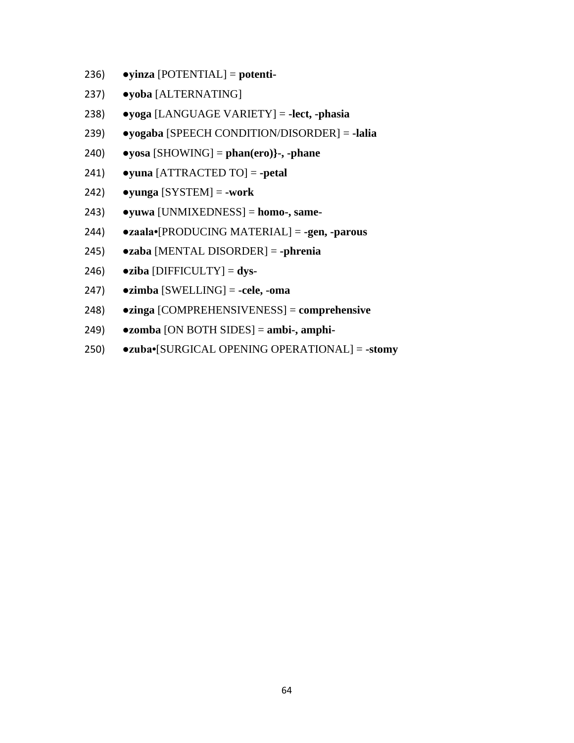- $236)$  $\bullet$ yinza [POTENTIAL] = potenti-
- $237)$ ·yoba [ALTERNATING]
- $\bullet$ yoga [LANGUAGE VARIETY] = -lect, -phasia 238)
- 239) • yogaba [SPEECH CONDITION/DISORDER] = -lalia
- 240)  $\bullet$ yosa [SHOWING] = phan(ero)}-, -phane
- $241)$  $\bullet$ yuna [ATTRACTED TO] = -petal
- $242)$  $\bullet$ yunga [SYSTEM] = -work
- $243)$  $\bullet$ yuwa [UNMIXEDNESS] = homo-, same-
- $244)$ •zaala•[PRODUCING MATERIAL] = -gen, -parous
- $245)$  $\bullet$ zaba [MENTAL DISORDER] = -phrenia
- $246)$  $\bullet$ ziba [DIFFICULTY] = dys-
- $247)$  $\bullet$ zimba [SWELLING] = -cele, -oma
- 248)  $\bullet$ zinga [COMPREHENSIVENESS] = comprehensive
- $\bullet$ zomba [ON BOTH SIDES] = ambi-, amphi-249)
- $250)$ •zuba•[SURGICAL OPENING OPERATIONAL] = -stomy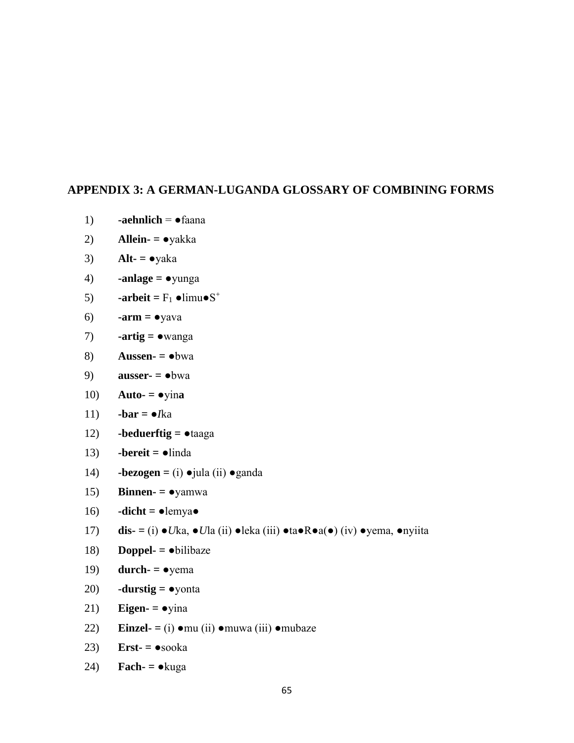## **APPENDIX 3: A GERMAN-LUGANDA GLOSSARY OF COMBINING FORMS**

- 1)  $\qquad \qquad -aehnlich = \bullet \qquad \qquad \text{faana}$
- 2) **Allein- =** ●yakka
- 3) **Alt-**  $= \bullet$ yaka
- 4) **-anlage =** ●yunga
- 5) **-arbeit** =  $F_1 \bullet \text{limu} \bullet S^+$
- 6) **-arm** =  $\bullet$ yava
- 7) **-artig =** ●wanga
- 8) **Aussen- =** ●bwa
- 9) **ausser- =** ●bwa
- 10) **Auto-** =  $\bullet$ yina
- 11)  $$
- 12) **-beduerftig =** ●taaga
- 13) **-bereit =** ●linda
- 14) **-bezogen =** (i) ●jula (ii) ●ganda
- 15) **Binnen- =** ●yamwa
- 16)  $\cdot$ **dicht** =  $\bullet$ lemya $\bullet$
- 17) **dis- =** (i) ●*U*ka, ●*U*la (ii) ●leka (iii) ●ta●R●a(●) (iv) ●yema, ●nyiita
- 18) **Doppel- =** ●bilibaze
- 19) **durch-**  $= \bullet$ yema
- 20) **-durstig =** ●yonta
- 21) **Eigen-**  $= \bullet$  yina
- 22) **Einzel- =** (i) ●mu (ii) ●muwa (iii) ●mubaze
- 23) **Erst- =** ●sooka
- 24) **Fach- =** ●kuga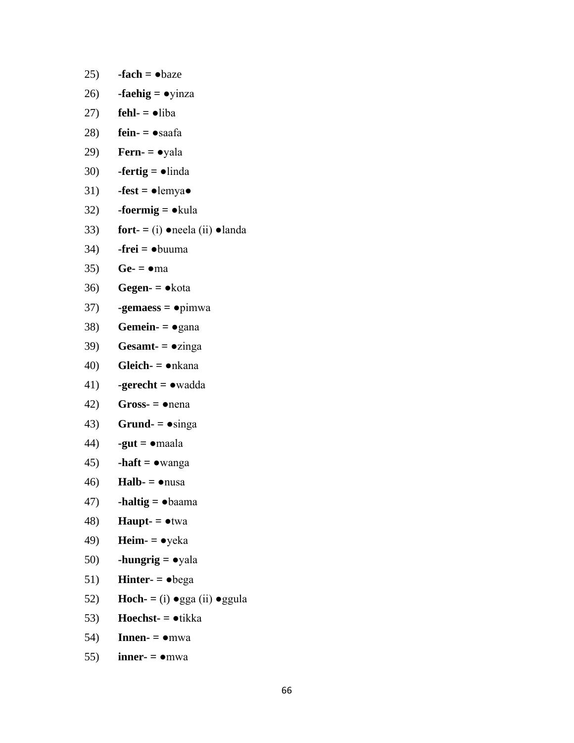- 25)  $-**fach** = **• baze**$
- 26) **-faehig =** ●yinza
- 27) **fehl-**  $=$   $\bullet$ liba
- 28) **fein- =** ●saafa
- 29) **Fern- =** ●yala
- 30) **-fertig =** ●linda
- 31)  $-fest = \bullet$ lemya $\bullet$
- 32) **-foermig =** ●kula
- 33) **fort-**  $=$  (i)  $\bullet$  neela (ii)  $\bullet$  landa
- 34) **-frei =** ●buuma
- 35) **Ge-**  $= \bullet$ ma
- 36) **Gegen- =** ●kota
- 37) **-gemaess =** ●pimwa
- 38) **Gemein-**  $= \bullet$  gana
- 39) **Gesamt-**  $= \bullet$ zinga
- 40) **Gleich- =** ●nkana
- 41) **-gerecht =** ●wadda
- $(42)$  **Gross-**  $=$  nena
- 43) **Grund-**  $= \bullet$ singa
- 44) **-gut =** ●maala
- 45) **-haft =** ●wanga
- 46) **Halb- =** ●nusa
- 47) **-haltig =** ●baama
- 48) **Haupt- =** ●twa
- 49) **Heim- =** ●yeka
- 50) **-hungrig =** ●yala
- 51) **Hinter-**  $=$   $\bullet$  bega
- 52) **Hoch-** =  $(i)$   $\bullet$  gga  $(ii)$   $\bullet$  ggula
- 53) **Hoechst- =** ●tikka
- 54) **Innen- =** ●mwa
- 55) **inner-**  $= \bullet$ mwa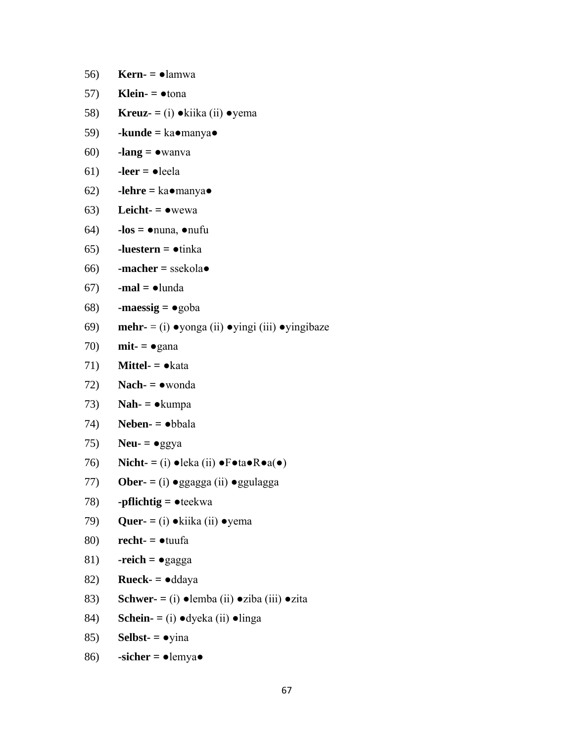- 56) **Kern- =** ●lamwa
- 57) **Klein-**  $=$   $\bullet$  tona
- 58) **Kreuz- =** (i) ●kiika (ii) ●yema
- 59) **-kunde =** ka●manya●
- 60) **-lang =** ●wanva
- 61) **-leer =** ●leela
- 62) **-lehre =** ka●manya●
- 63) Leicht- $= \bullet$ wewa
- 64) **-los =** ●nuna, ●nufu
- 65) **-luestern =** ●tinka
- 66) **-macher =** ssekola●
- 67) **-mal =** ●lunda

$$
68) \qquad \textbf{-massig} = \bullet \text{goba}
$$

- 69) **mehr-** = (i) ●yonga (ii) ●yingi (iii) ●yingibaze
- 70) **mit- =** ●gana
- 71) **Mittel-**  $= \bullet$ kata
- 72) **Nach- =** ●wonda
- 73) **Nah- =** ●kumpa
- 74) **Neben- =** ●bbala
- 75) **Neu-**  $= \bullet$ ggya
- 76) **Nicht- =** (i) ●leka (ii) ●F●ta●R●a(●)
- 77) **Ober- =** (i) ●ggagga (ii) ●ggulagga
- 78) **-pflichtig =** ●teekwa
- 79) **Quer- =** (i) ●kiika (ii) ●yema

```
80) recht- = ●tuufa
```
- 81) **-reich =** ●gagga
- 82) **Rueck- =** ●ddaya
- 83) **Schwer- =** (i) ●lemba (ii) ●ziba (iii) ●zita
- 84) **Schein- =** (i) ●dyeka (ii) ●linga
- 85) **Selbst- =** ●yina
- 86) **-sicher =** ●lemya●